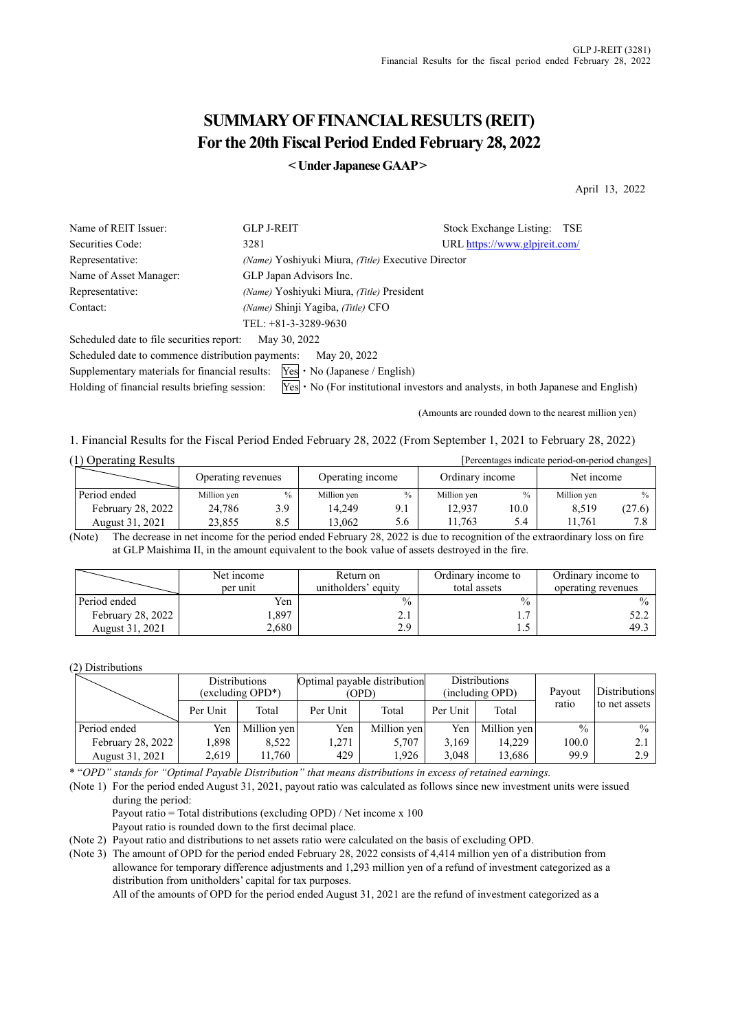# **SUMMARY OF FINANCIAL RESULTS (REIT) For the 20th Fiscal Period Ended February 28, 2022**

**< Under Japanese GAAP >** 

April 13, 2022

| Name of REIT Issuer:                              | <b>GLP J-REIT</b>                                  | Stock Exchange Listing:<br>TSE                                                                        |
|---------------------------------------------------|----------------------------------------------------|-------------------------------------------------------------------------------------------------------|
| Securities Code:                                  | 3281                                               | URL https://www.glpjreit.com/                                                                         |
| Representative:                                   | (Name) Yoshiyuki Miura, (Title) Executive Director |                                                                                                       |
| Name of Asset Manager:                            | GLP Japan Advisors Inc.                            |                                                                                                       |
| Representative:                                   | (Name) Yoshiyuki Miura, (Title) President          |                                                                                                       |
| Contact:                                          | (Name) Shinji Yagiba, (Title) CFO                  |                                                                                                       |
|                                                   | TEL: $+81-3-3289-9630$                             |                                                                                                       |
| Scheduled date to file securities report:         | May 30, 2022                                       |                                                                                                       |
| Scheduled date to commence distribution payments: | May 20, 2022                                       |                                                                                                       |
| Supplementary materials for financial results:    | $Yes \cdot No (Japanese / English)$                |                                                                                                       |
| Holding of financial results briefing session:    |                                                    | $\text{Yes} \cdot \text{No}$ (For institutional investors and analysts, in both Japanese and English) |

(Amounts are rounded down to the nearest million yen)

1. Financial Results for the Fiscal Period Ended February 28, 2022 (From September 1, 2021 to February 28, 2022)

| (1) Operating Results |                    |      |                  |               |                 |      | [Percentages indicate period-on-period changes] |               |
|-----------------------|--------------------|------|------------------|---------------|-----------------|------|-------------------------------------------------|---------------|
|                       | Operating revenues |      | Operating income |               | Ordinary income |      | Net income                                      |               |
| Period ended          | Million yen        | $\%$ | Million yen      | $\frac{0}{0}$ | Million yen     | $\%$ | Million yen                                     | $\frac{0}{0}$ |
| February 28, 2022     | 24,786             | 3.9  | 14.249           | 9.1           | 12.937          | 10.0 | 8.519                                           | (27.6)        |
| August 31, 2021       | 23.855             | 8.5  | 13.062           | 5.6           | 1.763           | 5.4  | 1.761                                           |               |

(Note) The decrease in net income for the period ended February 28, 2022 is due to recognition of the extraordinary loss on fire at GLP Maishima II, in the amount equivalent to the book value of assets destroyed in the fire.

|                   | Net income<br>per unit | Return on<br>unitholders' equity | Ordinary income to<br>total assets | Ordinary income to<br>operating revenues |
|-------------------|------------------------|----------------------------------|------------------------------------|------------------------------------------|
| Period ended      | Yen                    | $\frac{0}{0}$                    | $\frac{0}{0}$                      | $\frac{0}{0}$                            |
| February 28, 2022 | .397                   | 2.1                              | $\overline{ }$<br>1.,              | 52.2                                     |
| August 31, 2021   | 2.680                  | 2.9                              | 1.J                                | 49.3                                     |

(2) Distributions

|                               |       | <b>Distributions</b><br>(excluding OPD*) |          | Optimal payable distribution<br>(OPD) |       | <b>Distributions</b><br>(including OPD) | Payout        | Distributions |
|-------------------------------|-------|------------------------------------------|----------|---------------------------------------|-------|-----------------------------------------|---------------|---------------|
| Total<br>Per Unit<br>Per Unit |       | Total                                    | Per Unit | Total                                 | ratio | to net assets                           |               |               |
| Period ended                  | Yen   | Million yen                              | Yen      | Million yen                           | Yen   | Million yen                             | $\frac{0}{0}$ | $\frac{0}{0}$ |
| February 28, 2022             | 1.898 | 8,522                                    | 1.271    | 5.707                                 | 3.169 | 14.229                                  | 100.0         | 2.1           |
| August 31, 2021               | 2,619 | 11,760                                   | 429      | 1.926                                 | 3.048 | 13.686                                  | 99.9          | 2.9           |

\* "*OPD" stands for "Optimal Payable Distribution" that means distributions in excess of retained earnings.*

(Note 1) For the period ended August 31, 2021, payout ratio was calculated as follows since new investment units were issued during the period:

Payout ratio = Total distributions (excluding OPD) / Net income x 100 Payout ratio is rounded down to the first decimal place.

(Note 2) Payout ratio and distributions to net assets ratio were calculated on the basis of excluding OPD.

(Note 3) The amount of OPD for the period ended February 28, 2022 consists of 4,414 million yen of a distribution from allowance for temporary difference adjustments and 1,293 million yen of a refund of investment categorized as a distribution from unitholders' capital for tax purposes.

All of the amounts of OPD for the period ended August 31, 2021 are the refund of investment categorized as a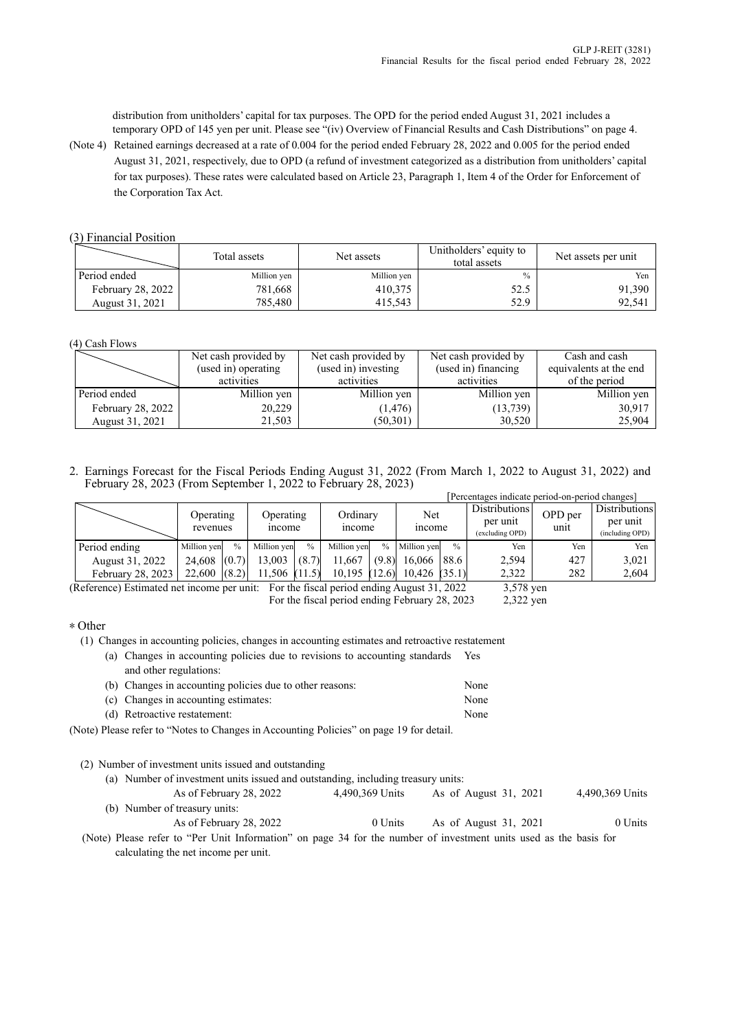distribution from unitholders' capital for tax purposes. The OPD for the period ended August 31, 2021 includes a temporary OPD of 145 yen per unit. Please see "(iv) Overview of Financial Results and Cash Distributions" on page 4.

(Note 4) Retained earnings decreased at a rate of 0.004 for the period ended February 28, 2022 and 0.005 for the period ended August 31, 2021, respectively, due to OPD (a refund of investment categorized as a distribution from unitholders' capital for tax purposes). These rates were calculated based on Article 23, Paragraph 1, Item 4 of the Order for Enforcement of the Corporation Tax Act.

### (3) Financial Position

|                          | Total assets | Net assets  | Unitholders' equity to<br>total assets | Net assets per unit |
|--------------------------|--------------|-------------|----------------------------------------|---------------------|
| Period ended             | Million yen  | Million yen | $\frac{0}{0}$                          | Yen                 |
| <b>February 28, 2022</b> | 781,668      | 410.375     | 52.5                                   | 91,390              |
| August 31, 2021          | 785,480      | 415,543     | 52.9                                   | 92,541              |

(4) Cash Flows

|                   | Net cash provided by | Net cash provided by | Net cash provided by | Cash and cash          |
|-------------------|----------------------|----------------------|----------------------|------------------------|
|                   | (used in) operating  | (used in) investing  | (used in) financing  | equivalents at the end |
|                   | activities           | activities           | activities           | of the period          |
| Period ended      | Million yen          | Million yen          | Million yen          | Million yen            |
| February 28, 2022 | 20,229               | (1, 476)             | (13,739)             | 30,917                 |
| August 31, 2021   | 21,503               | (50, 301)            | 30,520               | 25,904                 |

2. Earnings Forecast for the Fiscal Periods Ending August 31, 2022 (From March 1, 2022 to August 31, 2022) and February 28, 2023 (From September 1, 2022 to February 28, 2023) [Percentages indicate period-on-period changes]

|                                                                                           |                       |       |                    |               |                           |               |                      |               | Percentages indicate period-on-period changes |                 |                                              |
|-------------------------------------------------------------------------------------------|-----------------------|-------|--------------------|---------------|---------------------------|---------------|----------------------|---------------|-----------------------------------------------|-----------------|----------------------------------------------|
|                                                                                           | Operating<br>revenues |       | Operating<br>mcome |               | Ordinarv<br><i>n</i> come |               | Net<br><i>n</i> come |               | Distributions<br>per unit<br>(excluding OPD)  | OPD per<br>unit | Distributions<br>per unit<br>(including OPD) |
| Period ending                                                                             | Million yen           | $\%$  | Million ven        | $\frac{0}{0}$ | Million ven               | $\frac{0}{0}$ | Million ven          | $\frac{0}{0}$ | Yen                                           | Yen             | Yen                                          |
| August 31, 2022                                                                           | 24.608                | (0.7) | 13.003             | (8.7)         | 11.667                    | (9.8)         | 16,066   88.6        |               | 2.594                                         | 427             | 3,021                                        |
| February 28, 2023                                                                         | $22,600$ $(8.2)$      |       | 11,506 (11.5)      |               | $10,195$ (12.6)           |               | $10,426$ (35.1)      |               | 2.322                                         | 282             | 2,604                                        |
| $(Dofomana)$ Estimated not income non unity. Eas the fiscal named anding Avenuet 21, 2022 |                       |       |                    |               |                           |               |                      |               | $2.570$ $\ldots$                              |                 |                                              |

(Reference) Estimated net income per unit: For the fiscal period ending August 31, 2022 3,578 yen For the fiscal period ending February 28, 2023 2,322 yen

### \* Other

(1) Changes in accounting policies, changes in accounting estimates and retroactive restatement

| (a) Changes in accounting policies due to revisions to accounting standards | Yes  |
|-----------------------------------------------------------------------------|------|
| and other regulations:                                                      |      |
| (b) Changes in accounting policies due to other reasons:                    | None |
| (c) Changes in accounting estimates:                                        | None |

(d) Retroactive restatement: None

(Note) Please refer to "Notes to Changes in Accounting Policies" on page 19 for detail.

(2) Number of investment units issued and outstanding

(a) Number of investment units issued and outstanding, including treasury units: As of February 28, 2022 4,490,369 Units As of August 31, 2021 4,490,369 Units (b) Number of treasury units: As of February 28, 2022 0 Units As of August 31, 2021 0 Units (Note) Please refer to "Per Unit Information" on page 34 for the number of investment units used as the basis for

calculating the net income per unit.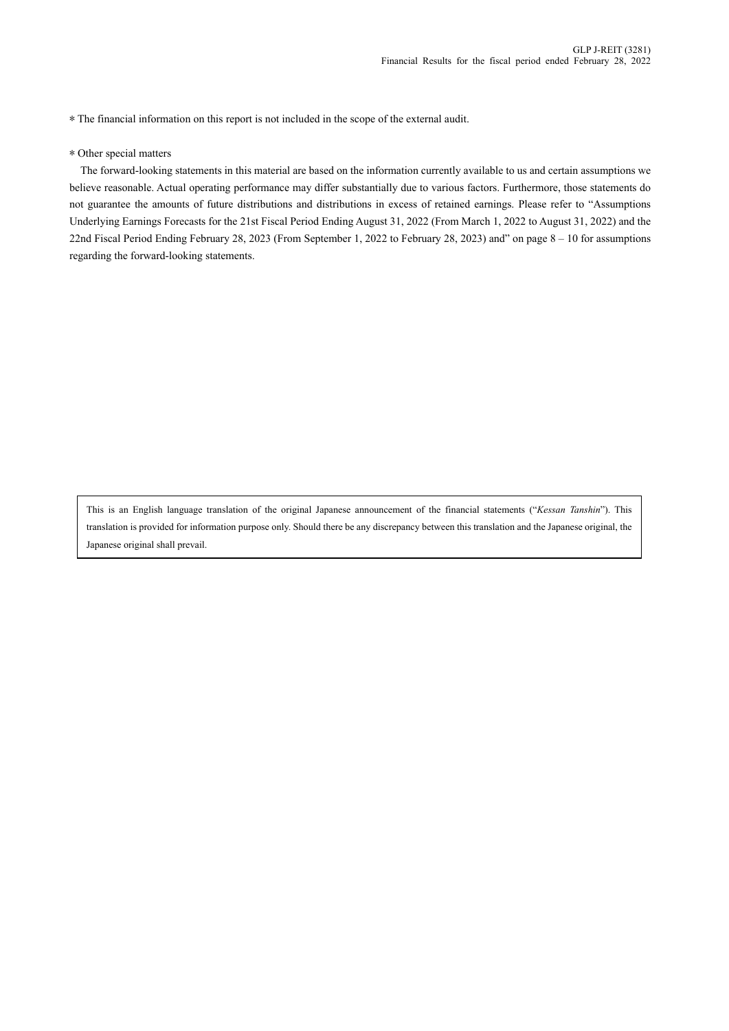\* The financial information on this report is not included in the scope of the external audit.

#### \* Other special matters

The forward-looking statements in this material are based on the information currently available to us and certain assumptions we believe reasonable. Actual operating performance may differ substantially due to various factors. Furthermore, those statements do not guarantee the amounts of future distributions and distributions in excess of retained earnings. Please refer to "Assumptions Underlying Earnings Forecasts for the 21st Fiscal Period Ending August 31, 2022 (From March 1, 2022 to August 31, 2022) and the 22nd Fiscal Period Ending February 28, 2023 (From September 1, 2022 to February 28, 2023) and" on page 8 – 10 for assumptions regarding the forward-looking statements.

This is an English language translation of the original Japanese announcement of the financial statements ("*Kessan Tanshin*"). This translation is provided for information purpose only. Should there be any discrepancy between this translation and the Japanese original, the Japanese original shall prevail.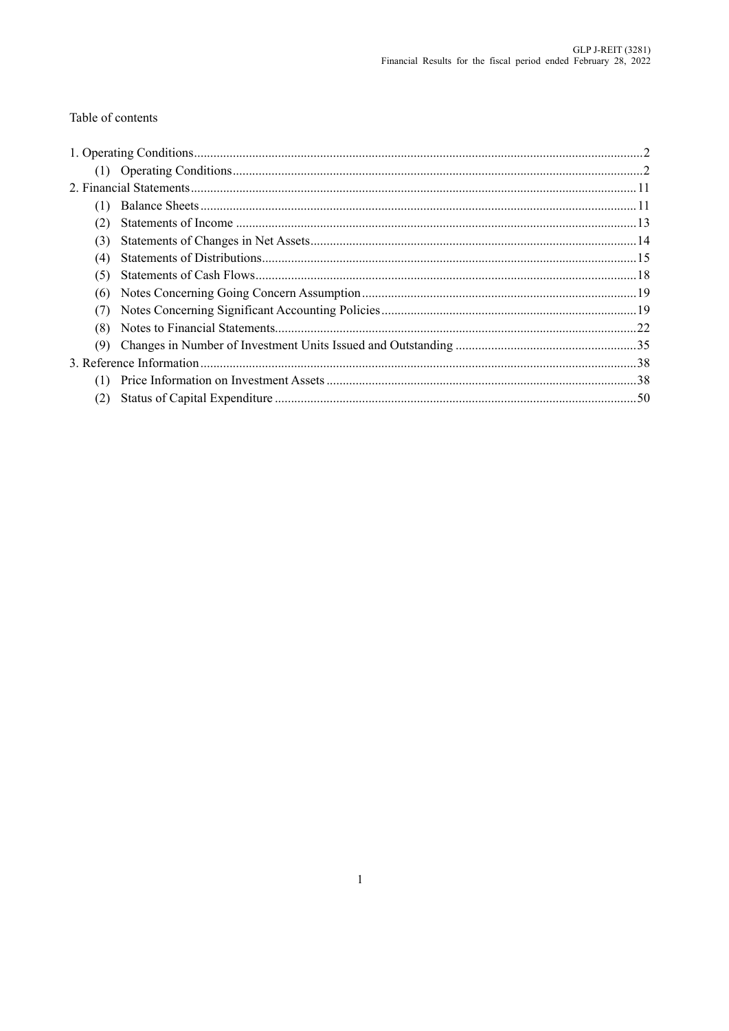# Table of contents

| (1) |  |
|-----|--|
| (2) |  |
| (3) |  |
| (4) |  |
| (5) |  |
| (6) |  |
| (7) |  |
| (8) |  |
| (9) |  |
|     |  |
| (1) |  |
| (2) |  |
|     |  |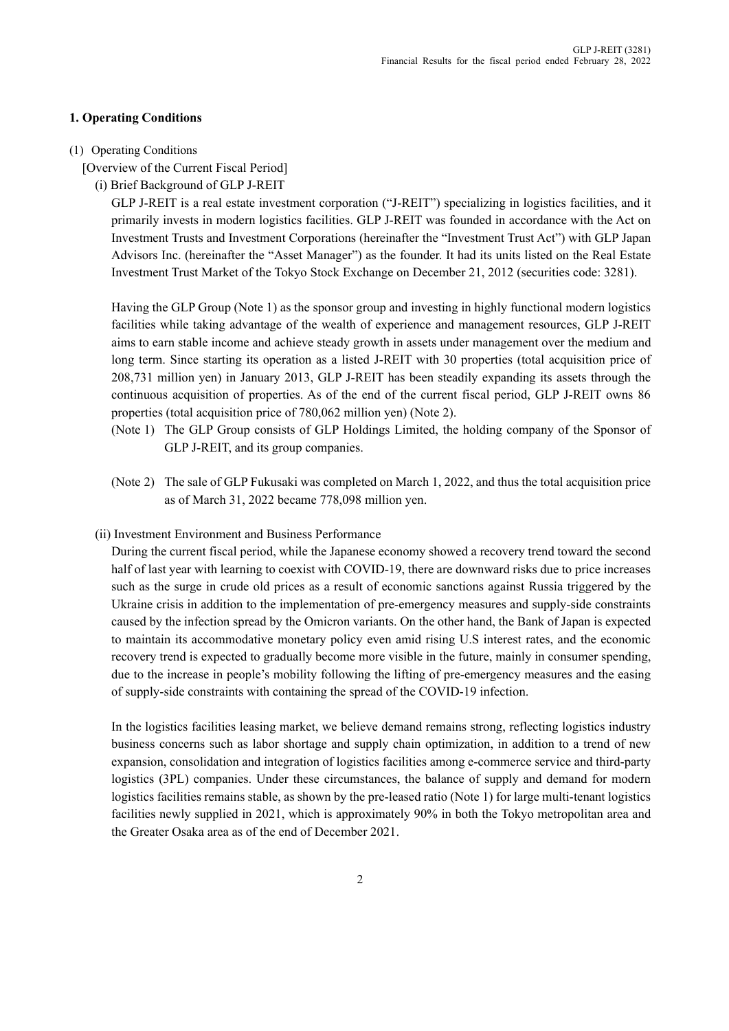## **1. Operating Conditions**

### (1) Operating Conditions

- [Overview of the Current Fiscal Period]
	- (i) Brief Background of GLP J-REIT

GLP J-REIT is a real estate investment corporation ("J-REIT") specializing in logistics facilities, and it primarily invests in modern logistics facilities. GLP J-REIT was founded in accordance with the Act on Investment Trusts and Investment Corporations (hereinafter the "Investment Trust Act") with GLP Japan Advisors Inc. (hereinafter the "Asset Manager") as the founder. It had its units listed on the Real Estate Investment Trust Market of the Tokyo Stock Exchange on December 21, 2012 (securities code: 3281).

Having the GLP Group (Note 1) as the sponsor group and investing in highly functional modern logistics facilities while taking advantage of the wealth of experience and management resources, GLP J-REIT aims to earn stable income and achieve steady growth in assets under management over the medium and long term. Since starting its operation as a listed J-REIT with 30 properties (total acquisition price of 208,731 million yen) in January 2013, GLP J-REIT has been steadily expanding its assets through the continuous acquisition of properties. As of the end of the current fiscal period, GLP J-REIT owns 86 properties (total acquisition price of 780,062 million yen) (Note 2).

- (Note 1) The GLP Group consists of GLP Holdings Limited, the holding company of the Sponsor of GLP J-REIT, and its group companies.
- (Note 2) The sale of GLP Fukusaki was completed on March 1, 2022, and thus the total acquisition price as of March 31, 2022 became 778,098 million yen.
- (ii) Investment Environment and Business Performance

During the current fiscal period, while the Japanese economy showed a recovery trend toward the second half of last year with learning to coexist with COVID-19, there are downward risks due to price increases such as the surge in crude old prices as a result of economic sanctions against Russia triggered by the Ukraine crisis in addition to the implementation of pre-emergency measures and supply-side constraints caused by the infection spread by the Omicron variants. On the other hand, the Bank of Japan is expected to maintain its accommodative monetary policy even amid rising U.S interest rates, and the economic recovery trend is expected to gradually become more visible in the future, mainly in consumer spending, due to the increase in people's mobility following the lifting of pre-emergency measures and the easing of supply-side constraints with containing the spread of the COVID-19 infection.

In the logistics facilities leasing market, we believe demand remains strong, reflecting logistics industry business concerns such as labor shortage and supply chain optimization, in addition to a trend of new expansion, consolidation and integration of logistics facilities among e-commerce service and third-party logistics (3PL) companies. Under these circumstances, the balance of supply and demand for modern logistics facilities remains stable, as shown by the pre-leased ratio (Note 1) for large multi-tenant logistics facilities newly supplied in 2021, which is approximately 90% in both the Tokyo metropolitan area and the Greater Osaka area as of the end of December 2021.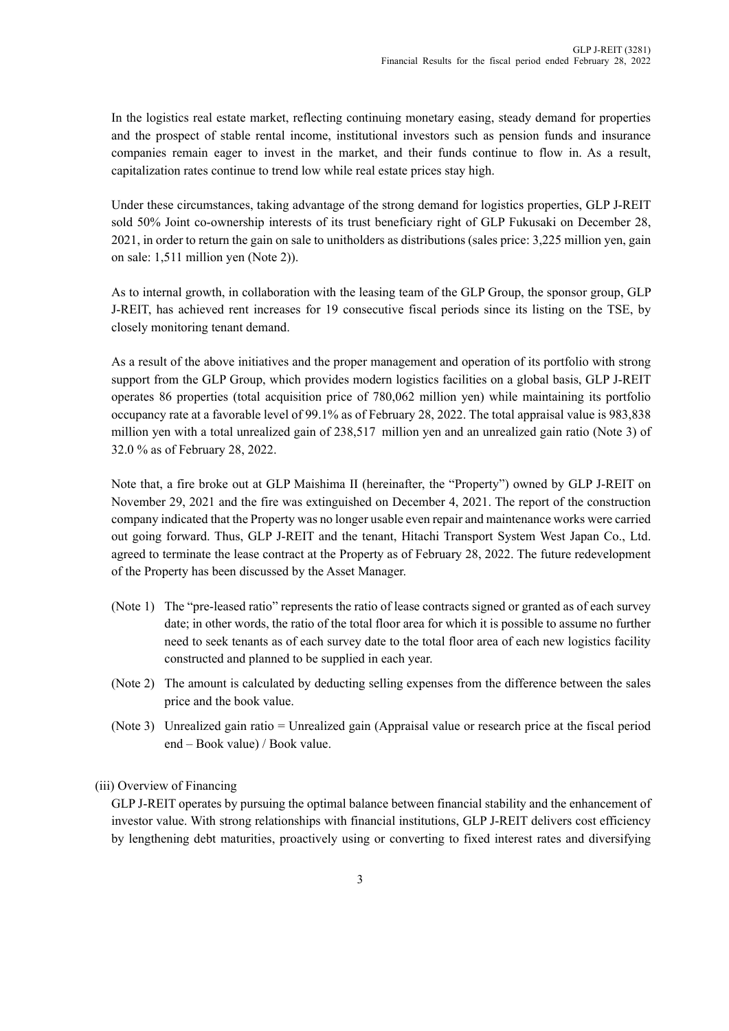In the logistics real estate market, reflecting continuing monetary easing, steady demand for properties and the prospect of stable rental income, institutional investors such as pension funds and insurance companies remain eager to invest in the market, and their funds continue to flow in. As a result, capitalization rates continue to trend low while real estate prices stay high.

Under these circumstances, taking advantage of the strong demand for logistics properties, GLP J-REIT sold 50% Joint co-ownership interests of its trust beneficiary right of GLP Fukusaki on December 28, 2021, in order to return the gain on sale to unitholders as distributions (sales price: 3,225 million yen, gain on sale: 1,511 million yen (Note 2)).

As to internal growth, in collaboration with the leasing team of the GLP Group, the sponsor group, GLP J-REIT, has achieved rent increases for 19 consecutive fiscal periods since its listing on the TSE, by closely monitoring tenant demand.

As a result of the above initiatives and the proper management and operation of its portfolio with strong support from the GLP Group, which provides modern logistics facilities on a global basis, GLP J-REIT operates 86 properties (total acquisition price of 780,062 million yen) while maintaining its portfolio occupancy rate at a favorable level of 99.1% as of February 28, 2022. The total appraisal value is 983,838 million yen with a total unrealized gain of 238,517 million yen and an unrealized gain ratio (Note 3) of 32.0 % as of February 28, 2022.

Note that, a fire broke out at GLP Maishima II (hereinafter, the "Property") owned by GLP J-REIT on November 29, 2021 and the fire was extinguished on December 4, 2021. The report of the construction company indicated that the Property was no longer usable even repair and maintenance works were carried out going forward. Thus, GLP J-REIT and the tenant, Hitachi Transport System West Japan Co., Ltd. agreed to terminate the lease contract at the Property as of February 28, 2022. The future redevelopment of the Property has been discussed by the Asset Manager.

- (Note 1) The "pre-leased ratio" represents the ratio of lease contracts signed or granted as of each survey date; in other words, the ratio of the total floor area for which it is possible to assume no further need to seek tenants as of each survey date to the total floor area of each new logistics facility constructed and planned to be supplied in each year.
- (Note 2) The amount is calculated by deducting selling expenses from the difference between the sales price and the book value.
- (Note 3) Unrealized gain ratio = Unrealized gain (Appraisal value or research price at the fiscal period end – Book value) / Book value.

# (iii) Overview of Financing

GLP J-REIT operates by pursuing the optimal balance between financial stability and the enhancement of investor value. With strong relationships with financial institutions, GLP J-REIT delivers cost efficiency by lengthening debt maturities, proactively using or converting to fixed interest rates and diversifying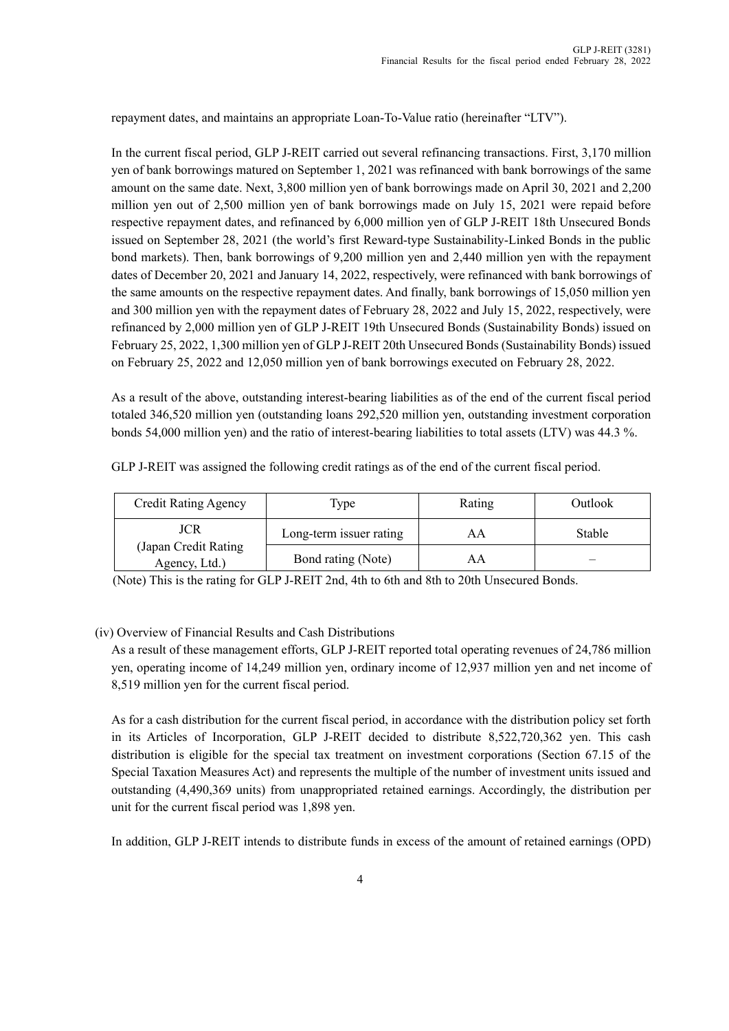repayment dates, and maintains an appropriate Loan-To-Value ratio (hereinafter "LTV").

In the current fiscal period, GLP J-REIT carried out several refinancing transactions. First, 3,170 million yen of bank borrowings matured on September 1, 2021 was refinanced with bank borrowings of the same amount on the same date. Next, 3,800 million yen of bank borrowings made on April 30, 2021 and 2,200 million yen out of 2,500 million yen of bank borrowings made on July 15, 2021 were repaid before respective repayment dates, and refinanced by 6,000 million yen of GLP J-REIT 18th Unsecured Bonds issued on September 28, 2021 (the world's first Reward-type Sustainability-Linked Bonds in the public bond markets). Then, bank borrowings of 9,200 million yen and 2,440 million yen with the repayment dates of December 20, 2021 and January 14, 2022, respectively, were refinanced with bank borrowings of the same amounts on the respective repayment dates. And finally, bank borrowings of 15,050 million yen and 300 million yen with the repayment dates of February 28, 2022 and July 15, 2022, respectively, were refinanced by 2,000 million yen of GLP J-REIT 19th Unsecured Bonds (Sustainability Bonds) issued on February 25, 2022, 1,300 million yen of GLP J-REIT 20th Unsecured Bonds (Sustainability Bonds) issued on February 25, 2022 and 12,050 million yen of bank borrowings executed on February 28, 2022.

As a result of the above, outstanding interest-bearing liabilities as of the end of the current fiscal period totaled 346,520 million yen (outstanding loans 292,520 million yen, outstanding investment corporation bonds 54,000 million yen) and the ratio of interest-bearing liabilities to total assets (LTV) was 44.3 %.

GLP J-REIT was assigned the following credit ratings as of the end of the current fiscal period.

| <b>Credit Rating Agency</b>                          | Type                    | Rating | Outlook |
|------------------------------------------------------|-------------------------|--------|---------|
| <b>JCR</b><br>(Japan Credit Rating)<br>Agency, Ltd.) | Long-term issuer rating | AΑ     | Stable  |
|                                                      | Bond rating (Note)      | AΑ     |         |

(Note) This is the rating for GLP J-REIT 2nd, 4th to 6th and 8th to 20th Unsecured Bonds.

### (iv) Overview of Financial Results and Cash Distributions

As a result of these management efforts, GLP J-REIT reported total operating revenues of 24,786 million yen, operating income of 14,249 million yen, ordinary income of 12,937 million yen and net income of 8,519 million yen for the current fiscal period.

As for a cash distribution for the current fiscal period, in accordance with the distribution policy set forth in its Articles of Incorporation, GLP J-REIT decided to distribute 8,522,720,362 yen. This cash distribution is eligible for the special tax treatment on investment corporations (Section 67.15 of the Special Taxation Measures Act) and represents the multiple of the number of investment units issued and outstanding (4,490,369 units) from unappropriated retained earnings. Accordingly, the distribution per unit for the current fiscal period was 1,898 yen.

In addition, GLP J-REIT intends to distribute funds in excess of the amount of retained earnings (OPD)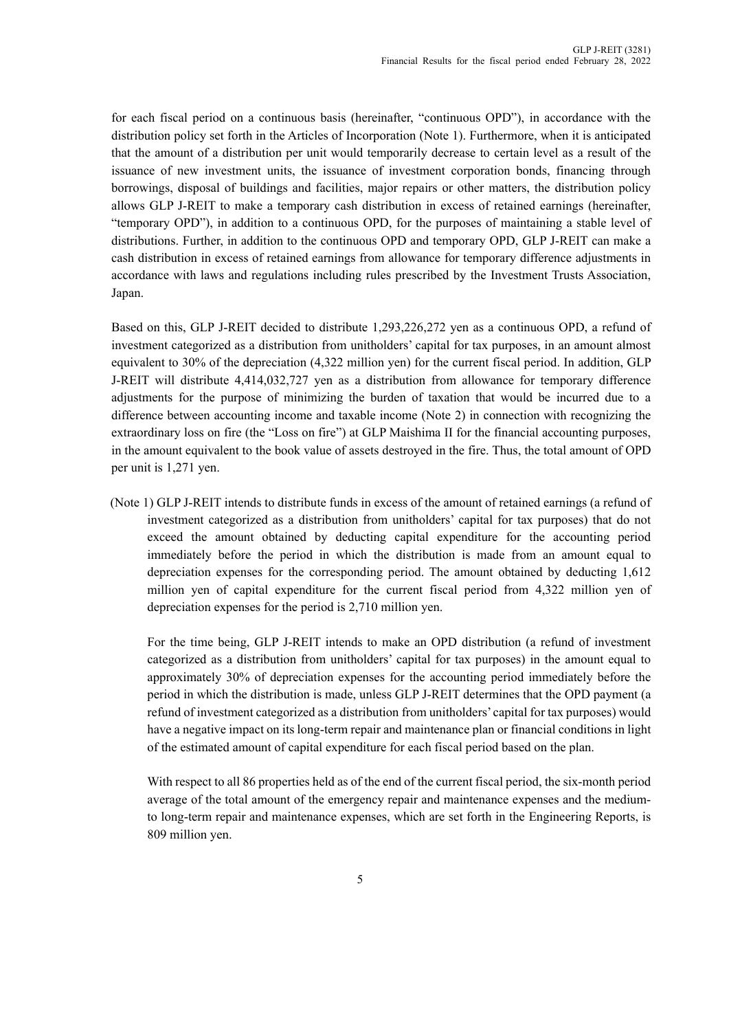for each fiscal period on a continuous basis (hereinafter, "continuous OPD"), in accordance with the distribution policy set forth in the Articles of Incorporation (Note 1). Furthermore, when it is anticipated that the amount of a distribution per unit would temporarily decrease to certain level as a result of the issuance of new investment units, the issuance of investment corporation bonds, financing through borrowings, disposal of buildings and facilities, major repairs or other matters, the distribution policy allows GLP J-REIT to make a temporary cash distribution in excess of retained earnings (hereinafter, "temporary OPD"), in addition to a continuous OPD, for the purposes of maintaining a stable level of distributions. Further, in addition to the continuous OPD and temporary OPD, GLP J-REIT can make a cash distribution in excess of retained earnings from allowance for temporary difference adjustments in accordance with laws and regulations including rules prescribed by the Investment Trusts Association, Japan.

Based on this, GLP J-REIT decided to distribute 1,293,226,272 yen as a continuous OPD, a refund of investment categorized as a distribution from unitholders' capital for tax purposes, in an amount almost equivalent to 30% of the depreciation (4,322 million yen) for the current fiscal period. In addition, GLP J-REIT will distribute 4,414,032,727 yen as a distribution from allowance for temporary difference adjustments for the purpose of minimizing the burden of taxation that would be incurred due to a difference between accounting income and taxable income (Note 2) in connection with recognizing the extraordinary loss on fire (the "Loss on fire") at GLP Maishima II for the financial accounting purposes, in the amount equivalent to the book value of assets destroyed in the fire. Thus, the total amount of OPD per unit is 1,271 yen.

(Note 1) GLP J-REIT intends to distribute funds in excess of the amount of retained earnings (a refund of investment categorized as a distribution from unitholders' capital for tax purposes) that do not exceed the amount obtained by deducting capital expenditure for the accounting period immediately before the period in which the distribution is made from an amount equal to depreciation expenses for the corresponding period. The amount obtained by deducting 1,612 million yen of capital expenditure for the current fiscal period from 4,322 million yen of depreciation expenses for the period is 2,710 million yen.

 For the time being, GLP J-REIT intends to make an OPD distribution (a refund of investment categorized as a distribution from unitholders' capital for tax purposes) in the amount equal to approximately 30% of depreciation expenses for the accounting period immediately before the period in which the distribution is made, unless GLP J-REIT determines that the OPD payment (a refund of investment categorized as a distribution from unitholders' capital for tax purposes) would have a negative impact on its long-term repair and maintenance plan or financial conditions in light of the estimated amount of capital expenditure for each fiscal period based on the plan.

 With respect to all 86 properties held as of the end of the current fiscal period, the six-month period average of the total amount of the emergency repair and maintenance expenses and the mediumto long-term repair and maintenance expenses, which are set forth in the Engineering Reports, is 809 million yen.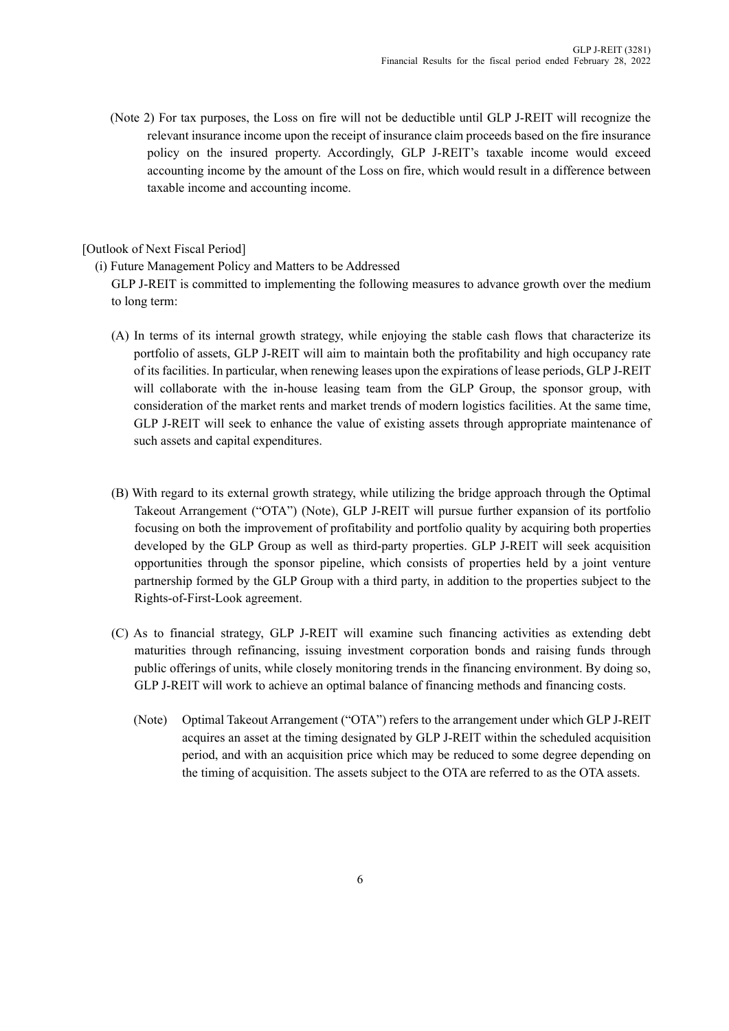(Note 2) For tax purposes, the Loss on fire will not be deductible until GLP J-REIT will recognize the relevant insurance income upon the receipt of insurance claim proceeds based on the fire insurance policy on the insured property. Accordingly, GLP J-REIT's taxable income would exceed accounting income by the amount of the Loss on fire, which would result in a difference between taxable income and accounting income.

# [Outlook of Next Fiscal Period]

(i) Future Management Policy and Matters to be Addressed

GLP J-REIT is committed to implementing the following measures to advance growth over the medium to long term:

- (A) In terms of its internal growth strategy, while enjoying the stable cash flows that characterize its portfolio of assets, GLP J-REIT will aim to maintain both the profitability and high occupancy rate of its facilities. In particular, when renewing leases upon the expirations of lease periods, GLP J-REIT will collaborate with the in-house leasing team from the GLP Group, the sponsor group, with consideration of the market rents and market trends of modern logistics facilities. At the same time, GLP J-REIT will seek to enhance the value of existing assets through appropriate maintenance of such assets and capital expenditures.
- (B) With regard to its external growth strategy, while utilizing the bridge approach through the Optimal Takeout Arrangement ("OTA") (Note), GLP J-REIT will pursue further expansion of its portfolio focusing on both the improvement of profitability and portfolio quality by acquiring both properties developed by the GLP Group as well as third-party properties. GLP J-REIT will seek acquisition opportunities through the sponsor pipeline, which consists of properties held by a joint venture partnership formed by the GLP Group with a third party, in addition to the properties subject to the Rights-of-First-Look agreement.
- (C) As to financial strategy, GLP J-REIT will examine such financing activities as extending debt maturities through refinancing, issuing investment corporation bonds and raising funds through public offerings of units, while closely monitoring trends in the financing environment. By doing so, GLP J-REIT will work to achieve an optimal balance of financing methods and financing costs.
	- (Note) Optimal Takeout Arrangement ("OTA") refers to the arrangement under which GLP J-REIT acquires an asset at the timing designated by GLP J-REIT within the scheduled acquisition period, and with an acquisition price which may be reduced to some degree depending on the timing of acquisition. The assets subject to the OTA are referred to as the OTA assets.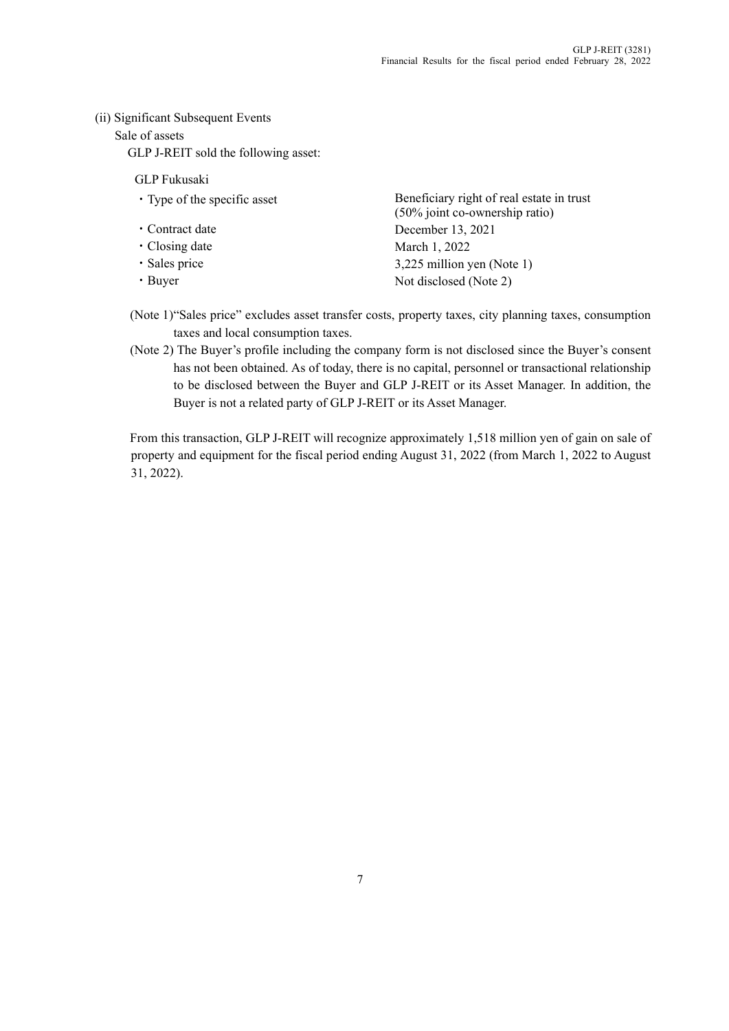# (ii) Significant Subsequent Events

# Sale of assets

GLP J-REIT sold the following asset:

# GLP Fukusaki

- 
- 
- 
- 
- 

• Type of the specific asset Beneficiary right of real estate in trust (50% joint co-ownership ratio) ・Contract date December 13, 2021 • Closing date March 1, 2022 ・Sales price 3,225 million yen (Note 1) • Buyer Not disclosed (Note 2)

- (Note 1) "Sales price" excludes asset transfer costs, property taxes, city planning taxes, consumption taxes and local consumption taxes.
- (Note 2) The Buyer's profile including the company form is not disclosed since the Buyer's consent has not been obtained. As of today, there is no capital, personnel or transactional relationship to be disclosed between the Buyer and GLP J-REIT or its Asset Manager. In addition, the Buyer is not a related party of GLP J-REIT or its Asset Manager.

From this transaction, GLP J-REIT will recognize approximately 1,518 million yen of gain on sale of property and equipment for the fiscal period ending August 31, 2022 (from March 1, 2022 to August 31, 2022).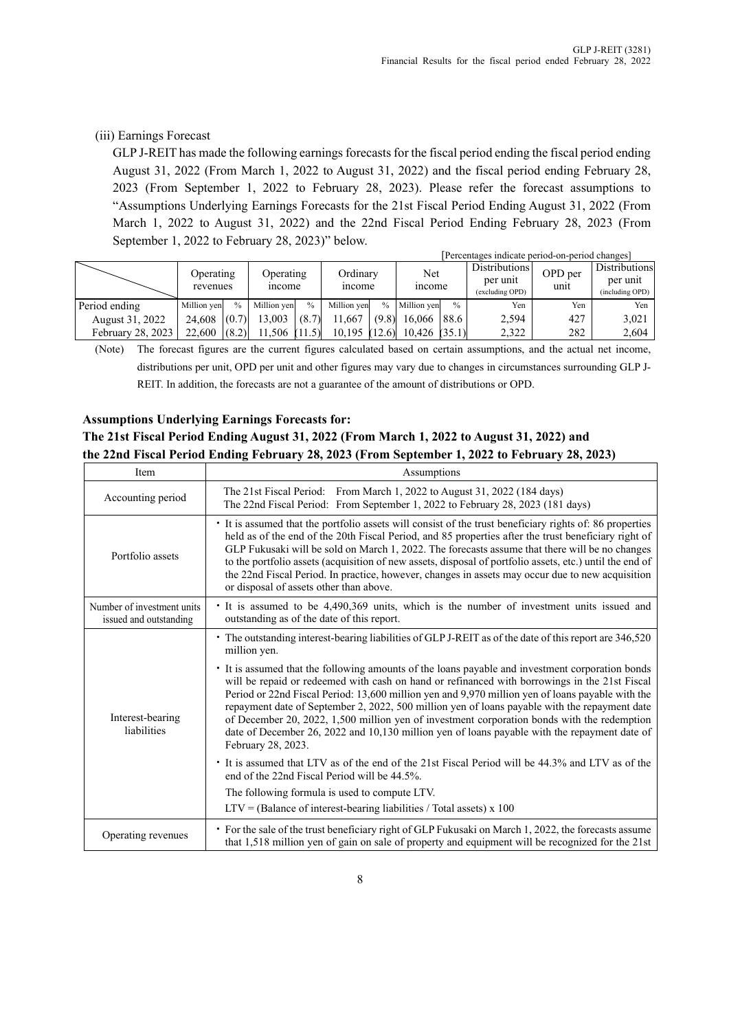# (iii) Earnings Forecast

GLP J-REIT has made the following earnings forecasts for the fiscal period ending the fiscal period ending August 31, 2022 (From March 1, 2022 to August 31, 2022) and the fiscal period ending February 28, 2023 (From September 1, 2022 to February 28, 2023). Please refer the forecast assumptions to "Assumptions Underlying Earnings Forecasts for the 21st Fiscal Period Ending August 31, 2022 (From March 1, 2022 to August 31, 2022) and the 22nd Fiscal Period Ending February 28, 2023 (From September 1, 2022 to February 28, 2023)" below.

|                   |                       |               |                    |       |                   |       |                      |               | [Percentages indicate period-on-period changes] |                 |                                              |
|-------------------|-----------------------|---------------|--------------------|-------|-------------------|-------|----------------------|---------------|-------------------------------------------------|-----------------|----------------------------------------------|
|                   | Operating<br>revenues |               | Operating<br>mcome |       | Ordinary<br>mcome |       | Net<br><i>n</i> come |               | Distributions<br>per unit<br>(excluding OPD)    | OPD per<br>unit | Distributions<br>per unit<br>(including OPD) |
| Period ending     | Million yen           | $\frac{0}{0}$ | Million ven        | $\%$  | Million ven       |       | % Million ven        | $\frac{0}{0}$ | Yen                                             | Yen             | Yen                                          |
| August 31, 2022   | 24.608                | (0.7)         | 13,003             | (8.7) | 1.667             | (9.8) | 16,066   88.6        |               | 2,594                                           | 427             | 3,021                                        |
| February 28, 2023 | 22,600                | (8.2)         | $11.506$ (11.5)    |       | $10.195$ (12.6)   |       | $10,426$ (35.1)      |               | 2,322                                           | 282             | 2,604                                        |

(Note) The forecast figures are the current figures calculated based on certain assumptions, and the actual net income, distributions per unit, OPD per unit and other figures may vary due to changes in circumstances surrounding GLP J-REIT. In addition, the forecasts are not a guarantee of the amount of distributions or OPD.

# **Assumptions Underlying Earnings Forecasts for:**

# **The 21st Fiscal Period Ending August 31, 2022 (From March 1, 2022 to August 31, 2022) and the 22nd Fiscal Period Ending February 28, 2023 (From September 1, 2022 to February 28, 2023)**

| Item                                                 | Assumptions                                                                                                                                                                                                                                                                                                                                                                                                                                                                                                                                                                                                                                                                                                                                                                                                                                                                                                                                                                                                                           |
|------------------------------------------------------|---------------------------------------------------------------------------------------------------------------------------------------------------------------------------------------------------------------------------------------------------------------------------------------------------------------------------------------------------------------------------------------------------------------------------------------------------------------------------------------------------------------------------------------------------------------------------------------------------------------------------------------------------------------------------------------------------------------------------------------------------------------------------------------------------------------------------------------------------------------------------------------------------------------------------------------------------------------------------------------------------------------------------------------|
| Accounting period                                    | The 21st Fiscal Period: From March 1, 2022 to August 31, 2022 (184 days)<br>The 22nd Fiscal Period: From September 1, 2022 to February 28, 2023 (181 days)                                                                                                                                                                                                                                                                                                                                                                                                                                                                                                                                                                                                                                                                                                                                                                                                                                                                            |
| Portfolio assets                                     | It is assumed that the portfolio assets will consist of the trust beneficiary rights of: 86 properties<br>held as of the end of the 20th Fiscal Period, and 85 properties after the trust beneficiary right of<br>GLP Fukusaki will be sold on March 1, 2022. The forecasts assume that there will be no changes<br>to the portfolio assets (acquisition of new assets, disposal of portfolio assets, etc.) until the end of<br>the 22nd Fiscal Period. In practice, however, changes in assets may occur due to new acquisition<br>or disposal of assets other than above.                                                                                                                                                                                                                                                                                                                                                                                                                                                           |
| Number of investment units<br>issued and outstanding | It is assumed to be 4,490,369 units, which is the number of investment units issued and<br>outstanding as of the date of this report.                                                                                                                                                                                                                                                                                                                                                                                                                                                                                                                                                                                                                                                                                                                                                                                                                                                                                                 |
| Interest-bearing<br>liabilities                      | • The outstanding interest-bearing liabilities of GLP J-REIT as of the date of this report are 346,520<br>million yen.<br>It is assumed that the following amounts of the loans payable and investment corporation bonds<br>will be repaid or redeemed with cash on hand or refinanced with borrowings in the 21st Fiscal<br>Period or 22nd Fiscal Period: 13,600 million yen and 9,970 million yen of loans payable with the<br>repayment date of September 2, 2022, 500 million yen of loans payable with the repayment date<br>of December 20, 2022, 1,500 million yen of investment corporation bonds with the redemption<br>date of December 26, 2022 and 10,130 million yen of loans payable with the repayment date of<br>February 28, 2023.<br>It is assumed that LTV as of the end of the 21st Fiscal Period will be 44.3% and LTV as of the<br>end of the 22nd Fiscal Period will be 44.5%.<br>The following formula is used to compute LTV.<br>$LTV = (Balance of interest-bearing liabilities / Total assets) \times 100$ |
| Operating revenues                                   | • For the sale of the trust beneficiary right of GLP Fukusaki on March 1, 2022, the forecasts assume<br>that 1,518 million yen of gain on sale of property and equipment will be recognized for the 21st                                                                                                                                                                                                                                                                                                                                                                                                                                                                                                                                                                                                                                                                                                                                                                                                                              |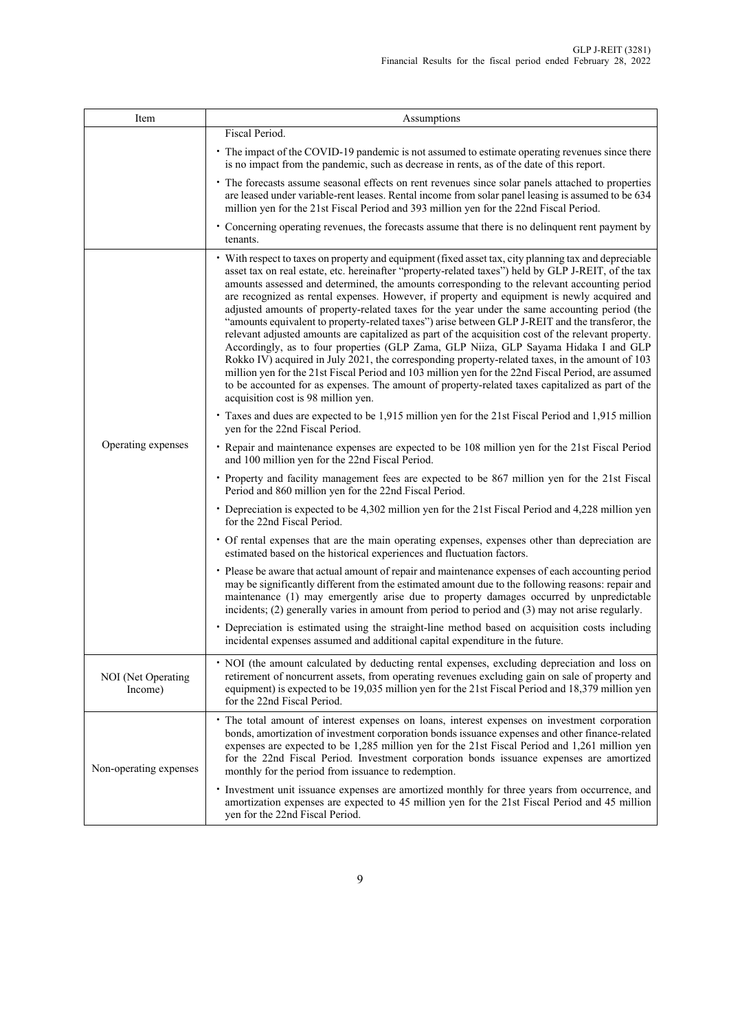| Item                          | Assumptions                                                                                                                                                                                                                                                                                                                                                                                                                                                                                                                                                                                                                                                                                                                                                                                                                                                                                                                                                                                                                                                                                                                                                         |
|-------------------------------|---------------------------------------------------------------------------------------------------------------------------------------------------------------------------------------------------------------------------------------------------------------------------------------------------------------------------------------------------------------------------------------------------------------------------------------------------------------------------------------------------------------------------------------------------------------------------------------------------------------------------------------------------------------------------------------------------------------------------------------------------------------------------------------------------------------------------------------------------------------------------------------------------------------------------------------------------------------------------------------------------------------------------------------------------------------------------------------------------------------------------------------------------------------------|
|                               | Fiscal Period.                                                                                                                                                                                                                                                                                                                                                                                                                                                                                                                                                                                                                                                                                                                                                                                                                                                                                                                                                                                                                                                                                                                                                      |
|                               | • The impact of the COVID-19 pandemic is not assumed to estimate operating revenues since there<br>is no impact from the pandemic, such as decrease in rents, as of the date of this report.                                                                                                                                                                                                                                                                                                                                                                                                                                                                                                                                                                                                                                                                                                                                                                                                                                                                                                                                                                        |
|                               | • The forecasts assume seasonal effects on rent revenues since solar panels attached to properties<br>are leased under variable-rent leases. Rental income from solar panel leasing is assumed to be 634<br>million yen for the 21st Fiscal Period and 393 million yen for the 22nd Fiscal Period.                                                                                                                                                                                                                                                                                                                                                                                                                                                                                                                                                                                                                                                                                                                                                                                                                                                                  |
|                               | • Concerning operating revenues, the forecasts assume that there is no delinquent rent payment by<br>tenants.                                                                                                                                                                                                                                                                                                                                                                                                                                                                                                                                                                                                                                                                                                                                                                                                                                                                                                                                                                                                                                                       |
|                               | • With respect to taxes on property and equipment (fixed asset tax, city planning tax and depreciable<br>asset tax on real estate, etc. hereinafter "property-related taxes") held by GLP J-REIT, of the tax<br>amounts assessed and determined, the amounts corresponding to the relevant accounting period<br>are recognized as rental expenses. However, if property and equipment is newly acquired and<br>adjusted amounts of property-related taxes for the year under the same accounting period (the<br>"amounts equivalent to property-related taxes") arise between GLP J-REIT and the transferor, the<br>relevant adjusted amounts are capitalized as part of the acquisition cost of the relevant property.<br>Accordingly, as to four properties (GLP Zama, GLP Niiza, GLP Sayama Hidaka I and GLP<br>Rokko IV) acquired in July 2021, the corresponding property-related taxes, in the amount of 103<br>million yen for the 21st Fiscal Period and 103 million yen for the 22nd Fiscal Period, are assumed<br>to be accounted for as expenses. The amount of property-related taxes capitalized as part of the<br>acquisition cost is 98 million yen. |
|                               | • Taxes and dues are expected to be 1,915 million yen for the 21st Fiscal Period and 1,915 million<br>yen for the 22nd Fiscal Period.                                                                                                                                                                                                                                                                                                                                                                                                                                                                                                                                                                                                                                                                                                                                                                                                                                                                                                                                                                                                                               |
| Operating expenses            | • Repair and maintenance expenses are expected to be 108 million yen for the 21st Fiscal Period<br>and 100 million yen for the 22nd Fiscal Period.                                                                                                                                                                                                                                                                                                                                                                                                                                                                                                                                                                                                                                                                                                                                                                                                                                                                                                                                                                                                                  |
|                               | • Property and facility management fees are expected to be 867 million yen for the 21st Fiscal<br>Period and 860 million yen for the 22nd Fiscal Period.                                                                                                                                                                                                                                                                                                                                                                                                                                                                                                                                                                                                                                                                                                                                                                                                                                                                                                                                                                                                            |
|                               | • Depreciation is expected to be 4,302 million yen for the 21st Fiscal Period and 4,228 million yen<br>for the 22nd Fiscal Period.                                                                                                                                                                                                                                                                                                                                                                                                                                                                                                                                                                                                                                                                                                                                                                                                                                                                                                                                                                                                                                  |
|                               | • Of rental expenses that are the main operating expenses, expenses other than depreciation are<br>estimated based on the historical experiences and fluctuation factors.                                                                                                                                                                                                                                                                                                                                                                                                                                                                                                                                                                                                                                                                                                                                                                                                                                                                                                                                                                                           |
|                               | • Please be aware that actual amount of repair and maintenance expenses of each accounting period<br>may be significantly different from the estimated amount due to the following reasons: repair and<br>maintenance (1) may emergently arise due to property damages occurred by unpredictable<br>incidents; (2) generally varies in amount from period to period and (3) may not arise regularly.                                                                                                                                                                                                                                                                                                                                                                                                                                                                                                                                                                                                                                                                                                                                                                |
|                               | • Depreciation is estimated using the straight-line method based on acquisition costs including<br>incidental expenses assumed and additional capital expenditure in the future.                                                                                                                                                                                                                                                                                                                                                                                                                                                                                                                                                                                                                                                                                                                                                                                                                                                                                                                                                                                    |
| NOI (Net Operating<br>Income) | • NOI (the amount calculated by deducting rental expenses, excluding depreciation and loss on<br>retirement of noncurrent assets, from operating revenues excluding gain on sale of property and<br>equipment) is expected to be 19,035 million yen for the 21st Fiscal Period and 18,379 million yen<br>for the 22nd Fiscal Period.                                                                                                                                                                                                                                                                                                                                                                                                                                                                                                                                                                                                                                                                                                                                                                                                                                |
| Non-operating expenses        | · The total amount of interest expenses on loans, interest expenses on investment corporation<br>bonds, amortization of investment corporation bonds issuance expenses and other finance-related<br>expenses are expected to be 1,285 million yen for the 21st Fiscal Period and 1,261 million yen<br>for the 22nd Fiscal Period. Investment corporation bonds issuance expenses are amortized<br>monthly for the period from issuance to redemption.                                                                                                                                                                                                                                                                                                                                                                                                                                                                                                                                                                                                                                                                                                               |
|                               | · Investment unit issuance expenses are amortized monthly for three years from occurrence, and<br>amortization expenses are expected to 45 million yen for the 21st Fiscal Period and 45 million<br>yen for the 22nd Fiscal Period.                                                                                                                                                                                                                                                                                                                                                                                                                                                                                                                                                                                                                                                                                                                                                                                                                                                                                                                                 |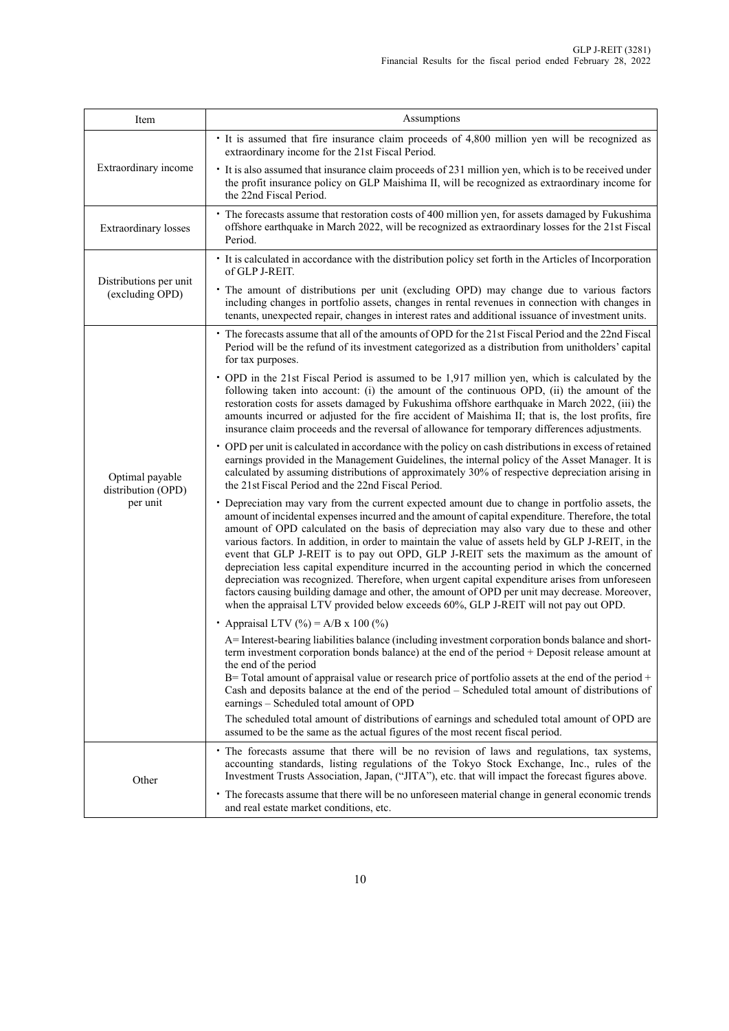| Item                                              | Assumptions                                                                                                                                                                                                                                                                                                                                                                                                                                                                                                                                                                                                                                                                                                                                                                                                                                                                                   |
|---------------------------------------------------|-----------------------------------------------------------------------------------------------------------------------------------------------------------------------------------------------------------------------------------------------------------------------------------------------------------------------------------------------------------------------------------------------------------------------------------------------------------------------------------------------------------------------------------------------------------------------------------------------------------------------------------------------------------------------------------------------------------------------------------------------------------------------------------------------------------------------------------------------------------------------------------------------|
|                                                   | • It is assumed that fire insurance claim proceeds of 4,800 million yen will be recognized as<br>extraordinary income for the 21st Fiscal Period.                                                                                                                                                                                                                                                                                                                                                                                                                                                                                                                                                                                                                                                                                                                                             |
| Extraordinary income                              | • It is also assumed that insurance claim proceeds of 231 million yen, which is to be received under<br>the profit insurance policy on GLP Maishima II, will be recognized as extraordinary income for<br>the 22nd Fiscal Period.                                                                                                                                                                                                                                                                                                                                                                                                                                                                                                                                                                                                                                                             |
| Extraordinary losses                              | • The forecasts assume that restoration costs of 400 million yen, for assets damaged by Fukushima<br>offshore earthquake in March 2022, will be recognized as extraordinary losses for the 21st Fiscal<br>Period.                                                                                                                                                                                                                                                                                                                                                                                                                                                                                                                                                                                                                                                                             |
|                                                   | • It is calculated in accordance with the distribution policy set forth in the Articles of Incorporation<br>of GLP J-REIT.                                                                                                                                                                                                                                                                                                                                                                                                                                                                                                                                                                                                                                                                                                                                                                    |
| Distributions per unit<br>(excluding OPD)         | • The amount of distributions per unit (excluding OPD) may change due to various factors<br>including changes in portfolio assets, changes in rental revenues in connection with changes in<br>tenants, unexpected repair, changes in interest rates and additional issuance of investment units.                                                                                                                                                                                                                                                                                                                                                                                                                                                                                                                                                                                             |
|                                                   | • The forecasts assume that all of the amounts of OPD for the 21st Fiscal Period and the 22nd Fiscal<br>Period will be the refund of its investment categorized as a distribution from unitholders' capital<br>for tax purposes.                                                                                                                                                                                                                                                                                                                                                                                                                                                                                                                                                                                                                                                              |
| Optimal payable<br>distribution (OPD)<br>per unit | • OPD in the 21st Fiscal Period is assumed to be 1,917 million yen, which is calculated by the<br>following taken into account: (i) the amount of the continuous OPD, (ii) the amount of the<br>restoration costs for assets damaged by Fukushima offshore earthquake in March 2022, (iii) the<br>amounts incurred or adjusted for the fire accident of Maishima II; that is, the lost profits, fire<br>insurance claim proceeds and the reversal of allowance for temporary differences adjustments.                                                                                                                                                                                                                                                                                                                                                                                         |
|                                                   | • OPD per unit is calculated in accordance with the policy on cash distributions in excess of retained<br>earnings provided in the Management Guidelines, the internal policy of the Asset Manager. It is<br>calculated by assuming distributions of approximately 30% of respective depreciation arising in<br>the 21st Fiscal Period and the 22nd Fiscal Period.                                                                                                                                                                                                                                                                                                                                                                                                                                                                                                                            |
|                                                   | • Depreciation may vary from the current expected amount due to change in portfolio assets, the<br>amount of incidental expenses incurred and the amount of capital expenditure. Therefore, the total<br>amount of OPD calculated on the basis of depreciation may also vary due to these and other<br>various factors. In addition, in order to maintain the value of assets held by GLP J-REIT, in the<br>event that GLP J-REIT is to pay out OPD, GLP J-REIT sets the maximum as the amount of<br>depreciation less capital expenditure incurred in the accounting period in which the concerned<br>depreciation was recognized. Therefore, when urgent capital expenditure arises from unforeseen<br>factors causing building damage and other, the amount of OPD per unit may decrease. Moreover,<br>when the appraisal LTV provided below exceeds 60%, GLP J-REIT will not pay out OPD. |
|                                                   | • Appraisal LTV (%) = A/B x 100 (%)                                                                                                                                                                                                                                                                                                                                                                                                                                                                                                                                                                                                                                                                                                                                                                                                                                                           |
|                                                   | A= Interest-bearing liabilities balance (including investment corporation bonds balance and short-<br>term investment corporation bonds balance) at the end of the period + Deposit release amount at<br>the end of the period<br>$B$ = Total amount of appraisal value or research price of portfolio assets at the end of the period +<br>Cash and deposits balance at the end of the period - Scheduled total amount of distributions of<br>earnings – Scheduled total amount of OPD                                                                                                                                                                                                                                                                                                                                                                                                       |
|                                                   | The scheduled total amount of distributions of earnings and scheduled total amount of OPD are<br>assumed to be the same as the actual figures of the most recent fiscal period.                                                                                                                                                                                                                                                                                                                                                                                                                                                                                                                                                                                                                                                                                                               |
| Other                                             | • The forecasts assume that there will be no revision of laws and regulations, tax systems,<br>accounting standards, listing regulations of the Tokyo Stock Exchange, Inc., rules of the<br>Investment Trusts Association, Japan, ("JITA"), etc. that will impact the forecast figures above.                                                                                                                                                                                                                                                                                                                                                                                                                                                                                                                                                                                                 |
|                                                   | • The forecasts assume that there will be no unforeseen material change in general economic trends<br>and real estate market conditions, etc.                                                                                                                                                                                                                                                                                                                                                                                                                                                                                                                                                                                                                                                                                                                                                 |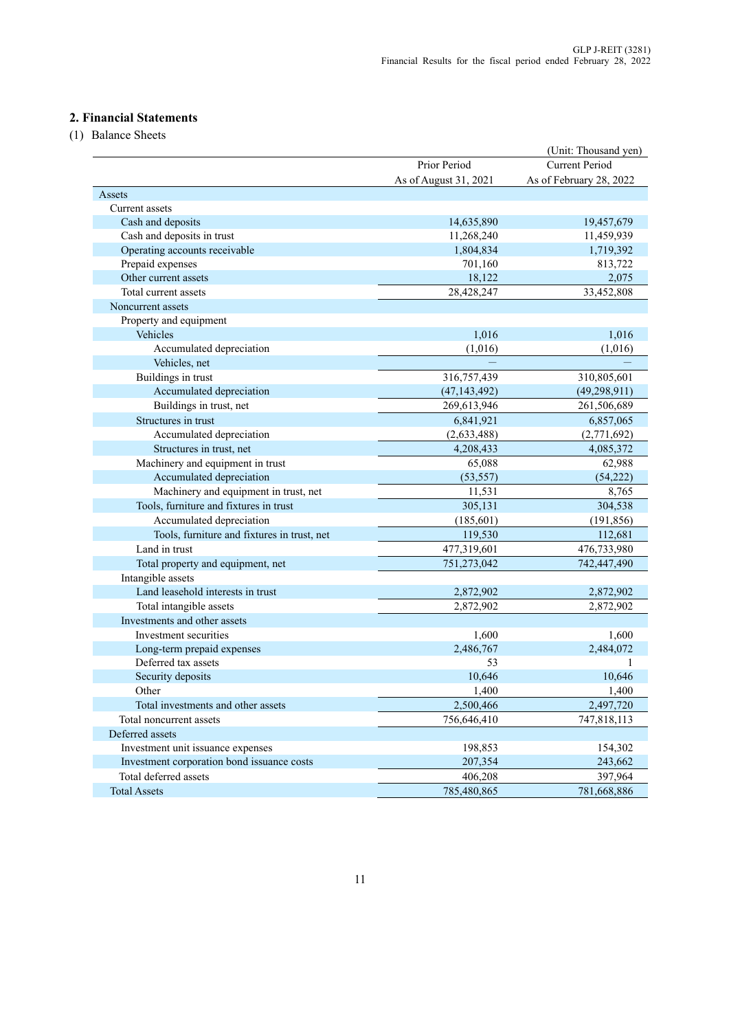# **2. Financial Statements**

(1) Balance Sheets

|                                             |                       | (Unit: Thousand yen)    |
|---------------------------------------------|-----------------------|-------------------------|
|                                             | Prior Period          | <b>Current Period</b>   |
|                                             | As of August 31, 2021 | As of February 28, 2022 |
| Assets                                      |                       |                         |
| Current assets                              |                       |                         |
| Cash and deposits                           | 14,635,890            | 19,457,679              |
| Cash and deposits in trust                  | 11,268,240            | 11,459,939              |
| Operating accounts receivable               | 1,804,834             | 1,719,392               |
| Prepaid expenses                            | 701,160               | 813,722                 |
| Other current assets                        | 18,122                | 2,075                   |
| Total current assets                        | 28,428,247            | 33,452,808              |
| Noncurrent assets                           |                       |                         |
| Property and equipment                      |                       |                         |
| Vehicles                                    | 1,016                 | 1,016                   |
| Accumulated depreciation                    | (1,016)               | (1,016)                 |
| Vehicles, net                               |                       |                         |
| Buildings in trust                          | 316,757,439           | 310,805,601             |
| Accumulated depreciation                    | (47, 143, 492)        | (49, 298, 911)          |
| Buildings in trust, net                     | 269,613,946           | 261,506,689             |
| Structures in trust                         | 6,841,921             | 6,857,065               |
| Accumulated depreciation                    | (2,633,488)           | (2,771,692)             |
| Structures in trust, net                    | 4,208,433             | 4,085,372               |
| Machinery and equipment in trust            | 65,088                | 62,988                  |
| Accumulated depreciation                    | (53, 557)             | (54, 222)               |
| Machinery and equipment in trust, net       | 11,531                | 8,765                   |
| Tools, furniture and fixtures in trust      | 305,131               | 304,538                 |
| Accumulated depreciation                    | (185,601)             | (191, 856)              |
| Tools, furniture and fixtures in trust, net | 119,530               | 112,681                 |
| Land in trust                               | 477,319,601           | 476,733,980             |
| Total property and equipment, net           | 751,273,042           | 742,447,490             |
| Intangible assets                           |                       |                         |
| Land leasehold interests in trust           | 2,872,902             | 2,872,902               |
| Total intangible assets                     | 2,872,902             | 2,872,902               |
| Investments and other assets                |                       |                         |
| Investment securities                       | 1,600                 | 1,600                   |
| Long-term prepaid expenses                  | 2,486,767             | 2,484,072               |
| Deferred tax assets                         | 53                    | 1                       |
| Security deposits                           | 10,646                | 10,646                  |
| Other                                       | 1.400                 | 1.400                   |
| Total investments and other assets          | 2,500,466             | 2,497,720               |
| Total noncurrent assets                     | 756,646,410           | 747,818,113             |
| Deferred assets                             |                       |                         |
| Investment unit issuance expenses           | 198,853               | 154,302                 |
| Investment corporation bond issuance costs  | 207,354               | 243,662                 |
| Total deferred assets                       | 406,208               | 397,964                 |
| <b>Total Assets</b>                         | 785,480,865           | 781,668,886             |
|                                             |                       |                         |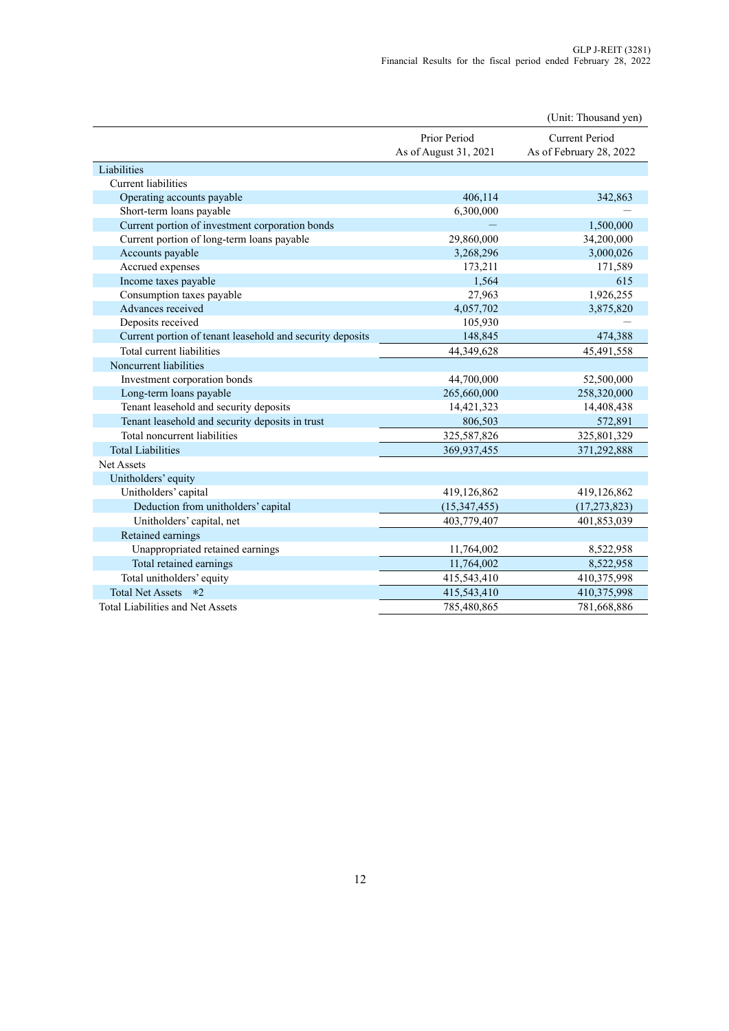|                                                           |                                       | (Unit: Thousand yen)                      |
|-----------------------------------------------------------|---------------------------------------|-------------------------------------------|
|                                                           | Prior Period<br>As of August 31, 2021 | Current Period<br>As of February 28, 2022 |
| Liabilities                                               |                                       |                                           |
| <b>Current liabilities</b>                                |                                       |                                           |
| Operating accounts payable                                | 406,114                               | 342,863                                   |
| Short-term loans payable                                  | 6,300,000                             |                                           |
| Current portion of investment corporation bonds           |                                       | 1,500,000                                 |
| Current portion of long-term loans payable                | 29,860,000                            | 34,200,000                                |
| Accounts payable                                          | 3,268,296                             | 3,000,026                                 |
| Accrued expenses                                          | 173,211                               | 171,589                                   |
| Income taxes payable                                      | 1,564                                 | 615                                       |
| Consumption taxes payable                                 | 27,963                                | 1,926,255                                 |
| Advances received                                         | 4,057,702                             | 3,875,820                                 |
| Deposits received                                         | 105,930                               |                                           |
| Current portion of tenant leasehold and security deposits | 148,845                               | 474,388                                   |
| Total current liabilities                                 | 44,349,628                            | 45,491,558                                |
| Noncurrent liabilities                                    |                                       |                                           |
| Investment corporation bonds                              | 44,700,000                            | 52,500,000                                |
| Long-term loans payable                                   | 265,660,000                           | 258,320,000                               |
| Tenant leasehold and security deposits                    | 14,421,323                            | 14,408,438                                |
| Tenant leasehold and security deposits in trust           | 806,503                               | 572,891                                   |
| Total noncurrent liabilities                              | 325,587,826                           | 325,801,329                               |
| <b>Total Liabilities</b>                                  | 369,937,455                           | 371,292,888                               |
| <b>Net Assets</b>                                         |                                       |                                           |
| Unitholders' equity                                       |                                       |                                           |
| Unitholders' capital                                      | 419,126,862                           | 419,126,862                               |
| Deduction from unitholders' capital                       | (15,347,455)                          | (17, 273, 823)                            |
| Unitholders' capital, net                                 | 403,779,407                           | 401,853,039                               |
| Retained earnings                                         |                                       |                                           |
| Unappropriated retained earnings                          | 11,764,002                            | 8,522,958                                 |
| Total retained earnings                                   | 11,764,002                            | 8,522,958                                 |
| Total unitholders' equity                                 | 415,543,410                           | 410,375,998                               |
| Total Net Assets *2                                       | 415,543,410                           | 410,375,998                               |
| <b>Total Liabilities and Net Assets</b>                   | 785,480,865                           | 781,668,886                               |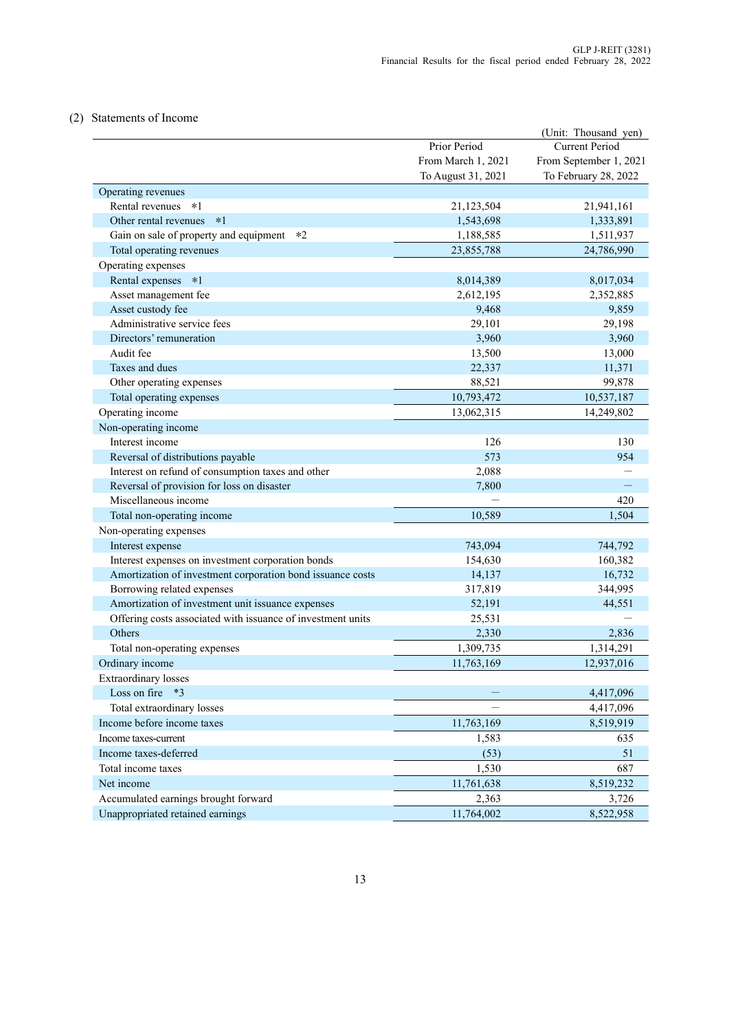### (2) Statements of Income

|                                                             |                    | (Unit: Thousand yen)   |
|-------------------------------------------------------------|--------------------|------------------------|
|                                                             | Prior Period       | <b>Current Period</b>  |
|                                                             | From March 1, 2021 | From September 1, 2021 |
|                                                             | To August 31, 2021 | To February 28, 2022   |
| Operating revenues                                          |                    |                        |
| Rental revenues *1                                          | 21,123,504         | 21,941,161             |
| Other rental revenues *1                                    | 1,543,698          | 1,333,891              |
| Gain on sale of property and equipment *2                   | 1,188,585          | 1,511,937              |
| Total operating revenues                                    | 23,855,788         | 24,786,990             |
| Operating expenses                                          |                    |                        |
| Rental expenses *1                                          | 8,014,389          | 8,017,034              |
| Asset management fee                                        | 2,612,195          | 2,352,885              |
| Asset custody fee                                           | 9,468              | 9,859                  |
| Administrative service fees                                 | 29,101             | 29,198                 |
| Directors' remuneration                                     | 3,960              | 3,960                  |
| Audit fee                                                   | 13,500             | 13,000                 |
| Taxes and dues                                              | 22,337             | 11,371                 |
| Other operating expenses                                    | 88,521             | 99,878                 |
| Total operating expenses                                    | 10,793,472         | 10,537,187             |
| Operating income                                            | 13,062,315         | 14,249,802             |
| Non-operating income                                        |                    |                        |
| Interest income                                             | 126                | 130                    |
| Reversal of distributions payable                           | 573                | 954                    |
| Interest on refund of consumption taxes and other           | 2,088              |                        |
| Reversal of provision for loss on disaster                  | 7,800              |                        |
| Miscellaneous income                                        |                    | 420                    |
| Total non-operating income                                  | 10,589             | 1,504                  |
| Non-operating expenses                                      |                    |                        |
| Interest expense                                            | 743,094            | 744,792                |
| Interest expenses on investment corporation bonds           | 154,630            | 160,382                |
| Amortization of investment corporation bond issuance costs  | 14,137             | 16,732                 |
| Borrowing related expenses                                  | 317,819            | 344,995                |
| Amortization of investment unit issuance expenses           | 52,191             | 44,551                 |
| Offering costs associated with issuance of investment units | 25,531             |                        |
| Others                                                      | 2,330              | 2,836                  |
| Total non-operating expenses                                | 1,309,735          | 1,314,291              |
| Ordinary income                                             | 11,763,169         | 12,937,016             |
| <b>Extraordinary losses</b>                                 |                    |                        |
| Loss on fire<br>$*3$                                        |                    | 4,417,096              |
| Total extraordinary losses                                  |                    | 4,417,096              |
| Income before income taxes                                  | 11,763,169         | 8,519,919              |
| Income taxes-current                                        | 1,583              | 635                    |
| Income taxes-deferred                                       | (53)               | 51                     |
| Total income taxes                                          | 1,530              | 687                    |
| Net income                                                  | 11,761,638         | 8,519,232              |
| Accumulated earnings brought forward                        | 2,363              |                        |
| Unappropriated retained earnings                            |                    | 3,726                  |
|                                                             | 11,764,002         | 8,522,958              |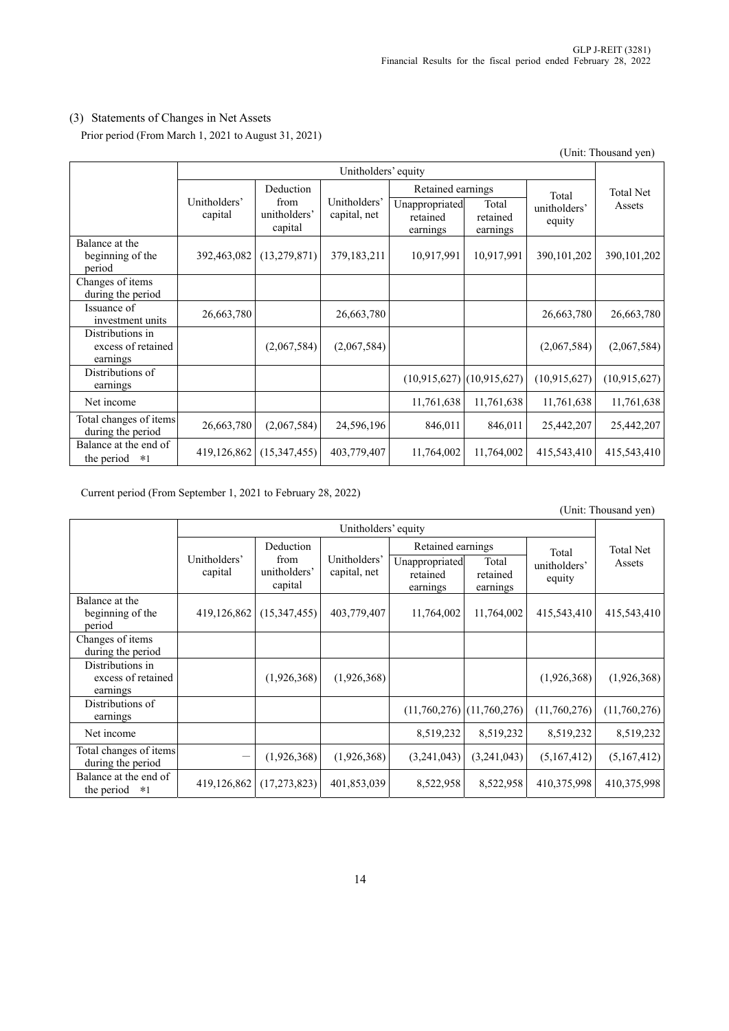# (3) Statements of Changes in Net Assets

Prior period (From March 1, 2021 to August 31, 2021)

|                                                    |                         |                                 |                              |                                        |                               |                        | (Unit: Thousand yen) |
|----------------------------------------------------|-------------------------|---------------------------------|------------------------------|----------------------------------------|-------------------------------|------------------------|----------------------|
|                                                    | Unitholders' equity     |                                 |                              |                                        |                               |                        |                      |
|                                                    |                         | Deduction                       |                              | Retained earnings                      |                               | Total                  | <b>Total Net</b>     |
|                                                    | Unitholders'<br>capital | from<br>unitholders'<br>capital | Unitholders'<br>capital, net | Unappropriated<br>retained<br>earnings | Total<br>retained<br>earnings | unitholders'<br>equity | Assets               |
| Balance at the<br>beginning of the<br>period       | 392,463,082             | (13,279,871)                    | 379,183,211                  | 10,917,991                             | 10,917,991                    | 390, 101, 202          | 390, 101, 202        |
| Changes of items<br>during the period              |                         |                                 |                              |                                        |                               |                        |                      |
| Issuance of<br>investment units                    | 26,663,780              |                                 | 26,663,780                   |                                        |                               | 26,663,780             | 26,663,780           |
| Distributions in<br>excess of retained<br>earnings |                         | (2,067,584)                     | (2,067,584)                  |                                        |                               | (2,067,584)            | (2,067,584)          |
| Distributions of<br>earnings                       |                         |                                 |                              |                                        | $(10,915,627)$ $(10,915,627)$ | (10,915,627)           | (10,915,627)         |
| Net income                                         |                         |                                 |                              | 11,761,638                             | 11,761,638                    | 11,761,638             | 11,761,638           |
| Total changes of items<br>during the period        | 26,663,780              | (2,067,584)                     | 24,596,196                   | 846,011                                | 846,011                       | 25,442,207             | 25,442,207           |
| Balance at the end of<br>the period<br>$*1$        | 419,126,862             | (15,347,455)                    | 403,779,407                  | 11,764,002                             | 11,764,002                    | 415,543,410            | 415,543,410          |

Current period (From September 1, 2021 to February 28, 2022)

|                                                    |                         |                                 |                              |                                        |                               |                        | $\overline{C}$ |
|----------------------------------------------------|-------------------------|---------------------------------|------------------------------|----------------------------------------|-------------------------------|------------------------|----------------|
|                                                    | Unitholders' equity     |                                 |                              |                                        |                               |                        |                |
|                                                    |                         | Deduction                       |                              | Retained earnings                      |                               | Total                  | Total Net      |
|                                                    | Unitholders'<br>capital | from<br>unitholders'<br>capital | Unitholders'<br>capital, net | Unappropriated<br>retained<br>earnings | Total<br>retained<br>earnings | unitholders'<br>equity | Assets         |
| Balance at the<br>beginning of the<br>period       | 419,126,862             | (15,347,455)                    | 403,779,407                  | 11,764,002                             | 11,764,002                    | 415,543,410            | 415,543,410    |
| Changes of items<br>during the period              |                         |                                 |                              |                                        |                               |                        |                |
| Distributions in<br>excess of retained<br>earnings |                         | (1,926,368)                     | (1,926,368)                  |                                        |                               | (1,926,368)            | (1,926,368)    |
| Distributions of<br>earnings                       |                         |                                 |                              |                                        | $(11,760,276)$ $(11,760,276)$ | (11,760,276)           | (11,760,276)   |
| Net income                                         |                         |                                 |                              | 8,519,232                              | 8,519,232                     | 8,519,232              | 8,519,232      |
| Total changes of items<br>during the period        | —                       | (1,926,368)                     | (1,926,368)                  | (3,241,043)                            | (3,241,043)                   | (5,167,412)            | (5,167,412)    |
| Balance at the end of<br>the period<br>$*1$        | 419,126,862             | (17,273,823)                    | 401,853,039                  | 8,522,958                              | 8,522,958                     | 410,375,998            | 410,375,998    |

(Unit: Thousand yen)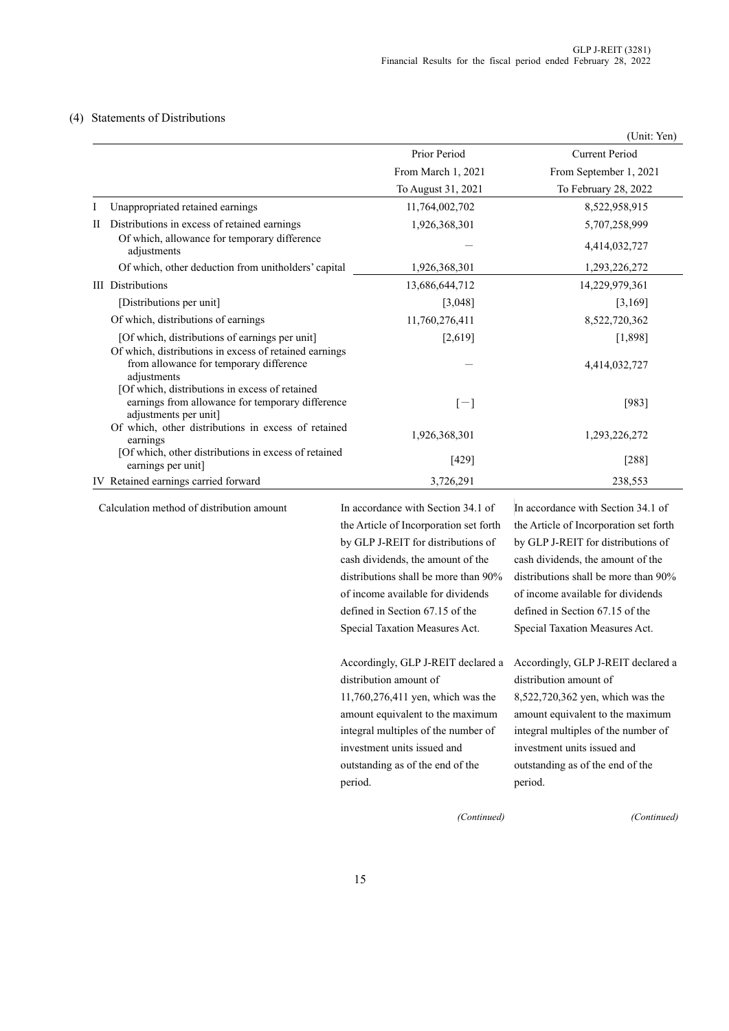### (4) Statements of Distributions

|                                                                                                                             |                    | (Unit: Yen)            |
|-----------------------------------------------------------------------------------------------------------------------------|--------------------|------------------------|
|                                                                                                                             | Prior Period       | <b>Current Period</b>  |
|                                                                                                                             | From March 1, 2021 | From September 1, 2021 |
|                                                                                                                             | To August 31, 2021 | To February 28, 2022   |
| Unappropriated retained earnings                                                                                            | 11,764,002,702     | 8,522,958,915          |
| Distributions in excess of retained earnings<br>П                                                                           | 1,926,368,301      | 5,707,258,999          |
| Of which, allowance for temporary difference<br>adjustments                                                                 |                    | 4,414,032,727          |
| Of which, other deduction from unitholders' capital                                                                         | 1,926,368,301      | 1,293,226,272          |
| <b>III</b> Distributions                                                                                                    | 13,686,644,712     | 14,229,979,361         |
| [Distributions per unit]                                                                                                    | [3,048]            | [3,169]                |
| Of which, distributions of earnings                                                                                         | 11,760,276,411     | 8,522,720,362          |
| [Of which, distributions of earnings per unit]                                                                              | [2,619]            | [1,898]                |
| Of which, distributions in excess of retained earnings<br>from allowance for temporary difference<br>adjustments            |                    | 4,414,032,727          |
| [Of which, distributions in excess of retained<br>earnings from allowance for temporary difference<br>adjustments per unit] | $[-]$              | $[983]$                |
| Of which, other distributions in excess of retained<br>earnings                                                             | 1,926,368,301      | 1,293,226,272          |
| [Of which, other distributions in excess of retained<br>earnings per unit]                                                  | $[429]$            | $[288]$                |
| IV Retained earnings carried forward                                                                                        | 3,726,291          | 238,553                |

Calculation method of distribution amount In accordance with Section 34.1 of

the Article of Incorporation set forth by GLP J-REIT for distributions of cash dividends, the amount of the distributions shall be more than 90% of income available for dividends defined in Section 67.15 of the Special Taxation Measures Act.

Accordingly, GLP J-REIT declared a distribution amount of 11,760,276,411 yen, which was the

amount equivalent to the maximum integral multiples of the number of investment units issued and outstanding as of the end of the period.

 In accordance with Section 34.1 of the Article of Incorporation set forth by GLP J-REIT for distributions of cash dividends, the amount of the distributions shall be more than 90% of income available for dividends defined in Section 67.15 of the Special Taxation Measures Act.

Accordingly, GLP J-REIT declared a distribution amount of 8,522,720,362 yen, which was the amount equivalent to the maximum integral multiples of the number of investment units issued and outstanding as of the end of the period.

 *(Continued)*

*(Continued)*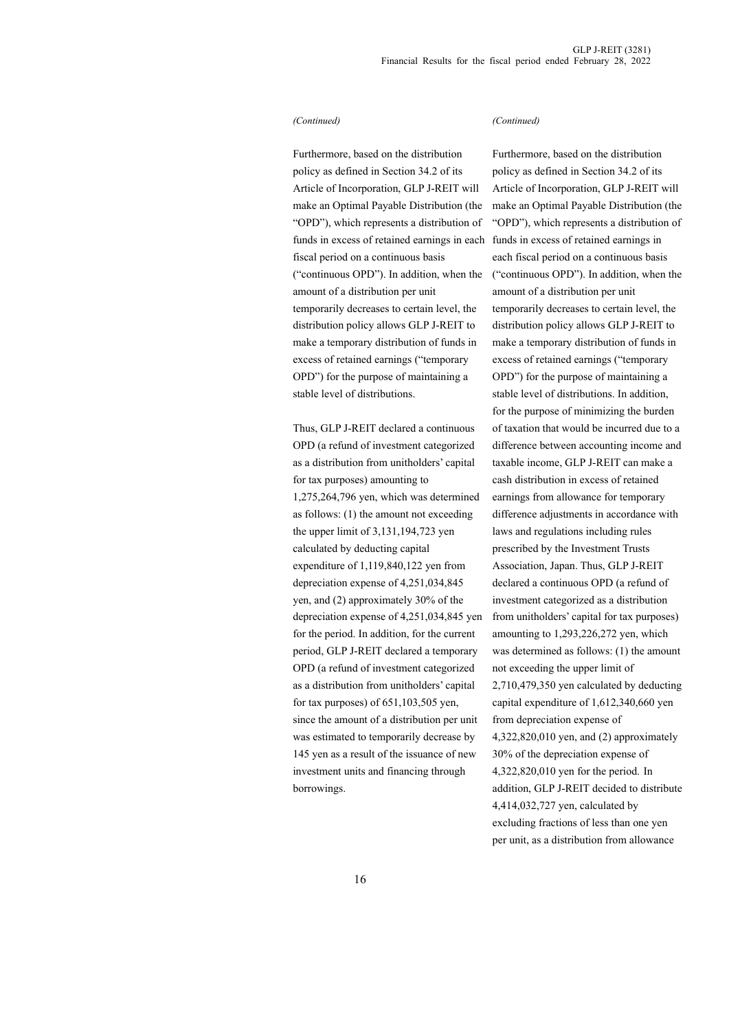#### *(Continued)*

Furthermore, based on the distribution policy as defined in Section 34.2 of its Article of Incorporation, GLP J-REIT will make an Optimal Payable Distribution (the "OPD"), which represents a distribution of funds in excess of retained earnings in each fiscal period on a continuous basis ("continuous OPD"). In addition, when the amount of a distribution per unit temporarily decreases to certain level, the distribution policy allows GLP J-REIT to make a temporary distribution of funds in excess of retained earnings ("temporary OPD") for the purpose of maintaining a stable level of distributions.

Thus, GLP J-REIT declared a continuous OPD (a refund of investment categorized as a distribution from unitholders' capital for tax purposes) amounting to 1,275,264,796 yen, which was determined as follows: (1) the amount not exceeding the upper limit of 3,131,194,723 yen calculated by deducting capital expenditure of 1,119,840,122 yen from depreciation expense of 4,251,034,845 yen, and (2) approximately 30% of the depreciation expense of 4,251,034,845 yen for the period. In addition, for the current period, GLP J-REIT declared a temporary OPD (a refund of investment categorized as a distribution from unitholders' capital for tax purposes) of 651,103,505 yen, since the amount of a distribution per unit was estimated to temporarily decrease by 145 yen as a result of the issuance of new investment units and financing through borrowings.

#### *(Continued)*

Furthermore, based on the distribution policy as defined in Section 34.2 of its Article of Incorporation, GLP J-REIT will make an Optimal Payable Distribution (the "OPD"), which represents a distribution of funds in excess of retained earnings in each fiscal period on a continuous basis ("continuous OPD"). In addition, when the amount of a distribution per unit temporarily decreases to certain level, the distribution policy allows GLP J-REIT to make a temporary distribution of funds in excess of retained earnings ("temporary OPD") for the purpose of maintaining a stable level of distributions. In addition, for the purpose of minimizing the burden of taxation that would be incurred due to a difference between accounting income and taxable income, GLP J-REIT can make a cash distribution in excess of retained earnings from allowance for temporary difference adjustments in accordance with laws and regulations including rules prescribed by the Investment Trusts Association, Japan. Thus, GLP J-REIT declared a continuous OPD (a refund of investment categorized as a distribution from unitholders' capital for tax purposes) amounting to 1,293,226,272 yen, which was determined as follows: (1) the amount not exceeding the upper limit of 2,710,479,350 yen calculated by deducting capital expenditure of 1,612,340,660 yen from depreciation expense of 4,322,820,010 yen, and (2) approximately 30% of the depreciation expense of 4,322,820,010 yen for the period. In addition, GLP J-REIT decided to distribute 4,414,032,727 yen, calculated by excluding fractions of less than one yen per unit, as a distribution from allowance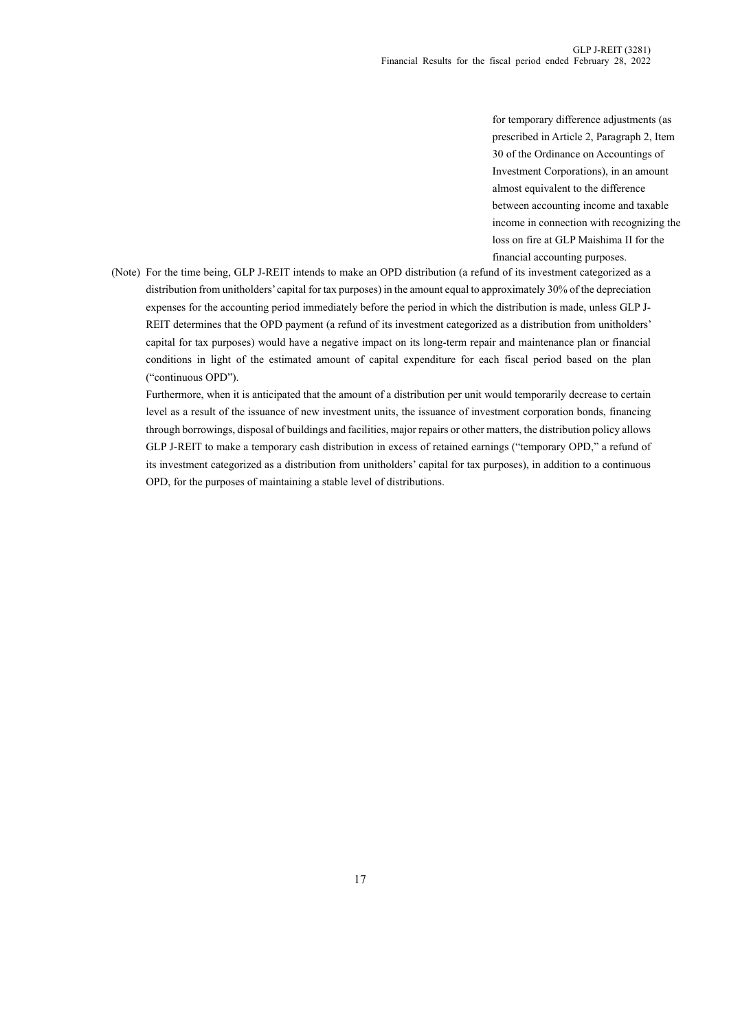for temporary difference adjustments (as prescribed in Article 2, Paragraph 2, Item 30 of the Ordinance on Accountings of Investment Corporations), in an amount almost equivalent to the difference between accounting income and taxable income in connection with recognizing the loss on fire at GLP Maishima II for the financial accounting purposes.

(Note) For the time being, GLP J-REIT intends to make an OPD distribution (a refund of its investment categorized as a distribution from unitholders' capital for tax purposes) in the amount equal to approximately 30% of the depreciation expenses for the accounting period immediately before the period in which the distribution is made, unless GLP J-REIT determines that the OPD payment (a refund of its investment categorized as a distribution from unitholders' capital for tax purposes) would have a negative impact on its long-term repair and maintenance plan or financial conditions in light of the estimated amount of capital expenditure for each fiscal period based on the plan ("continuous OPD").

Furthermore, when it is anticipated that the amount of a distribution per unit would temporarily decrease to certain level as a result of the issuance of new investment units, the issuance of investment corporation bonds, financing through borrowings, disposal of buildings and facilities, major repairs or other matters, the distribution policy allows GLP J-REIT to make a temporary cash distribution in excess of retained earnings ("temporary OPD," a refund of its investment categorized as a distribution from unitholders' capital for tax purposes), in addition to a continuous OPD, for the purposes of maintaining a stable level of distributions.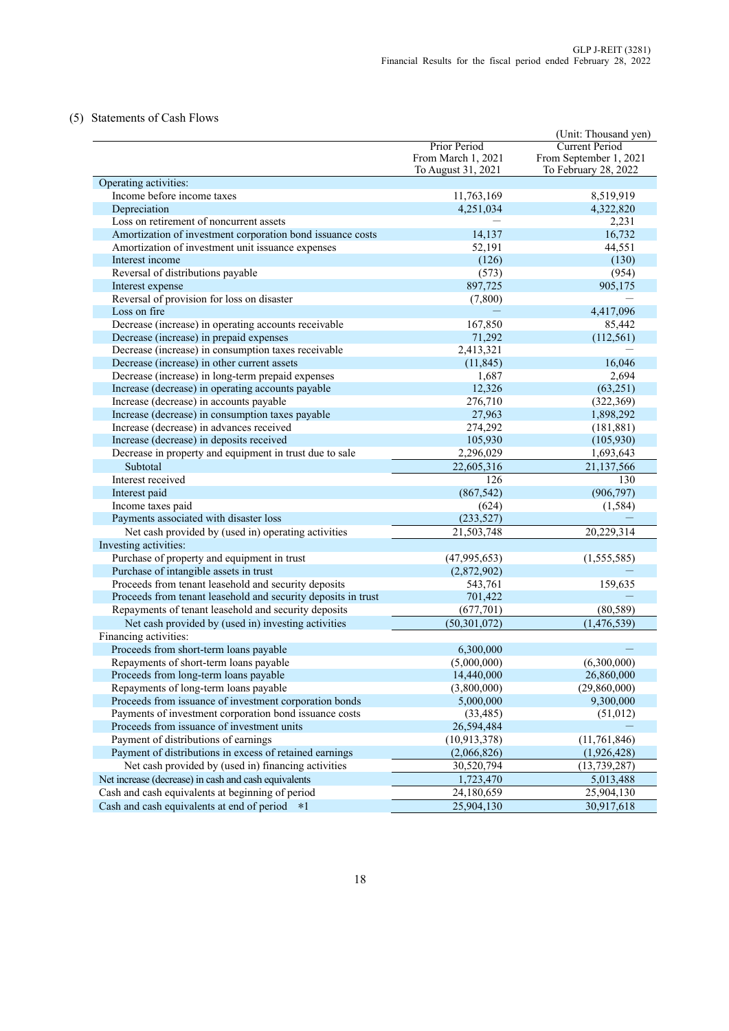### (5) Statements of Cash Flows

|                                                               |                    | (Unit: Thousand yen)   |
|---------------------------------------------------------------|--------------------|------------------------|
|                                                               | Prior Period       | <b>Current Period</b>  |
|                                                               | From March 1, 2021 | From September 1, 2021 |
|                                                               | To August 31, 2021 | To February 28, 2022   |
| Operating activities:                                         |                    |                        |
| Income before income taxes                                    | 11,763,169         | 8,519,919              |
| Depreciation                                                  | 4,251,034          | 4,322,820              |
| Loss on retirement of noncurrent assets                       |                    | 2,231                  |
| Amortization of investment corporation bond issuance costs    | 14,137             | 16,732                 |
| Amortization of investment unit issuance expenses             | 52,191             | 44,551                 |
| Interest income                                               | (126)              | (130)                  |
| Reversal of distributions payable                             | (573)              | (954)                  |
| Interest expense                                              | 897,725            | 905,175                |
| Reversal of provision for loss on disaster                    | (7,800)            |                        |
| Loss on fire                                                  |                    | 4,417,096              |
| Decrease (increase) in operating accounts receivable          | 167,850            | 85,442                 |
| Decrease (increase) in prepaid expenses                       | 71,292             | (112, 561)             |
| Decrease (increase) in consumption taxes receivable           | 2,413,321          |                        |
| Decrease (increase) in other current assets                   | (11, 845)          | 16,046                 |
| Decrease (increase) in long-term prepaid expenses             | 1,687              | 2,694                  |
| Increase (decrease) in operating accounts payable             | 12,326             | (63,251)               |
| Increase (decrease) in accounts payable                       | 276,710            | (322, 369)             |
| Increase (decrease) in consumption taxes payable              | 27,963             | 1,898,292              |
| Increase (decrease) in advances received                      | 274,292            | (181, 881)             |
| Increase (decrease) in deposits received                      | 105,930            | (105, 930)             |
| Decrease in property and equipment in trust due to sale       | 2,296,029          | 1,693,643              |
| Subtotal                                                      | 22,605,316         | 21,137,566             |
| Interest received                                             | 126                | 130                    |
| Interest paid                                                 | (867, 542)         | (906, 797)             |
| Income taxes paid                                             | (624)              | (1, 584)               |
| Payments associated with disaster loss                        | (233, 527)         |                        |
| Net cash provided by (used in) operating activities           | 21,503,748         | 20,229,314             |
| Investing activities:                                         |                    |                        |
| Purchase of property and equipment in trust                   | (47,995,653)       | (1,555,585)            |
| Purchase of intangible assets in trust                        | (2,872,902)        |                        |
| Proceeds from tenant leasehold and security deposits          | 543,761            | 159,635                |
| Proceeds from tenant leasehold and security deposits in trust | 701,422            |                        |
| Repayments of tenant leasehold and security deposits          | (677,701)          | (80, 589)              |
| Net cash provided by (used in) investing activities           | (50, 301, 072)     | (1,476,539)            |
| Financing activities:                                         |                    |                        |
| Proceeds from short-term loans payable                        | 6,300,000          |                        |
| Repayments of short-term loans payable                        | (5,000,000)        | (6,300,000)            |
| Proceeds from long-term loans payable                         | 14,440,000         | 26,860,000             |
| Repayments of long-term loans payable                         | (3,800,000)        | (29,860,000)           |
| Proceeds from issuance of investment corporation bonds        | 5,000,000          | 9,300,000              |
| Payments of investment corporation bond issuance costs        | (33, 485)          | (51,012)               |
| Proceeds from issuance of investment units                    | 26,594,484         |                        |
| Payment of distributions of earnings                          | (10, 913, 378)     | (11, 761, 846)         |
| Payment of distributions in excess of retained earnings       | (2,066,826)        | (1,926,428)            |
| Net cash provided by (used in) financing activities           | 30,520,794         | (13, 739, 287)         |
| Net increase (decrease) in cash and cash equivalents          | 1,723,470          | 5,013,488              |
| Cash and cash equivalents at beginning of period              | 24,180,659         | 25,904,130             |
| Cash and cash equivalents at end of period *1                 | 25,904,130         | 30,917,618             |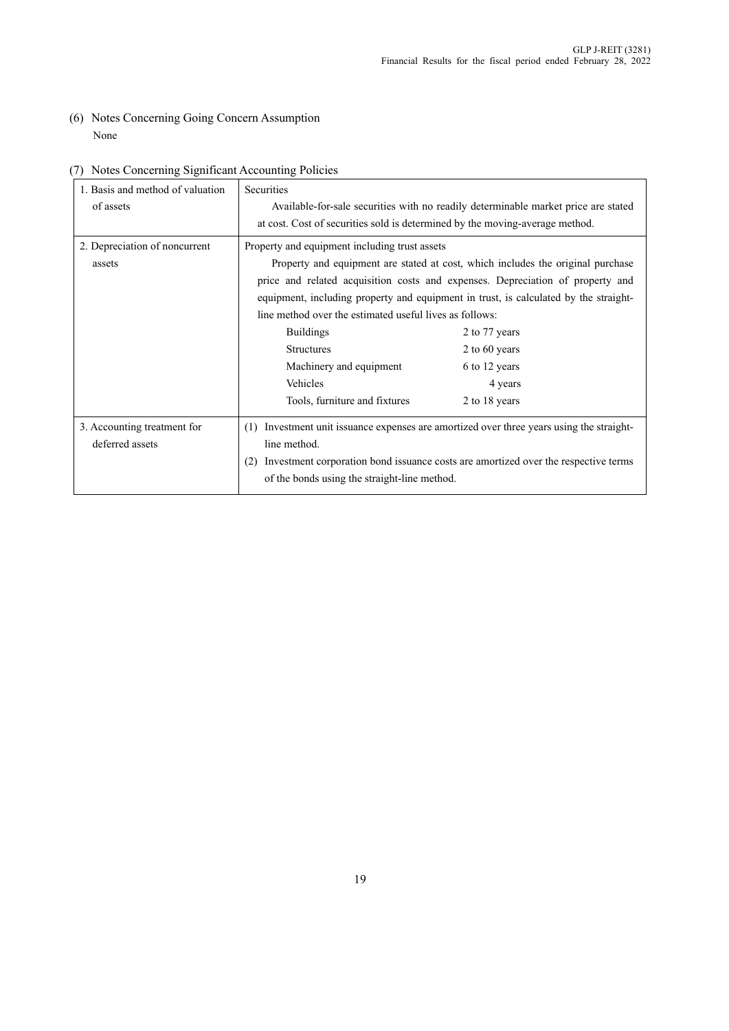(6) Notes Concerning Going Concern Assumption None

| 1. Basis and method of valuation | <b>Securities</b>                                                                    |                                                                                      |  |
|----------------------------------|--------------------------------------------------------------------------------------|--------------------------------------------------------------------------------------|--|
| of assets                        |                                                                                      | Available-for-sale securities with no readily determinable market price are stated   |  |
|                                  | at cost. Cost of securities sold is determined by the moving-average method.         |                                                                                      |  |
| 2. Depreciation of noncurrent    | Property and equipment including trust assets                                        |                                                                                      |  |
| assets                           |                                                                                      | Property and equipment are stated at cost, which includes the original purchase      |  |
|                                  |                                                                                      | price and related acquisition costs and expenses. Depreciation of property and       |  |
|                                  | equipment, including property and equipment in trust, is calculated by the straight- |                                                                                      |  |
|                                  | line method over the estimated useful lives as follows:                              |                                                                                      |  |
|                                  | <b>Buildings</b>                                                                     | 2 to 77 years                                                                        |  |
|                                  | <b>Structures</b>                                                                    | 2 to 60 years                                                                        |  |
|                                  | Machinery and equipment                                                              | 6 to 12 years                                                                        |  |
|                                  | Vehicles                                                                             | 4 years                                                                              |  |
|                                  | Tools, furniture and fixtures                                                        | 2 to 18 years                                                                        |  |
| 3. Accounting treatment for      | (1)                                                                                  | Investment unit issuance expenses are amortized over three years using the straight- |  |
| deferred assets                  | line method.                                                                         |                                                                                      |  |
|                                  | (2)                                                                                  | Investment corporation bond issuance costs are amortized over the respective terms   |  |
|                                  | of the bonds using the straight-line method.                                         |                                                                                      |  |

# (7) Notes Concerning Significant Accounting Policies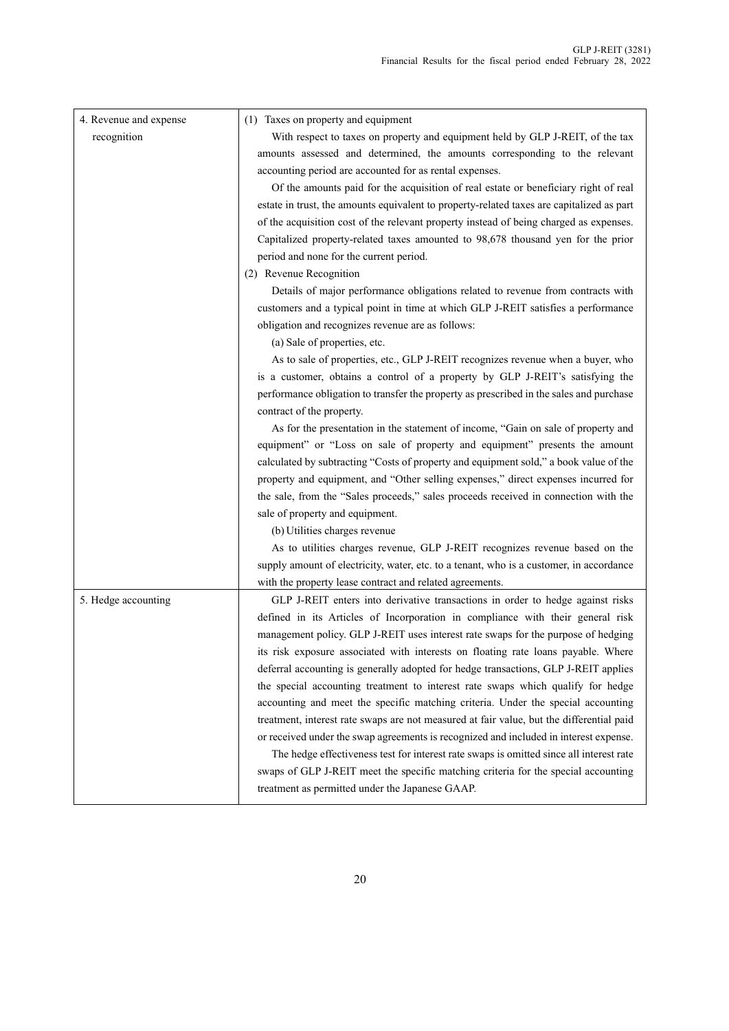| 4. Revenue and expense | (1) Taxes on property and equipment                                                       |
|------------------------|-------------------------------------------------------------------------------------------|
| recognition            | With respect to taxes on property and equipment held by GLP J-REIT, of the tax            |
|                        | amounts assessed and determined, the amounts corresponding to the relevant                |
|                        | accounting period are accounted for as rental expenses.                                   |
|                        | Of the amounts paid for the acquisition of real estate or beneficiary right of real       |
|                        | estate in trust, the amounts equivalent to property-related taxes are capitalized as part |
|                        | of the acquisition cost of the relevant property instead of being charged as expenses.    |
|                        | Capitalized property-related taxes amounted to 98,678 thousand yen for the prior          |
|                        | period and none for the current period.                                                   |
|                        | (2) Revenue Recognition                                                                   |
|                        | Details of major performance obligations related to revenue from contracts with           |
|                        | customers and a typical point in time at which GLP J-REIT satisfies a performance         |
|                        | obligation and recognizes revenue are as follows:                                         |
|                        | (a) Sale of properties, etc.                                                              |
|                        | As to sale of properties, etc., GLP J-REIT recognizes revenue when a buyer, who           |
|                        | is a customer, obtains a control of a property by GLP J-REIT's satisfying the             |
|                        | performance obligation to transfer the property as prescribed in the sales and purchase   |
|                        | contract of the property.                                                                 |
|                        | As for the presentation in the statement of income, "Gain on sale of property and         |
|                        | equipment" or "Loss on sale of property and equipment" presents the amount                |
|                        | calculated by subtracting "Costs of property and equipment sold," a book value of the     |
|                        | property and equipment, and "Other selling expenses," direct expenses incurred for        |
|                        | the sale, from the "Sales proceeds," sales proceeds received in connection with the       |
|                        | sale of property and equipment.                                                           |
|                        | (b) Utilities charges revenue                                                             |
|                        | As to utilities charges revenue, GLP J-REIT recognizes revenue based on the               |
|                        | supply amount of electricity, water, etc. to a tenant, who is a customer, in accordance   |
|                        | with the property lease contract and related agreements.                                  |
| 5. Hedge accounting    | GLP J-REIT enters into derivative transactions in order to hedge against risks            |
|                        | defined in its Articles of Incorporation in compliance with their general risk            |
|                        | management policy. GLP J-REIT uses interest rate swaps for the purpose of hedging         |
|                        | its risk exposure associated with interests on floating rate loans payable. Where         |
|                        | deferral accounting is generally adopted for hedge transactions, GLP J-REIT applies       |
|                        | the special accounting treatment to interest rate swaps which qualify for hedge           |
|                        | accounting and meet the specific matching criteria. Under the special accounting          |
|                        | treatment, interest rate swaps are not measured at fair value, but the differential paid  |
|                        | or received under the swap agreements is recognized and included in interest expense.     |
|                        | The hedge effectiveness test for interest rate swaps is omitted since all interest rate   |
|                        | swaps of GLP J-REIT meet the specific matching criteria for the special accounting        |
|                        | treatment as permitted under the Japanese GAAP.                                           |

 $\mathsf{l}$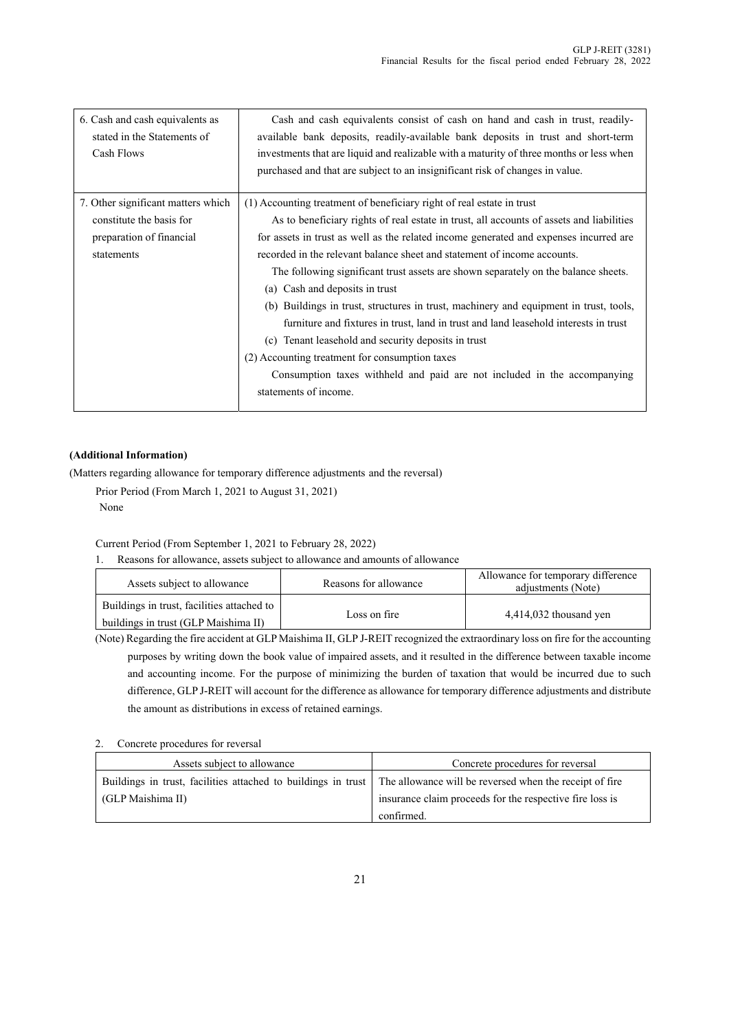| 6. Cash and cash equivalents as<br>stated in the Statements of<br>Cash Flows | Cash and cash equivalents consist of cash on hand and cash in trust, readily-<br>available bank deposits, readily-available bank deposits in trust and short-term<br>investments that are liquid and realizable with a maturity of three months or less when<br>purchased and that are subject to an insignificant risk of changes in value. |
|------------------------------------------------------------------------------|----------------------------------------------------------------------------------------------------------------------------------------------------------------------------------------------------------------------------------------------------------------------------------------------------------------------------------------------|
| 7. Other significant matters which                                           | (1) Accounting treatment of beneficiary right of real estate in trust                                                                                                                                                                                                                                                                        |
| constitute the basis for                                                     | As to beneficiary rights of real estate in trust, all accounts of assets and liabilities                                                                                                                                                                                                                                                     |
| preparation of financial                                                     | for assets in trust as well as the related income generated and expenses incurred are                                                                                                                                                                                                                                                        |
| statements                                                                   | recorded in the relevant balance sheet and statement of income accounts.                                                                                                                                                                                                                                                                     |
|                                                                              | The following significant trust assets are shown separately on the balance sheets.                                                                                                                                                                                                                                                           |
|                                                                              | (a) Cash and deposits in trust                                                                                                                                                                                                                                                                                                               |
|                                                                              | (b) Buildings in trust, structures in trust, machinery and equipment in trust, tools,                                                                                                                                                                                                                                                        |
|                                                                              | furniture and fixtures in trust, land in trust and land leasehold interests in trust                                                                                                                                                                                                                                                         |
|                                                                              | (c) Tenant leasehold and security deposits in trust                                                                                                                                                                                                                                                                                          |
|                                                                              | (2) Accounting treatment for consumption taxes                                                                                                                                                                                                                                                                                               |
|                                                                              | Consumption taxes withheld and paid are not included in the accompanying                                                                                                                                                                                                                                                                     |
|                                                                              | statements of income.                                                                                                                                                                                                                                                                                                                        |

### **(Additional Information)**

(Matters regarding allowance for temporary difference adjustments and the reversal)

Prior Period (From March 1, 2021 to August 31, 2021) None

Current Period (From September 1, 2021 to February 28, 2022)

1. Reasons for allowance, assets subject to allowance and amounts of allowance

| Assets subject to allowance                | Reasons for allowance | Allowance for temporary difference<br>adjustments (Note) |
|--------------------------------------------|-----------------------|----------------------------------------------------------|
| Buildings in trust, facilities attached to | Loss on fire          | $4,414,032$ thousand yen                                 |
| buildings in trust (GLP Maishima II)       |                       |                                                          |

(Note) Regarding the fire accident at GLP Maishima II, GLP J-REIT recognized the extraordinary loss on fire for the accounting purposes by writing down the book value of impaired assets, and it resulted in the difference between taxable income and accounting income. For the purpose of minimizing the burden of taxation that would be incurred due to such difference, GLP J-REIT will account for the difference as allowance for temporary difference adjustments and distribute the amount as distributions in excess of retained earnings.

### 2. Concrete procedures for reversal

| Assets subject to allowance                                                                                           | Concrete procedures for reversal                         |
|-----------------------------------------------------------------------------------------------------------------------|----------------------------------------------------------|
| Buildings in trust, facilities attached to buildings in trust The allowance will be reversed when the receipt of fire |                                                          |
| (GLP Maishima II)                                                                                                     | insurance claim proceeds for the respective fire loss is |
|                                                                                                                       | confirmed.                                               |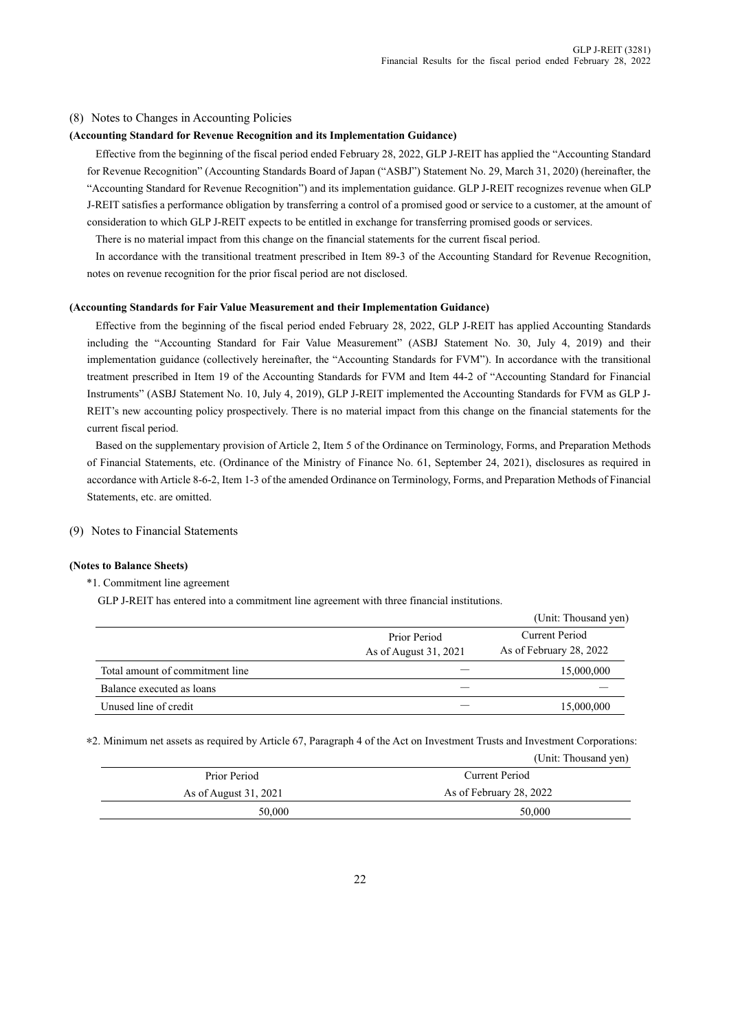#### (8) Notes to Changes in Accounting Policies

#### **(Accounting Standard for Revenue Recognition and its Implementation Guidance)**

Effective from the beginning of the fiscal period ended February 28, 2022, GLP J-REIT has applied the "Accounting Standard for Revenue Recognition" (Accounting Standards Board of Japan ("ASBJ") Statement No. 29, March 31, 2020) (hereinafter, the "Accounting Standard for Revenue Recognition") and its implementation guidance. GLP J-REIT recognizes revenue when GLP J-REIT satisfies a performance obligation by transferring a control of a promised good or service to a customer, at the amount of consideration to which GLP J-REIT expects to be entitled in exchange for transferring promised goods or services.

There is no material impact from this change on the financial statements for the current fiscal period.

In accordance with the transitional treatment prescribed in Item 89-3 of the Accounting Standard for Revenue Recognition, notes on revenue recognition for the prior fiscal period are not disclosed.

#### **(Accounting Standards for Fair Value Measurement and their Implementation Guidance)**

Effective from the beginning of the fiscal period ended February 28, 2022, GLP J-REIT has applied Accounting Standards including the "Accounting Standard for Fair Value Measurement" (ASBJ Statement No. 30, July 4, 2019) and their implementation guidance (collectively hereinafter, the "Accounting Standards for FVM"). In accordance with the transitional treatment prescribed in Item 19 of the Accounting Standards for FVM and Item 44-2 of "Accounting Standard for Financial Instruments" (ASBJ Statement No. 10, July 4, 2019), GLP J-REIT implemented the Accounting Standards for FVM as GLP J-REIT's new accounting policy prospectively. There is no material impact from this change on the financial statements for the current fiscal period.

Based on the supplementary provision of Article 2, Item 5 of the Ordinance on Terminology, Forms, and Preparation Methods of Financial Statements, etc. (Ordinance of the Ministry of Finance No. 61, September 24, 2021), disclosures as required in accordance with Article 8-6-2, Item 1-3 of the amended Ordinance on Terminology, Forms, and Preparation Methods of Financial Statements, etc. are omitted.

(9) Notes to Financial Statements

#### **(Notes to Balance Sheets)**

\*1. Commitment line agreement

GLP J-REIT has entered into a commitment line agreement with three financial institutions.

|                                 |                                       | (Unit: Thousand yen)                      |
|---------------------------------|---------------------------------------|-------------------------------------------|
|                                 | Prior Period<br>As of August 31, 2021 | Current Period<br>As of February 28, 2022 |
| Total amount of commitment line |                                       | 15,000,000                                |
| Balance executed as loans       |                                       |                                           |
| Unused line of credit           |                                       | 15,000,000                                |

\*2. Minimum net assets as required by Article 67, Paragraph 4 of the Act on Investment Trusts and Investment Corporations:

|                       | (Unit: Thousand yen)    |
|-----------------------|-------------------------|
| Prior Period          | Current Period          |
| As of August 31, 2021 | As of February 28, 2022 |
| 50,000                | 50,000                  |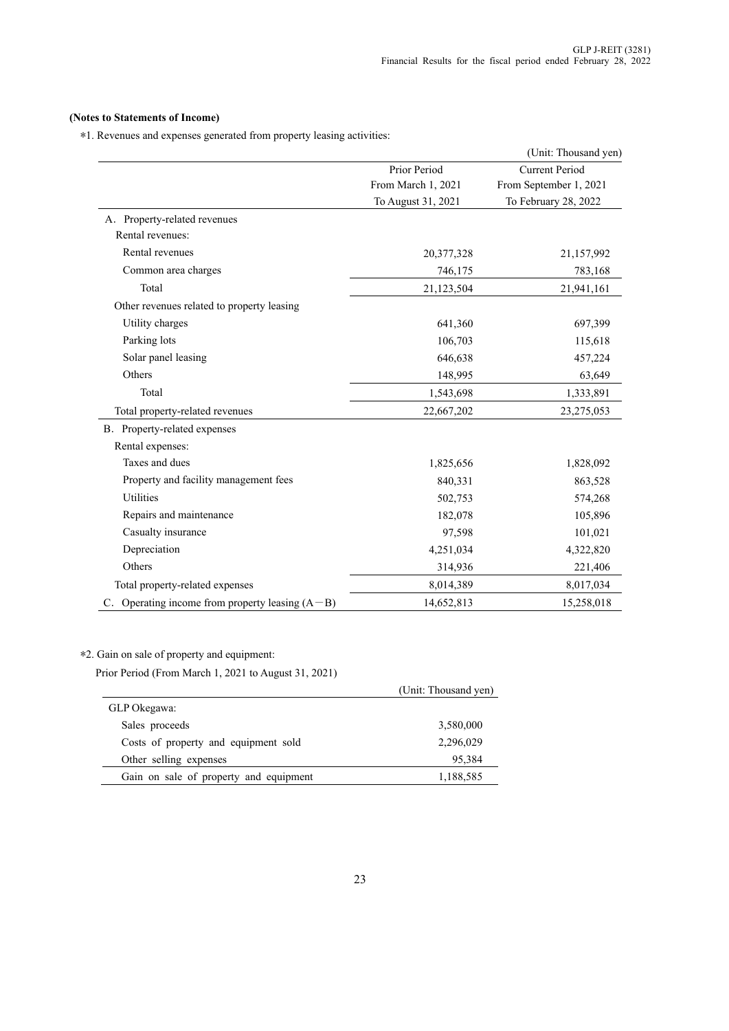### **(Notes to Statements of Income)**

\*1. Revenues and expenses generated from property leasing activities:

|                                                     |                    | (Unit: Thousand yen)   |
|-----------------------------------------------------|--------------------|------------------------|
|                                                     | Prior Period       | <b>Current Period</b>  |
|                                                     | From March 1, 2021 | From September 1, 2021 |
|                                                     | To August 31, 2021 | To February 28, 2022   |
| A. Property-related revenues                        |                    |                        |
| Rental revenues:                                    |                    |                        |
| Rental revenues                                     | 20,377,328         | 21,157,992             |
| Common area charges                                 | 746,175            | 783,168                |
| Total                                               | 21,123,504         | 21,941,161             |
| Other revenues related to property leasing          |                    |                        |
| Utility charges                                     | 641,360            | 697,399                |
| Parking lots                                        | 106,703            | 115,618                |
| Solar panel leasing                                 | 646,638            | 457,224                |
| Others                                              | 148,995            | 63,649                 |
| Total                                               | 1,543,698          | 1,333,891              |
| Total property-related revenues                     | 22,667,202         | 23,275,053             |
| B. Property-related expenses                        |                    |                        |
| Rental expenses:                                    |                    |                        |
| Taxes and dues                                      | 1,825,656          | 1,828,092              |
| Property and facility management fees               | 840,331            | 863,528                |
| Utilities                                           | 502,753            | 574,268                |
| Repairs and maintenance                             | 182,078            | 105,896                |
| Casualty insurance                                  | 97,598             | 101,021                |
| Depreciation                                        | 4,251,034          | 4,322,820              |
| Others                                              | 314,936            | 221,406                |
| Total property-related expenses                     | 8,014,389          | 8,017,034              |
| C. Operating income from property leasing $(A - B)$ | 14,652,813         | 15,258,018             |

### \*2. Gain on sale of property and equipment:

Prior Period (From March 1, 2021 to August 31, 2021)

|                                        | (Unit: Thousand yen) |
|----------------------------------------|----------------------|
| GLP Okegawa:                           |                      |
| Sales proceeds                         | 3,580,000            |
| Costs of property and equipment sold   | 2,296,029            |
| Other selling expenses                 | 95,384               |
| Gain on sale of property and equipment | 1,188,585            |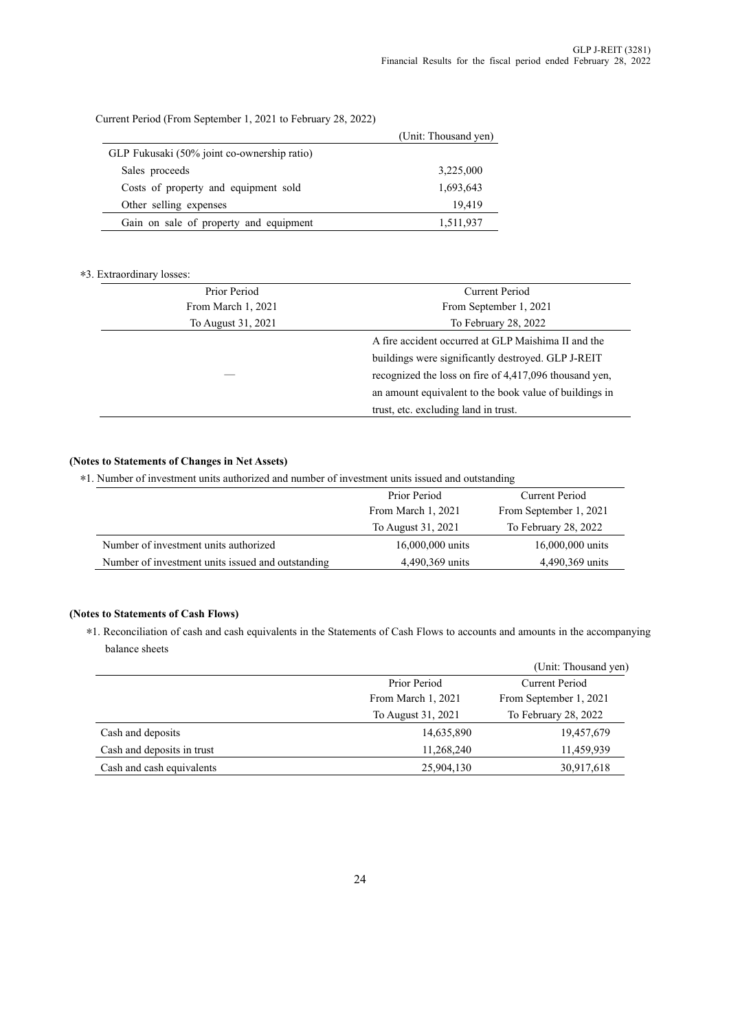Current Period (From September 1, 2021 to February 28, 2022)

|                                             | (Unit: Thousand yen) |
|---------------------------------------------|----------------------|
| GLP Fukusaki (50% joint co-ownership ratio) |                      |
| Sales proceeds                              | 3,225,000            |
| Costs of property and equipment sold        | 1,693,643            |
| Other selling expenses                      | 19,419               |
| Gain on sale of property and equipment      | 1,511,937            |

### \*3. Extraordinary losses:

| Prior Period       | Current Period                                         |
|--------------------|--------------------------------------------------------|
| From March 1, 2021 | From September 1, 2021                                 |
| To August 31, 2021 | To February 28, 2022                                   |
|                    | A fire accident occurred at GLP Maishima II and the    |
|                    | buildings were significantly destroyed. GLP J-REIT     |
|                    | recognized the loss on fire of 4,417,096 thousand yen, |
|                    | an amount equivalent to the book value of buildings in |
|                    | trust, etc. excluding land in trust.                   |
|                    |                                                        |

### **(Notes to Statements of Changes in Net Assets)**

\*1. Number of investment units authorized and number of investment units issued and outstanding

|                                                   | Prior Period       | Current Period         |
|---------------------------------------------------|--------------------|------------------------|
|                                                   | From March 1, 2021 | From September 1, 2021 |
|                                                   | To August 31, 2021 | To February 28, 2022   |
| Number of investment units authorized             | 16,000,000 units   | 16,000,000 units       |
| Number of investment units issued and outstanding | 4,490,369 units    | 4,490,369 units        |

### **(Notes to Statements of Cash Flows)**

\*1. Reconciliation of cash and cash equivalents in the Statements of Cash Flows to accounts and amounts in the accompanying balance sheets

|                            |                    | (Unit: Thousand yen)   |
|----------------------------|--------------------|------------------------|
|                            | Prior Period       | Current Period         |
|                            | From March 1, 2021 | From September 1, 2021 |
|                            | To August 31, 2021 | To February 28, 2022   |
| Cash and deposits          | 14,635,890         | 19,457,679             |
| Cash and deposits in trust | 11,268,240         | 11,459,939             |
| Cash and cash equivalents  | 25,904,130         | 30,917,618             |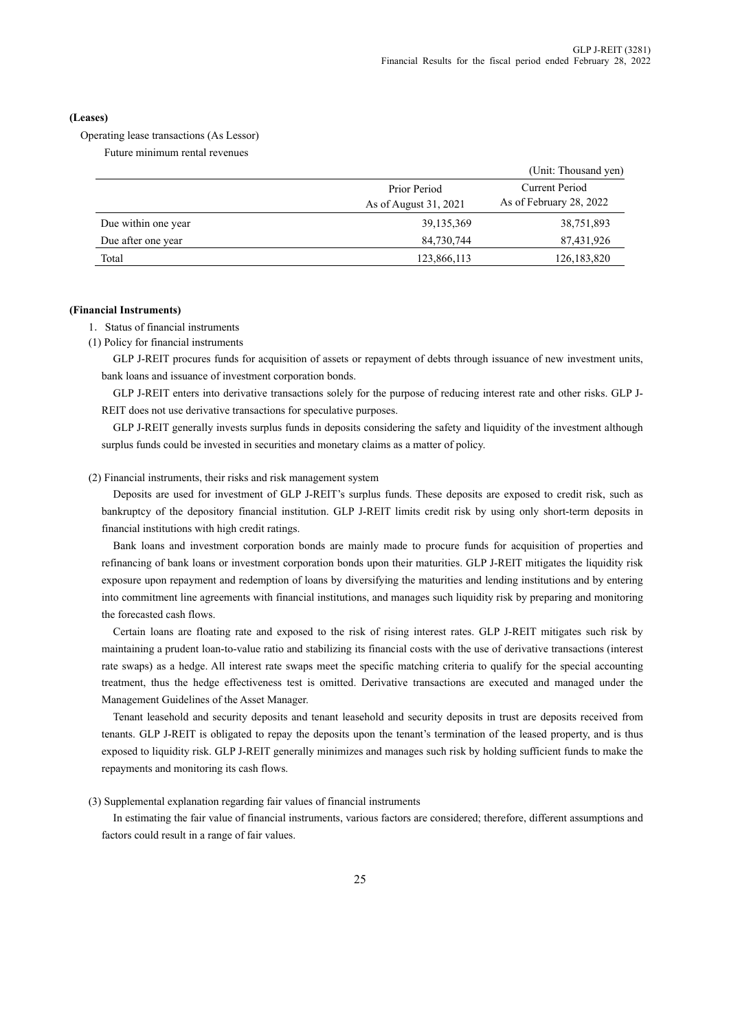#### **(Leases)**

Operating lease transactions (As Lessor)

Future minimum rental revenues

|                     |                                       | (Unit: Thousand yen)                      |
|---------------------|---------------------------------------|-------------------------------------------|
|                     | Prior Period<br>As of August 31, 2021 | Current Period<br>As of February 28, 2022 |
| Due within one year | 39, 135, 369                          | 38,751,893                                |
| Due after one year  | 84,730,744                            | 87,431,926                                |
| Total               | 123,866,113                           | 126, 183, 820                             |

#### **(Financial Instruments)**

1.Status of financial instruments

(1) Policy for financial instruments

GLP J-REIT procures funds for acquisition of assets or repayment of debts through issuance of new investment units, bank loans and issuance of investment corporation bonds.

GLP J-REIT enters into derivative transactions solely for the purpose of reducing interest rate and other risks. GLP J-REIT does not use derivative transactions for speculative purposes.

GLP J-REIT generally invests surplus funds in deposits considering the safety and liquidity of the investment although surplus funds could be invested in securities and monetary claims as a matter of policy.

#### (2) Financial instruments, their risks and risk management system

Deposits are used for investment of GLP J-REIT's surplus funds. These deposits are exposed to credit risk, such as bankruptcy of the depository financial institution. GLP J-REIT limits credit risk by using only short-term deposits in financial institutions with high credit ratings.

Bank loans and investment corporation bonds are mainly made to procure funds for acquisition of properties and refinancing of bank loans or investment corporation bonds upon their maturities. GLP J-REIT mitigates the liquidity risk exposure upon repayment and redemption of loans by diversifying the maturities and lending institutions and by entering into commitment line agreements with financial institutions, and manages such liquidity risk by preparing and monitoring the forecasted cash flows.

Certain loans are floating rate and exposed to the risk of rising interest rates. GLP J-REIT mitigates such risk by maintaining a prudent loan-to-value ratio and stabilizing its financial costs with the use of derivative transactions (interest rate swaps) as a hedge. All interest rate swaps meet the specific matching criteria to qualify for the special accounting treatment, thus the hedge effectiveness test is omitted. Derivative transactions are executed and managed under the Management Guidelines of the Asset Manager.

Tenant leasehold and security deposits and tenant leasehold and security deposits in trust are deposits received from tenants. GLP J-REIT is obligated to repay the deposits upon the tenant's termination of the leased property, and is thus exposed to liquidity risk. GLP J-REIT generally minimizes and manages such risk by holding sufficient funds to make the repayments and monitoring its cash flows.

(3) Supplemental explanation regarding fair values of financial instruments

In estimating the fair value of financial instruments, various factors are considered; therefore, different assumptions and factors could result in a range of fair values.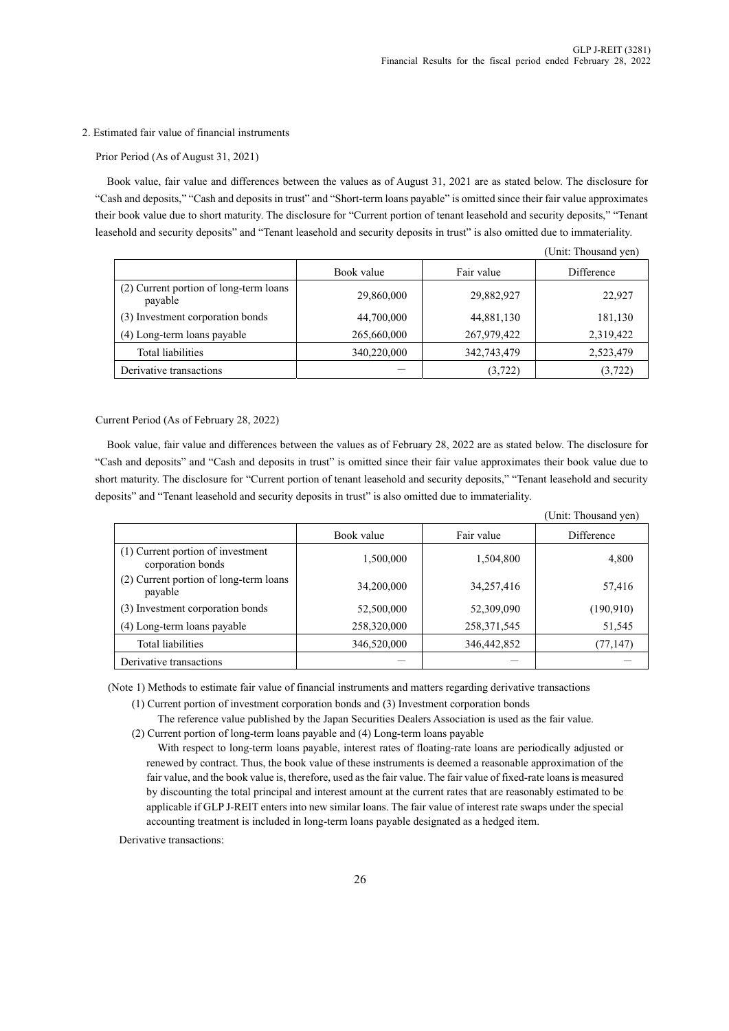#### 2. Estimated fair value of financial instruments

#### Prior Period (As of August 31, 2021)

Book value, fair value and differences between the values as of August 31, 2021 are as stated below. The disclosure for "Cash and deposits," "Cash and deposits in trust" and "Short-term loans payable" is omitted since their fair value approximates their book value due to short maturity. The disclosure for "Current portion of tenant leasehold and security deposits," "Tenant leasehold and security deposits" and "Tenant leasehold and security deposits in trust" is also omitted due to immateriality.

| Fair value<br>Book value<br>Difference                                                  |  |
|-----------------------------------------------------------------------------------------|--|
| (2) Current portion of long-term loans<br>22,927<br>29,860,000<br>29,882,927<br>payable |  |
| (3) Investment corporation bonds<br>44,700,000<br>44,881,130<br>181,130                 |  |
| 267,979,422<br>2,319,422<br>(4) Long-term loans payable<br>265,660,000                  |  |
| <b>Total liabilities</b><br>340,220,000<br>342,743,479<br>2,523,479                     |  |
| Derivative transactions<br>(3,722)<br>(3,722)                                           |  |

(Unit: Thousand yen)

Current Period (As of February 28, 2022)

Book value, fair value and differences between the values as of February 28, 2022 are as stated below. The disclosure for "Cash and deposits" and "Cash and deposits in trust" is omitted since their fair value approximates their book value due to short maturity. The disclosure for "Current portion of tenant leasehold and security deposits," "Tenant leasehold and security deposits" and "Tenant leasehold and security deposits in trust" is also omitted due to immateriality.

|                                                        |             |               | (Unit: Thousand yen) |
|--------------------------------------------------------|-------------|---------------|----------------------|
|                                                        | Book value  | Fair value    | Difference           |
| (1) Current portion of investment<br>corporation bonds | 1,500,000   | 1,504,800     | 4,800                |
| (2) Current portion of long-term loans<br>payable      | 34,200,000  | 34,257,416    | 57,416               |
| (3) Investment corporation bonds                       | 52,500,000  | 52,309,090    | (190, 910)           |
| (4) Long-term loans payable                            | 258,320,000 | 258, 371, 545 | 51,545               |
| Total liabilities                                      | 346,520,000 | 346, 442, 852 | (77, 147)            |
| Derivative transactions                                |             |               |                      |

(Note 1) Methods to estimate fair value of financial instruments and matters regarding derivative transactions

(1) Current portion of investment corporation bonds and (3) Investment corporation bonds

- The reference value published by the Japan Securities Dealers Association is used as the fair value.
- (2) Current portion of long-term loans payable and (4) Long-term loans payable

With respect to long-term loans payable, interest rates of floating-rate loans are periodically adjusted or renewed by contract. Thus, the book value of these instruments is deemed a reasonable approximation of the fair value, and the book value is, therefore, used as the fair value. The fair value of fixed-rate loans is measured by discounting the total principal and interest amount at the current rates that are reasonably estimated to be applicable if GLP J-REIT enters into new similar loans. The fair value of interest rate swaps under the special accounting treatment is included in long-term loans payable designated as a hedged item.

Derivative transactions: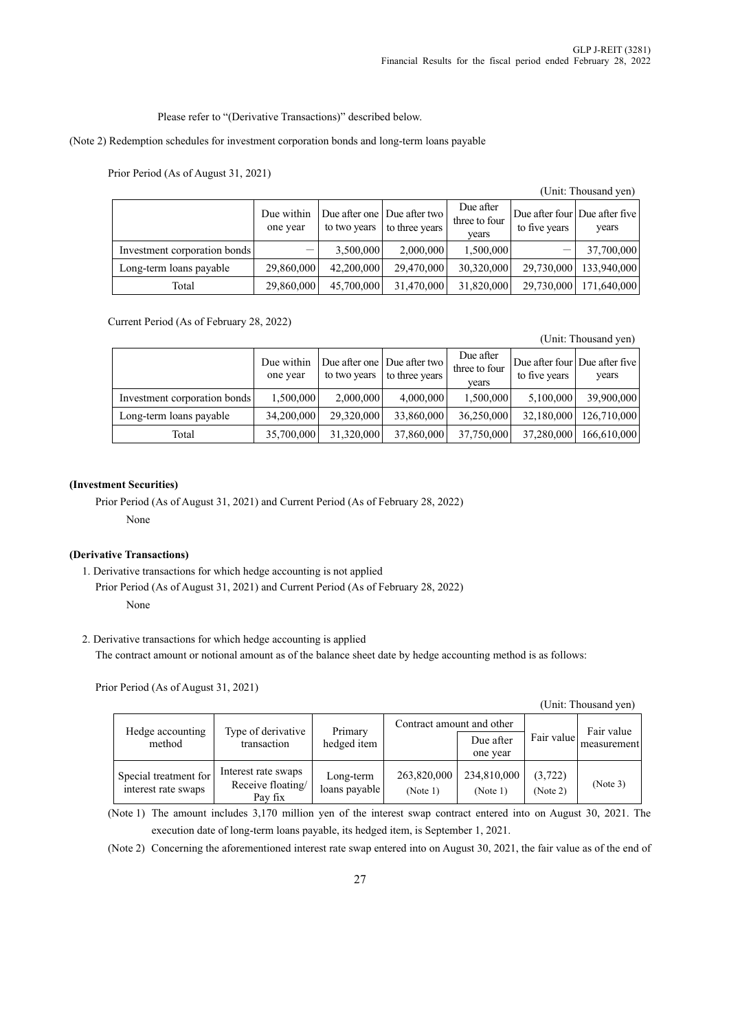Please refer to "(Derivative Transactions)" described below.

(Note 2) Redemption schedules for investment corporation bonds and long-term loans payable

Prior Period (As of August 31, 2021)

(Unit: Thousand yen)

|                              | Due within<br>one year |            | Due after one   Due after two  <br>to two years to three years | Due after<br>three to four<br>vears | to five years | Due after four   Due after five  <br>years |
|------------------------------|------------------------|------------|----------------------------------------------------------------|-------------------------------------|---------------|--------------------------------------------|
| Investment corporation bonds |                        | 3,500,000  | 2,000,000                                                      | 1,500,000                           |               | 37,700,000                                 |
| Long-term loans payable      | 29,860,000             | 42,200,000 | 29,470,000                                                     | 30,320,000                          | 29,730,000    | 133,940,000                                |
| Total                        | 29,860,000             | 45,700,000 | 31,470,000                                                     | 31,820,000                          | 29,730,000    | 171,640,000                                |

Current Period (As of February 28, 2022)

(Unit: Thousand yen)

|                              | Due within<br>one year | to two years | Due after one Due after two<br>to three years | Due after<br>three to four<br>vears | Due after four Due after five<br>to five years | years       |
|------------------------------|------------------------|--------------|-----------------------------------------------|-------------------------------------|------------------------------------------------|-------------|
| Investment corporation bonds | 1,500,000              | 2,000,000    | 4,000,000                                     | 1,500,000                           | 5,100,000                                      | 39,900,000  |
| Long-term loans payable      | 34,200,000             | 29,320,000   | 33,860,000                                    | 36,250,000                          | 32,180,000                                     | 126,710,000 |
| Total                        | 35,700,000             | 31,320,000   | 37,860,000                                    | 37,750,000                          | 37,280,000                                     | 166,610,000 |

### **(Investment Securities)**

Prior Period (As of August 31, 2021) and Current Period (As of February 28, 2022) None

### **(Derivative Transactions)**

1. Derivative transactions for which hedge accounting is not applied Prior Period (As of August 31, 2021) and Current Period (As of February 28, 2022) None

2. Derivative transactions for which hedge accounting is applied

The contract amount or notional amount as of the balance sheet date by hedge accounting method is as follows:

Prior Period (As of August 31, 2021)

|  | (Unit: Thousand yen) |  |
|--|----------------------|--|
|--|----------------------|--|

| Hedge accounting                             | Type of derivative                                  | Primary                    | Contract amount and other |                         |                      | Fair value  |  |
|----------------------------------------------|-----------------------------------------------------|----------------------------|---------------------------|-------------------------|----------------------|-------------|--|
| method                                       | transaction                                         | hedged item                |                           | Due after<br>one year   | Fair value           | measurement |  |
| Special treatment for<br>interest rate swaps | Interest rate swaps<br>Receive floating/<br>Pay fix | Long-term<br>loans payable | 263,820,000<br>(Note 1)   | 234,810,000<br>(Note 1) | (3, 722)<br>(Note 2) | (Note 3)    |  |

(Note 1) The amount includes 3,170 million yen of the interest swap contract entered into on August 30, 2021. The execution date of long-term loans payable, its hedged item, is September 1, 2021.

(Note 2) Concerning the aforementioned interest rate swap entered into on August 30, 2021, the fair value as of the end of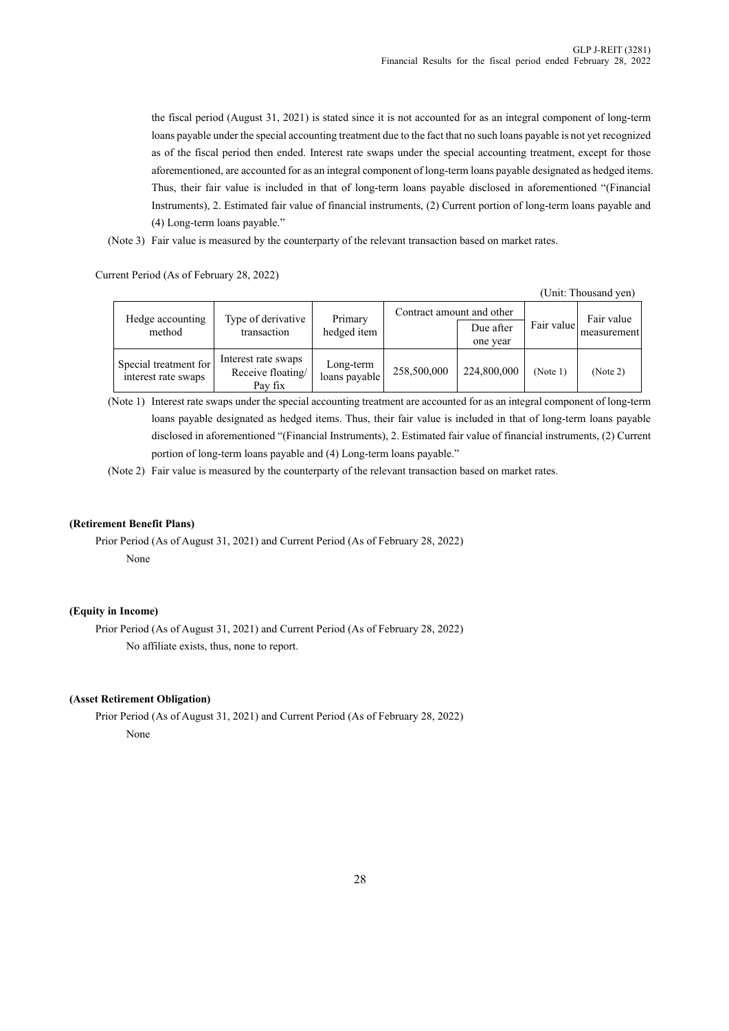the fiscal period (August 31, 2021) is stated since it is not accounted for as an integral component of long-term loans payable under the special accounting treatment due to the fact that no such loans payable is not yet recognized as of the fiscal period then ended. Interest rate swaps under the special accounting treatment, except for those aforementioned, are accounted for as an integral component of long-term loans payable designated as hedged items. Thus, their fair value is included in that of long-term loans payable disclosed in aforementioned "(Financial Instruments), 2. Estimated fair value of financial instruments, (2) Current portion of long-term loans payable and (4) Long-term loans payable."

(Note 3) Fair value is measured by the counterparty of the relevant transaction based on market rates.

Current Period (As of February 28, 2022)

(Unit: Thousand yen)

| Hedge accounting<br>method                   | Type of derivative<br>transaction                   | Primary<br>hedged item     | Contract amount and other | Due after<br>one year | Fair value | Fair value<br>measurement |
|----------------------------------------------|-----------------------------------------------------|----------------------------|---------------------------|-----------------------|------------|---------------------------|
| Special treatment for<br>interest rate swaps | Interest rate swaps<br>Receive floating/<br>Pay fix | Long-term<br>loans payable | 258,500,000               | 224,800,000           | (Note 1)   | (Note 2)                  |

(Note 1) Interest rate swaps under the special accounting treatment are accounted for as an integral component of long-term loans payable designated as hedged items. Thus, their fair value is included in that of long-term loans payable disclosed in aforementioned "(Financial Instruments), 2. Estimated fair value of financial instruments, (2) Current portion of long-term loans payable and (4) Long-term loans payable."

(Note 2) Fair value is measured by the counterparty of the relevant transaction based on market rates.

### **(Retirement Benefit Plans)**

Prior Period (As of August 31, 2021) and Current Period (As of February 28, 2022) None

### **(Equity in Income)**

Prior Period (As of August 31, 2021) and Current Period (As of February 28, 2022) No affiliate exists, thus, none to report.

#### **(Asset Retirement Obligation)**

Prior Period (As of August 31, 2021) and Current Period (As of February 28, 2022) None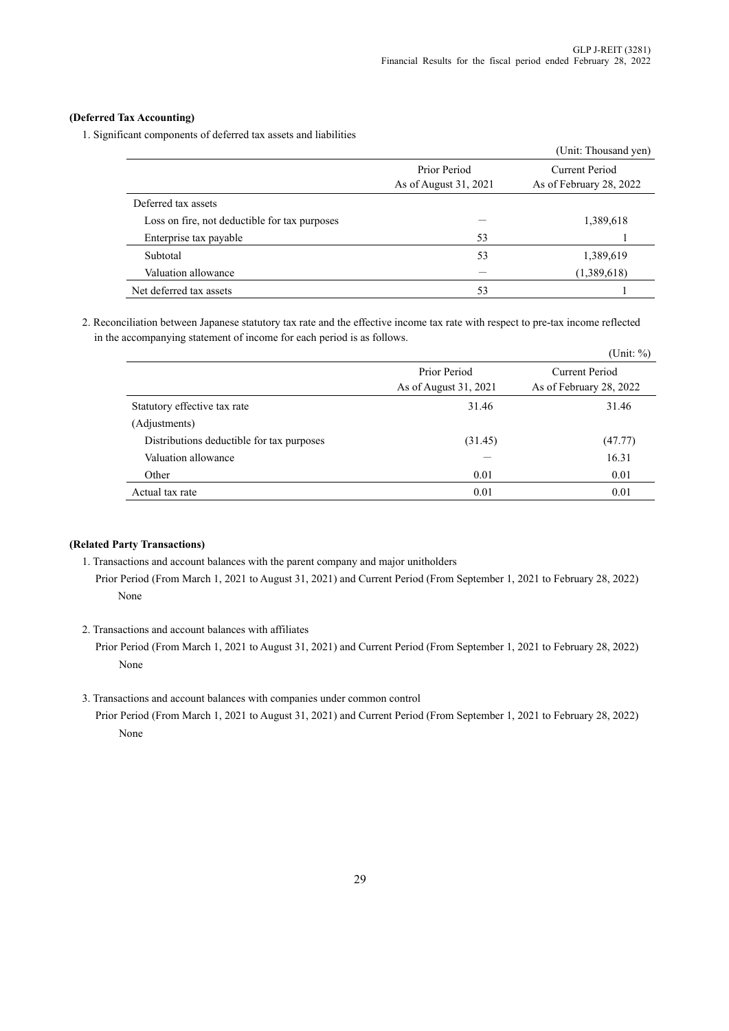### **(Deferred Tax Accounting)**

1. Significant components of deferred tax assets and liabilities

|                                               |                                       | (Unit: Thousand yen)                      |
|-----------------------------------------------|---------------------------------------|-------------------------------------------|
|                                               | Prior Period<br>As of August 31, 2021 | Current Period<br>As of February 28, 2022 |
| Deferred tax assets                           |                                       |                                           |
| Loss on fire, not deductible for tax purposes |                                       | 1,389,618                                 |
| Enterprise tax payable                        | 53                                    |                                           |
| Subtotal                                      | 53                                    | 1,389,619                                 |
| Valuation allowance                           |                                       | (1,389,618)                               |
| Net deferred tax assets                       | 53                                    |                                           |

2. Reconciliation between Japanese statutory tax rate and the effective income tax rate with respect to pre-tax income reflected in the accompanying statement of income for each period is as follows.

|                                           |                                       | (Unit: $\%$ )                             |
|-------------------------------------------|---------------------------------------|-------------------------------------------|
|                                           | Prior Period<br>As of August 31, 2021 | Current Period<br>As of February 28, 2022 |
| Statutory effective tax rate              | 31.46                                 | 31.46                                     |
| (Adjustments)                             |                                       |                                           |
| Distributions deductible for tax purposes | (31.45)                               | (47.77)                                   |
| Valuation allowance                       |                                       | 16.31                                     |
| Other                                     | 0.01                                  | 0.01                                      |
| Actual tax rate                           | 0.01                                  | 0.01                                      |

### **(Related Party Transactions)**

- 1. Transactions and account balances with the parent company and major unitholders
	- Prior Period (From March 1, 2021 to August 31, 2021) and Current Period (From September 1, 2021 to February 28, 2022) None
- 2. Transactions and account balances with affiliates

Prior Period (From March 1, 2021 to August 31, 2021) and Current Period (From September 1, 2021 to February 28, 2022) None

3. Transactions and account balances with companies under common control

Prior Period (From March 1, 2021 to August 31, 2021) and Current Period (From September 1, 2021 to February 28, 2022) None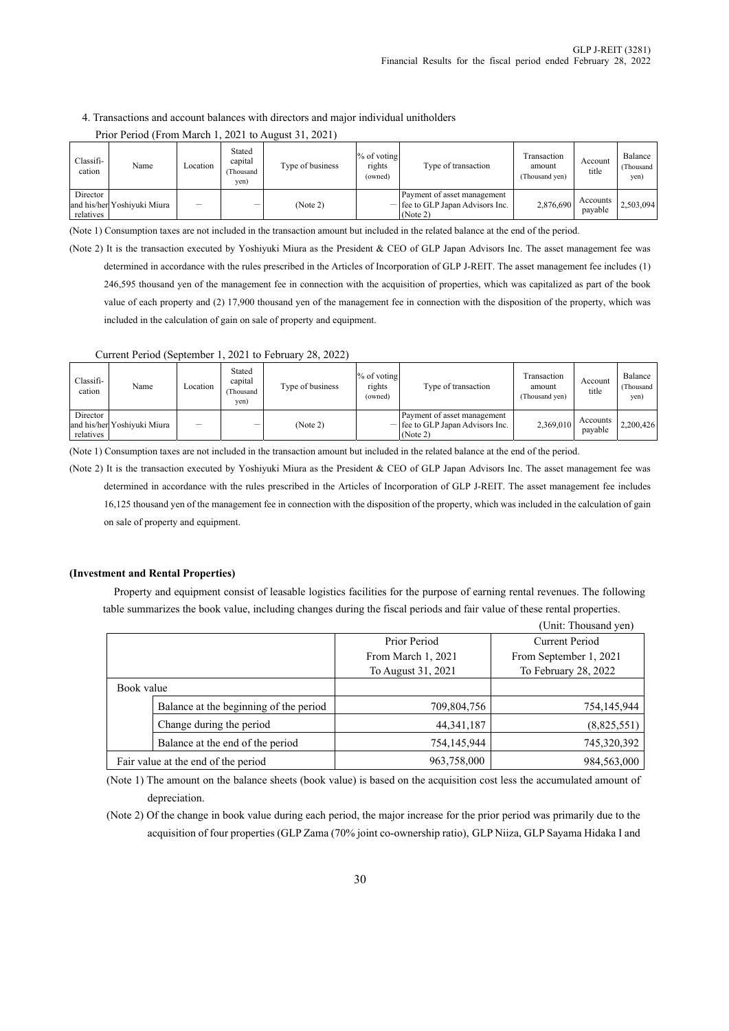#### 4. Transactions and account balances with directors and major individual unitholders

| Classifi-<br>cation   | Name                        | Location | Stated<br>capital<br>Thousand<br>yen) | Type of business | $%$ of voting<br>rights<br>(owned) | Type of transaction                                                           | Transaction<br>amount<br>(Thousand ven) | Account<br>title    | Balance<br>Thousand<br>yen) |
|-----------------------|-----------------------------|----------|---------------------------------------|------------------|------------------------------------|-------------------------------------------------------------------------------|-----------------------------------------|---------------------|-----------------------------|
| Director<br>relatives | and his/her Yoshiyuki Miura |          |                                       | (Note 2)         |                                    | Payment of asset management<br>$-$ fee to GLP Japan Advisors Inc.<br>(Note 2) | 2,876,690                               | Accounts<br>payable | 2,503,094                   |

#### Prior Period (From March 1, 2021 to August 31, 2021)

(Note 1) Consumption taxes are not included in the transaction amount but included in the related balance at the end of the period.

(Note 2) It is the transaction executed by Yoshiyuki Miura as the President & CEO of GLP Japan Advisors Inc. The asset management fee was determined in accordance with the rules prescribed in the Articles of Incorporation of GLP J-REIT. The asset management fee includes (1) 246,595 thousand yen of the management fee in connection with the acquisition of properties, which was capitalized as part of the book value of each property and (2) 17,900 thousand yen of the management fee in connection with the disposition of the property, which was included in the calculation of gain on sale of property and equipment.

Current Period (September 1, 2021 to February 28, 2022)

| Classifi-<br>cation   | Name                        | Location | Stated<br>capital<br>Thousand<br>yen) | Type of business | $%$ of voting<br>rights<br>(owned) | Type of transaction                                                           | Transaction<br>amount<br>(Thousand yen) | Account<br>title    | Balance<br>(Thousand<br>yen) |
|-----------------------|-----------------------------|----------|---------------------------------------|------------------|------------------------------------|-------------------------------------------------------------------------------|-----------------------------------------|---------------------|------------------------------|
| Director<br>relatives | and his/her Yoshiyuki Miura |          | _                                     | (Note 2)         |                                    | Payment of asset management<br>$-$ fee to GLP Japan Advisors Inc.<br>(Note 2) | 2,369,010                               | Accounts<br>payable | 2.200.426                    |

(Note 1) Consumption taxes are not included in the transaction amount but included in the related balance at the end of the period.

(Note 2) It is the transaction executed by Yoshiyuki Miura as the President & CEO of GLP Japan Advisors Inc. The asset management fee was determined in accordance with the rules prescribed in the Articles of Incorporation of GLP J-REIT. The asset management fee includes 16,125 thousand yen of the management fee in connection with the disposition of the property, which was included in the calculation of gain on sale of property and equipment.

#### **(Investment and Rental Properties)**

Property and equipment consist of leasable logistics facilities for the purpose of earning rental revenues. The following table summarizes the book value, including changes during the fiscal periods and fair value of these rental properties.

|                                        |                    | (Unit: Thousand yen)   |
|----------------------------------------|--------------------|------------------------|
|                                        | Prior Period       | Current Period         |
|                                        | From March 1, 2021 | From September 1, 2021 |
|                                        | To August 31, 2021 | To February 28, 2022   |
| Book value                             |                    |                        |
| Balance at the beginning of the period | 709,804,756        | 754,145,944            |
| Change during the period               | 44, 341, 187       | (8,825,551)            |
| Balance at the end of the period       | 754,145,944        | 745,320,392            |
| Fair value at the end of the period    | 963,758,000        | 984,563,000            |

(Note 1) The amount on the balance sheets (book value) is based on the acquisition cost less the accumulated amount of depreciation.

(Note 2) Of the change in book value during each period, the major increase for the prior period was primarily due to the acquisition of four properties (GLP Zama (70% joint co-ownership ratio), GLP Niiza, GLP Sayama Hidaka I and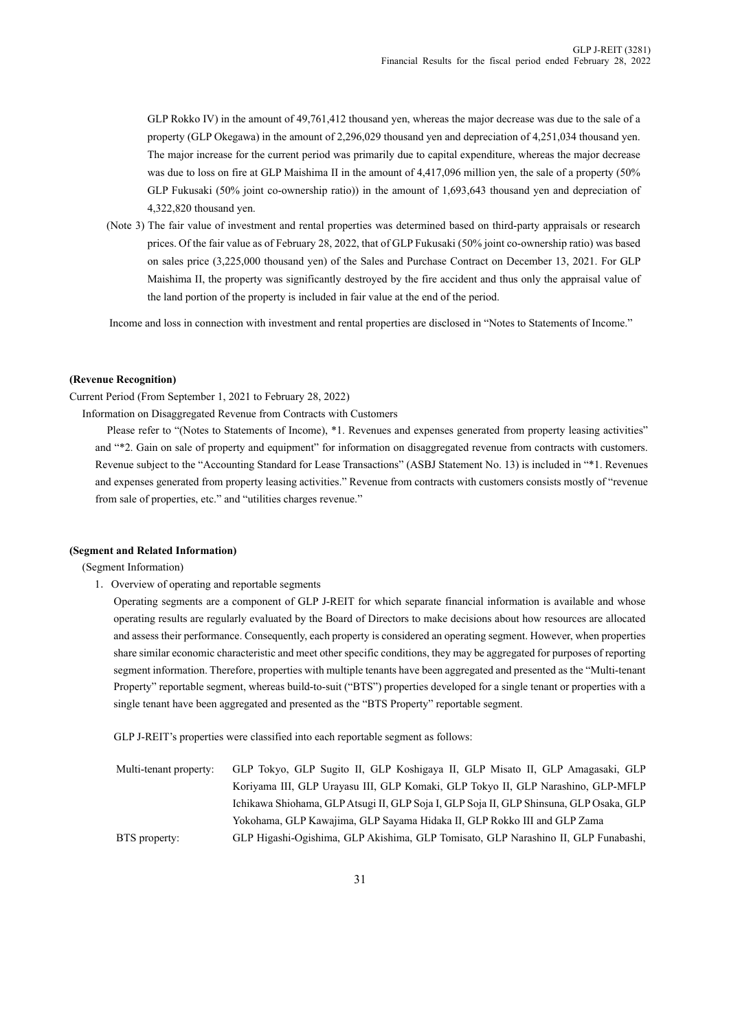GLP Rokko IV) in the amount of 49,761,412 thousand yen, whereas the major decrease was due to the sale of a property (GLP Okegawa) in the amount of 2,296,029 thousand yen and depreciation of 4,251,034 thousand yen. The major increase for the current period was primarily due to capital expenditure, whereas the major decrease was due to loss on fire at GLP Maishima II in the amount of 4,417,096 million yen, the sale of a property (50% GLP Fukusaki (50% joint co-ownership ratio)) in the amount of 1,693,643 thousand yen and depreciation of 4,322,820 thousand yen.

(Note 3) The fair value of investment and rental properties was determined based on third-party appraisals or research prices. Of the fair value as of February 28, 2022, that of GLP Fukusaki (50% joint co-ownership ratio) was based on sales price (3,225,000 thousand yen) of the Sales and Purchase Contract on December 13, 2021. For GLP Maishima II, the property was significantly destroyed by the fire accident and thus only the appraisal value of the land portion of the property is included in fair value at the end of the period.

Income and loss in connection with investment and rental properties are disclosed in "Notes to Statements of Income."

#### **(Revenue Recognition)**

Current Period (From September 1, 2021 to February 28, 2022)

Information on Disaggregated Revenue from Contracts with Customers

Please refer to "(Notes to Statements of Income), \*1. Revenues and expenses generated from property leasing activities" and "\*2. Gain on sale of property and equipment" for information on disaggregated revenue from contracts with customers. Revenue subject to the "Accounting Standard for Lease Transactions" (ASBJ Statement No. 13) is included in "\*1. Revenues and expenses generated from property leasing activities." Revenue from contracts with customers consists mostly of "revenue from sale of properties, etc." and "utilities charges revenue."

#### **(Segment and Related Information)**

(Segment Information)

1.Overview of operating and reportable segments

Operating segments are a component of GLP J-REIT for which separate financial information is available and whose operating results are regularly evaluated by the Board of Directors to make decisions about how resources are allocated and assess their performance. Consequently, each property is considered an operating segment. However, when properties share similar economic characteristic and meet other specific conditions, they may be aggregated for purposes of reporting segment information. Therefore, properties with multiple tenants have been aggregated and presented as the "Multi-tenant Property" reportable segment, whereas build-to-suit ("BTS") properties developed for a single tenant or properties with a single tenant have been aggregated and presented as the "BTS Property" reportable segment.

GLP J-REIT's properties were classified into each reportable segment as follows:

| Multi-tenant property: | GLP Tokyo, GLP Sugito II, GLP Koshigaya II, GLP Misato II, GLP Amagasaki, GLP           |
|------------------------|-----------------------------------------------------------------------------------------|
|                        | Koriyama III, GLP Urayasu III, GLP Komaki, GLP Tokyo II, GLP Narashino, GLP-MFLP        |
|                        | Ichikawa Shiohama, GLP Atsugi II, GLP Soja I, GLP Soja II, GLP Shinsuna, GLP Osaka, GLP |
|                        | Yokohama, GLP Kawajima, GLP Sayama Hidaka II, GLP Rokko III and GLP Zama                |
| BTS property:          | GLP Higashi-Ogishima, GLP Akishima, GLP Tomisato, GLP Narashino II, GLP Funabashi,      |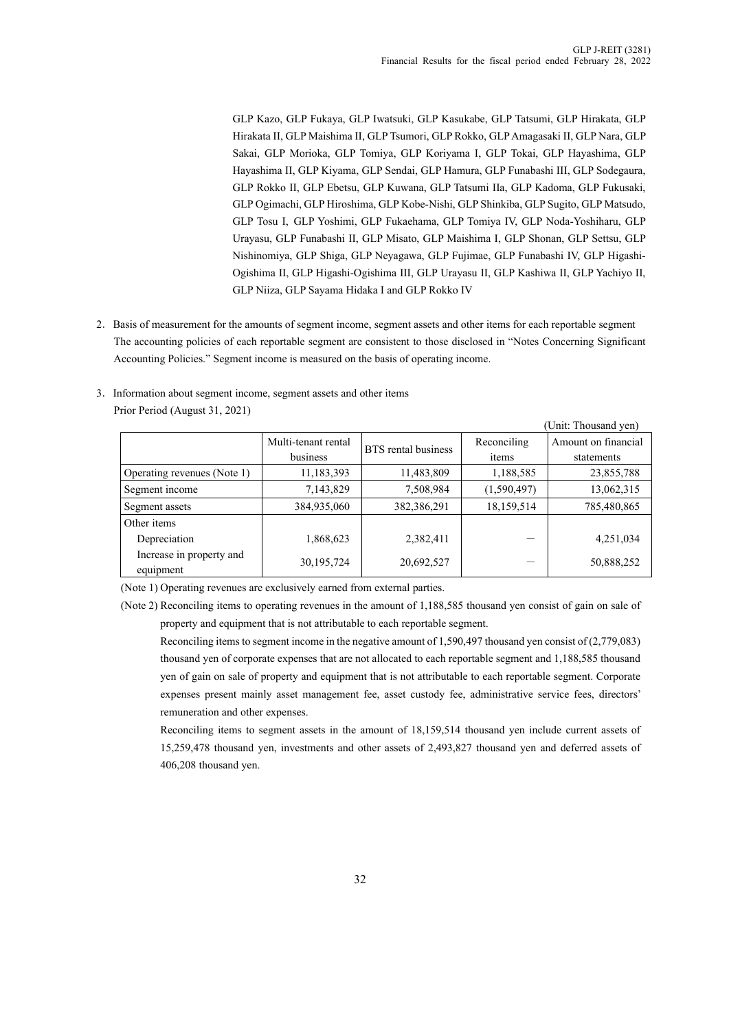GLP Kazo, GLP Fukaya, GLP Iwatsuki, GLP Kasukabe, GLP Tatsumi, GLP Hirakata, GLP Hirakata II, GLP Maishima II, GLP Tsumori, GLP Rokko, GLP Amagasaki II, GLP Nara, GLP Sakai, GLP Morioka, GLP Tomiya, GLP Koriyama I, GLP Tokai, GLP Hayashima, GLP Hayashima II, GLP Kiyama, GLP Sendai, GLP Hamura, GLP Funabashi III, GLP Sodegaura, GLP Rokko II, GLP Ebetsu, GLP Kuwana, GLP Tatsumi IIa, GLP Kadoma, GLP Fukusaki, GLP Ogimachi, GLP Hiroshima, GLP Kobe-Nishi, GLP Shinkiba, GLP Sugito, GLP Matsudo, GLP Tosu I, GLP Yoshimi, GLP Fukaehama, GLP Tomiya IV, GLP Noda-Yoshiharu, GLP Urayasu, GLP Funabashi II, GLP Misato, GLP Maishima I, GLP Shonan, GLP Settsu, GLP Nishinomiya, GLP Shiga, GLP Neyagawa, GLP Fujimae, GLP Funabashi IV, GLP Higashi-Ogishima II, GLP Higashi-Ogishima III, GLP Urayasu II, GLP Kashiwa II, GLP Yachiyo II, GLP Niiza, GLP Sayama Hidaka I and GLP Rokko IV

2.Basis of measurement for the amounts of segment income, segment assets and other items for each reportable segment The accounting policies of each reportable segment are consistent to those disclosed in "Notes Concerning Significant Accounting Policies." Segment income is measured on the basis of operating income.

|                             |                     |                     |             | (Unit: Thousand yen) |
|-----------------------------|---------------------|---------------------|-------------|----------------------|
|                             | Multi-tenant rental | BTS rental business | Reconciling | Amount on financial  |
|                             | business            |                     | items       | statements           |
| Operating revenues (Note 1) | 11,183,393          | 11,483,809          | 1,188,585   | 23,855,788           |
| Segment income              | 7,143,829           | 7,508,984           | (1,590,497) | 13,062,315           |
| Segment assets              | 384,935,060         | 382,386,291         | 18,159,514  | 785,480,865          |
| Other items                 |                     |                     |             |                      |
| Depreciation                | 1,868,623           | 2,382,411           |             | 4,251,034            |
| Increase in property and    | 30,195,724          | 20,692,527          |             | 50,888,252           |
| equipment                   |                     |                     |             |                      |

3.Information about segment income, segment assets and other items Prior Period (August 31, 2021)

(Note 1) Operating revenues are exclusively earned from external parties.

(Note 2) Reconciling items to operating revenues in the amount of 1,188,585 thousand yen consist of gain on sale of property and equipment that is not attributable to each reportable segment.

Reconciling items to segment income in the negative amount of 1,590,497 thousand yen consist of (2,779,083) thousand yen of corporate expenses that are not allocated to each reportable segment and 1,188,585 thousand yen of gain on sale of property and equipment that is not attributable to each reportable segment. Corporate expenses present mainly asset management fee, asset custody fee, administrative service fees, directors' remuneration and other expenses.

Reconciling items to segment assets in the amount of 18,159,514 thousand yen include current assets of 15,259,478 thousand yen, investments and other assets of 2,493,827 thousand yen and deferred assets of 406,208 thousand yen.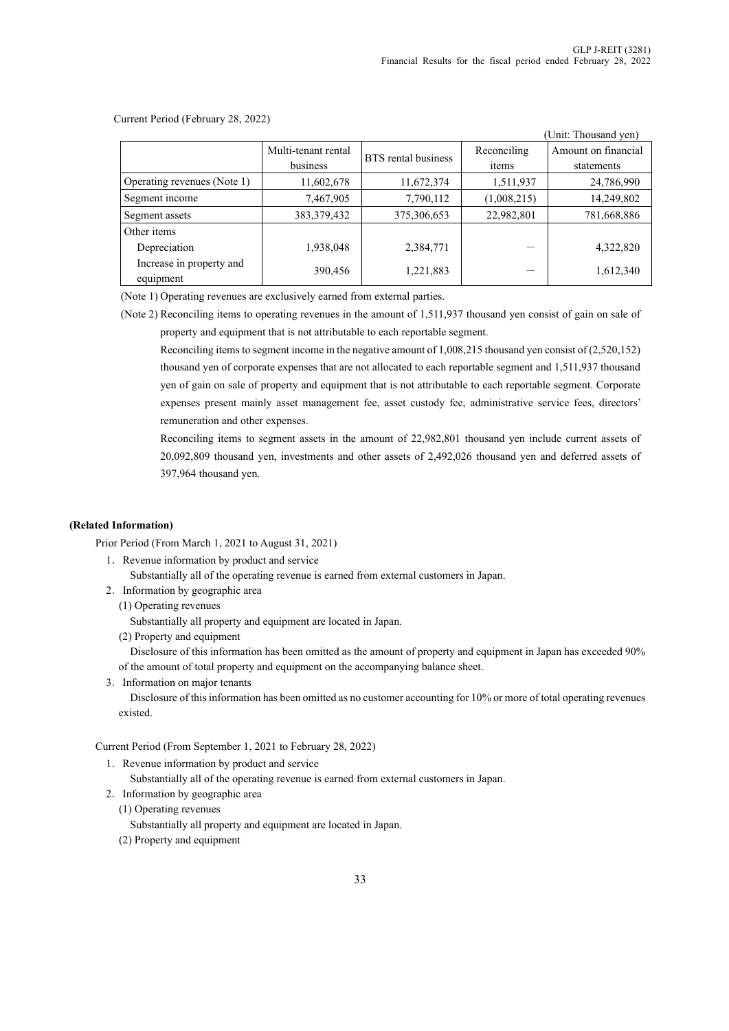$(T<sub>1</sub>)/T<sub>1</sub>$ 

|                                       |                     |                     |             | Unit: Thousand yen) |
|---------------------------------------|---------------------|---------------------|-------------|---------------------|
|                                       | Multi-tenant rental | BTS rental business | Reconciling | Amount on financial |
|                                       | business            |                     | items       | statements          |
| Operating revenues (Note 1)           | 11,602,678          | 11,672,374          | 1,511,937   | 24,786,990          |
| Segment income                        | 7,467,905           | 7,790,112           | (1,008,215) | 14,249,802          |
| Segment assets                        | 383, 379, 432       | 375,306,653         | 22,982,801  | 781,668,886         |
| Other items                           |                     |                     |             |                     |
| Depreciation                          | 1,938,048           | 2,384,771           |             | 4,322,820           |
| Increase in property and<br>equipment | 390,456             | 1,221,883           |             | 1,612,340           |

Current Period (February 28, 2022)

(Note 1) Operating revenues are exclusively earned from external parties.

(Note 2) Reconciling items to operating revenues in the amount of 1,511,937 thousand yen consist of gain on sale of property and equipment that is not attributable to each reportable segment.

Reconciling items to segment income in the negative amount of 1,008,215 thousand yen consist of (2,520,152) thousand yen of corporate expenses that are not allocated to each reportable segment and 1,511,937 thousand yen of gain on sale of property and equipment that is not attributable to each reportable segment. Corporate expenses present mainly asset management fee, asset custody fee, administrative service fees, directors' remuneration and other expenses.

Reconciling items to segment assets in the amount of 22,982,801 thousand yen include current assets of 20,092,809 thousand yen, investments and other assets of 2,492,026 thousand yen and deferred assets of 397,964 thousand yen.

### **(Related Information)**

Prior Period (From March 1, 2021 to August 31, 2021)

1.Revenue information by product and service

Substantially all of the operating revenue is earned from external customers in Japan.

- 2.Information by geographic area
	- (1) Operating revenues

Substantially all property and equipment are located in Japan.

(2) Property and equipment

Disclosure of this information has been omitted as the amount of property and equipment in Japan has exceeded 90% of the amount of total property and equipment on the accompanying balance sheet.

3.Information on major tenants

Disclosure of this information has been omitted as no customer accounting for 10% or more of total operating revenues existed.

Current Period (From September 1, 2021 to February 28, 2022)

1.Revenue information by product and service

Substantially all of the operating revenue is earned from external customers in Japan.

2.Information by geographic area

(1) Operating revenues

Substantially all property and equipment are located in Japan.

(2) Property and equipment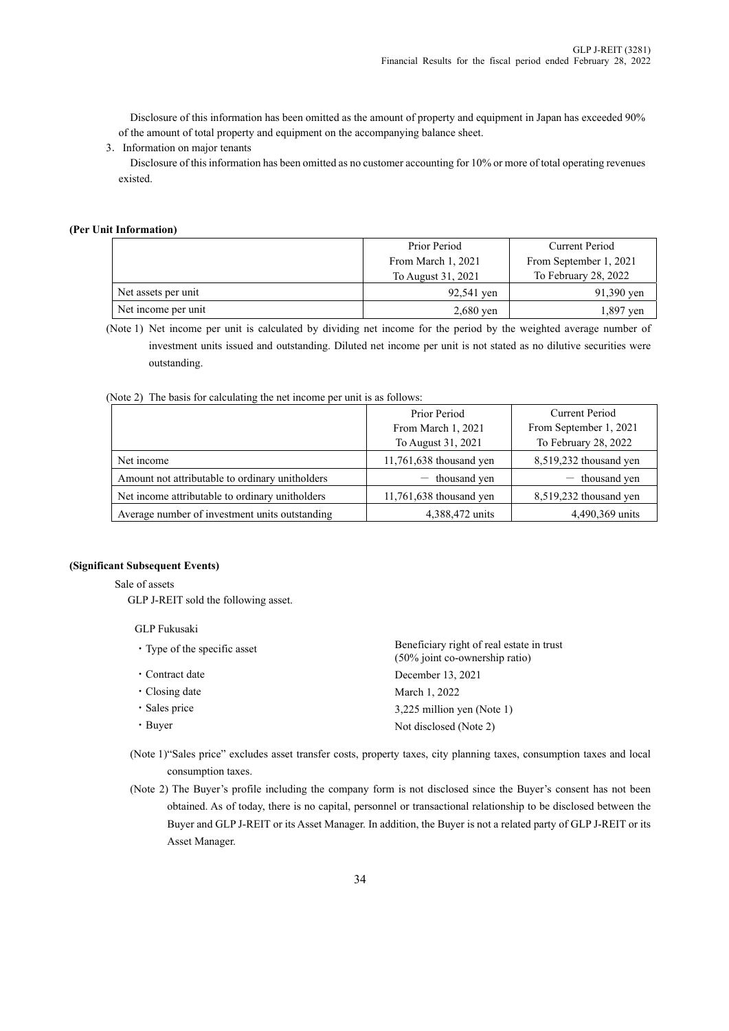Disclosure of this information has been omitted as the amount of property and equipment in Japan has exceeded 90% of the amount of total property and equipment on the accompanying balance sheet.

3.Information on major tenants

Disclosure of this information has been omitted as no customer accounting for 10% or more of total operating revenues existed.

### **(Per Unit Information)**

|                     | Prior Period       | Current Period         |
|---------------------|--------------------|------------------------|
|                     | From March 1, 2021 | From September 1, 2021 |
|                     | To August 31, 2021 | To February 28, 2022   |
| Net assets per unit | 92,541 yen         | 91,390 yen             |
| Net income per unit | $2,680$ yen        | ven                    |

(Note 1) Net income per unit is calculated by dividing net income for the period by the weighted average number of investment units issued and outstanding. Diluted net income per unit is not stated as no dilutive securities were outstanding.

(Note 2) The basis for calculating the net income per unit is as follows:

|                                                 | Prior Period              | Current Period         |  |  |
|-------------------------------------------------|---------------------------|------------------------|--|--|
|                                                 | From March 1, 2021        | From September 1, 2021 |  |  |
|                                                 | To August 31, 2021        | To February 28, 2022   |  |  |
| Net income                                      | $11,761,638$ thousand yen | 8,519,232 thousand yen |  |  |
| Amount not attributable to ordinary unitholders | $-$ thousand yen          | $-$ thousand yen       |  |  |
| Net income attributable to ordinary unitholders | $11,761,638$ thousand yen | 8,519,232 thousand yen |  |  |
| Average number of investment units outstanding  | 4,388,472 units           | 4,490,369 units        |  |  |

### **(Significant Subsequent Events)**

Sale of assets

GLP J-REIT sold the following asset.

#### GLP Fukusaki

| • Type of the specific asset | Beneficiary right of real estate in trust<br>(50% joint co-ownership ratio) |
|------------------------------|-----------------------------------------------------------------------------|
| • Contract date              | December 13, 2021                                                           |
| $\cdot$ Closing date         | March 1, 2022                                                               |
| · Sales price                | 3,225 million yen (Note 1)                                                  |
| $\cdot$ Buyer                | Not disclosed (Note 2)                                                      |
|                              |                                                                             |

(Note 1) "Sales price" excludes asset transfer costs, property taxes, city planning taxes, consumption taxes and local consumption taxes.

(Note 2) The Buyer's profile including the company form is not disclosed since the Buyer's consent has not been obtained. As of today, there is no capital, personnel or transactional relationship to be disclosed between the Buyer and GLP J-REIT or its Asset Manager. In addition, the Buyer is not a related party of GLP J-REIT or its Asset Manager.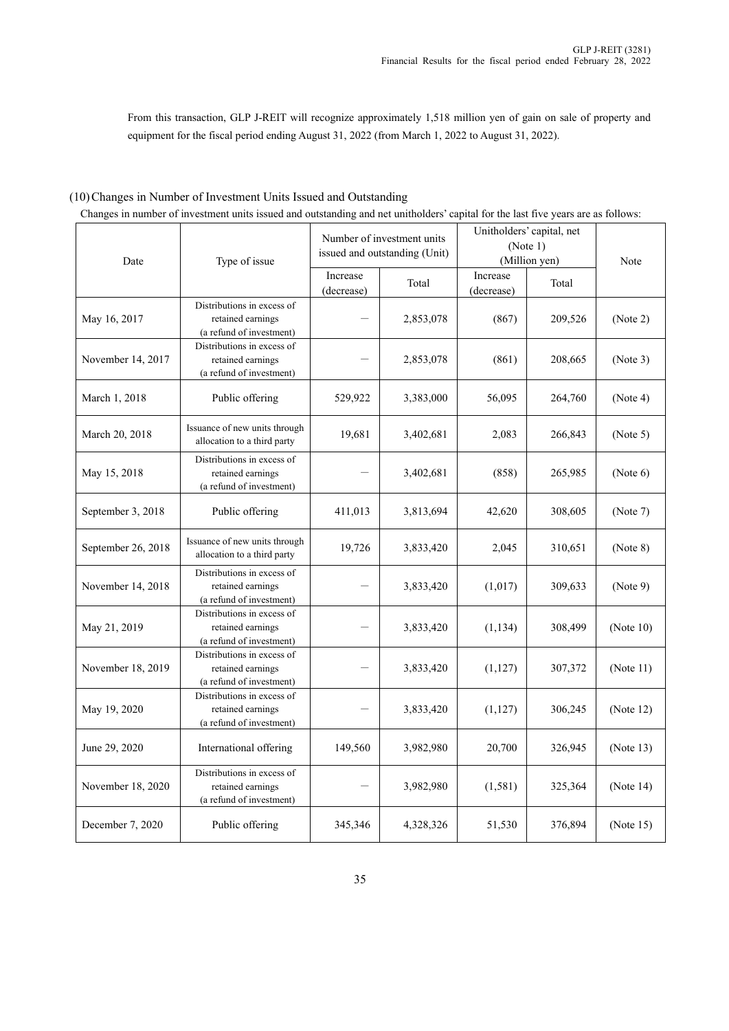From this transaction, GLP J-REIT will recognize approximately 1,518 million yen of gain on sale of property and equipment for the fiscal period ending August 31, 2022 (from March 1, 2022 to August 31, 2022).

# (10)Changes in Number of Investment Units Issued and Outstanding

| Date               | Type of issue                                                               |                        | Number of investment units<br>issued and outstanding (Unit) | Unitholders' capital, net<br>(Note 1)<br>(Million yen) | Note    |              |
|--------------------|-----------------------------------------------------------------------------|------------------------|-------------------------------------------------------------|--------------------------------------------------------|---------|--------------|
|                    |                                                                             | Increase<br>(decrease) | Total                                                       | Increase<br>(decrease)                                 | Total   |              |
| May 16, 2017       | Distributions in excess of<br>retained earnings<br>(a refund of investment) |                        | 2,853,078                                                   | (867)                                                  | 209,526 | (Note 2)     |
| November 14, 2017  | Distributions in excess of<br>retained earnings<br>(a refund of investment) |                        | 2,853,078                                                   | (861)                                                  | 208,665 | (Note 3)     |
| March 1, 2018      | Public offering                                                             | 529,922                | 3,383,000                                                   | 56,095                                                 | 264,760 | (Note 4)     |
| March 20, 2018     | Issuance of new units through<br>allocation to a third party                | 19,681                 | 3,402,681                                                   | 2,083                                                  | 266,843 | (Note 5)     |
| May 15, 2018       | Distributions in excess of<br>retained earnings<br>(a refund of investment) |                        | 3,402,681                                                   | (858)                                                  | 265,985 | (Note 6)     |
| September 3, 2018  | Public offering                                                             | 411,013                | 3,813,694                                                   | 42,620                                                 | 308,605 | (Note 7)     |
| September 26, 2018 | Issuance of new units through<br>allocation to a third party                | 19,726                 | 3,833,420                                                   | 2,045                                                  | 310,651 | (Note 8)     |
| November 14, 2018  | Distributions in excess of<br>retained earnings<br>(a refund of investment) |                        | 3,833,420                                                   | (1,017)                                                | 309,633 | (Note 9)     |
| May 21, 2019       | Distributions in excess of<br>retained earnings<br>(a refund of investment) |                        | 3,833,420                                                   | (1, 134)                                               | 308,499 | (Note $10$ ) |
| November 18, 2019  | Distributions in excess of<br>retained earnings<br>(a refund of investment) |                        | 3,833,420                                                   | (1, 127)                                               | 307,372 | (Note 11)    |
| May 19, 2020       | Distributions in excess of<br>retained earnings<br>(a refund of investment) |                        | 3,833,420                                                   | (1,127)                                                | 306,245 | (Note $12$ ) |
| June 29, 2020      | International offering                                                      | 149,560                | 3,982,980                                                   | 20,700                                                 | 326,945 | (Note 13)    |
| November 18, 2020  | Distributions in excess of<br>retained earnings<br>(a refund of investment) |                        | 3,982,980                                                   | (1, 581)                                               | 325,364 | (Note $14$ ) |
| December 7, 2020   | Public offering                                                             | 345,346                | 4,328,326                                                   | 51,530                                                 | 376,894 | (Note 15)    |

Changes in number of investment units issued and outstanding and net unitholders' capital for the last five years are as follows: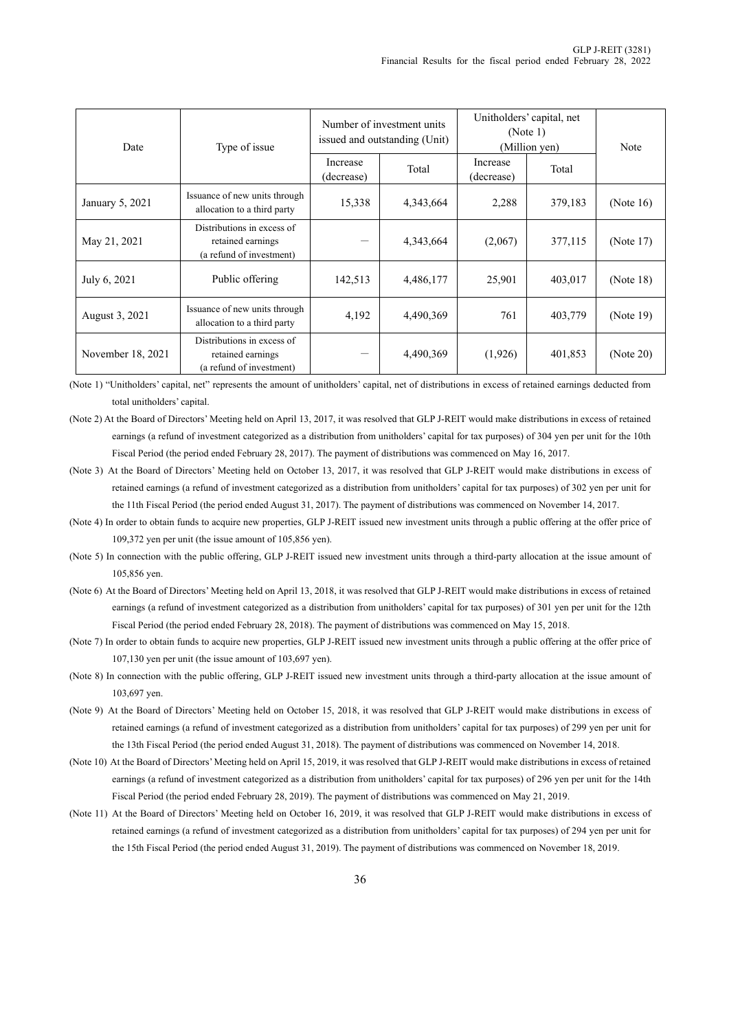| Date              | Type of issue                                                               |                        | Number of investment units<br>issued and outstanding (Unit) | Unitholders' capital, net<br>(Note 1)<br>(Million yen) | Note    |              |
|-------------------|-----------------------------------------------------------------------------|------------------------|-------------------------------------------------------------|--------------------------------------------------------|---------|--------------|
|                   |                                                                             | Increase<br>(decrease) | Total                                                       | Increase<br>(decrease)                                 | Total   |              |
| January 5, 2021   | Issuance of new units through<br>allocation to a third party                | 15,338                 | 4,343,664                                                   | 2,288                                                  | 379,183 | (Note $16$ ) |
| May 21, 2021      | Distributions in excess of<br>retained earnings<br>(a refund of investment) |                        | 4,343,664                                                   | (2,067)                                                | 377,115 | (Note 17)    |
| July 6, 2021      | Public offering                                                             | 142,513                | 4,486,177                                                   | 25,901                                                 | 403,017 | (Note 18)    |
| August 3, 2021    | Issuance of new units through<br>allocation to a third party                | 4,192                  | 4,490,369                                                   | 761                                                    | 403,779 | (Note 19)    |
| November 18, 2021 | Distributions in excess of<br>retained earnings<br>(a refund of investment) |                        | 4,490,369                                                   | (1,926)                                                | 401,853 | (Note 20)    |

(Note 1) "Unitholders' capital, net" represents the amount of unitholders' capital, net of distributions in excess of retained earnings deducted from total unitholders' capital.

- (Note 2) At the Board of Directors' Meeting held on April 13, 2017, it was resolved that GLP J-REIT would make distributions in excess of retained earnings (a refund of investment categorized as a distribution from unitholders' capital for tax purposes) of 304 yen per unit for the 10th Fiscal Period (the period ended February 28, 2017). The payment of distributions was commenced on May 16, 2017.
- (Note 3) At the Board of Directors' Meeting held on October 13, 2017, it was resolved that GLP J-REIT would make distributions in excess of retained earnings (a refund of investment categorized as a distribution from unitholders' capital for tax purposes) of 302 yen per unit for the 11th Fiscal Period (the period ended August 31, 2017). The payment of distributions was commenced on November 14, 2017.
- (Note 4) In order to obtain funds to acquire new properties, GLP J-REIT issued new investment units through a public offering at the offer price of 109,372 yen per unit (the issue amount of 105,856 yen).
- (Note 5) In connection with the public offering, GLP J-REIT issued new investment units through a third-party allocation at the issue amount of 105,856 yen.
- (Note 6) At the Board of Directors' Meeting held on April 13, 2018, it was resolved that GLP J-REIT would make distributions in excess of retained earnings (a refund of investment categorized as a distribution from unitholders' capital for tax purposes) of 301 yen per unit for the 12th Fiscal Period (the period ended February 28, 2018). The payment of distributions was commenced on May 15, 2018.
- (Note 7) In order to obtain funds to acquire new properties, GLP J-REIT issued new investment units through a public offering at the offer price of 107,130 yen per unit (the issue amount of 103,697 yen).
- (Note 8) In connection with the public offering, GLP J-REIT issued new investment units through a third-party allocation at the issue amount of 103,697 yen.
- (Note 9) At the Board of Directors' Meeting held on October 15, 2018, it was resolved that GLP J-REIT would make distributions in excess of retained earnings (a refund of investment categorized as a distribution from unitholders' capital for tax purposes) of 299 yen per unit for the 13th Fiscal Period (the period ended August 31, 2018). The payment of distributions was commenced on November 14, 2018.
- (Note 10) At the Board of Directors' Meeting held on April 15, 2019, it was resolved that GLP J-REIT would make distributions in excess of retained earnings (a refund of investment categorized as a distribution from unitholders' capital for tax purposes) of 296 yen per unit for the 14th Fiscal Period (the period ended February 28, 2019). The payment of distributions was commenced on May 21, 2019.
- (Note 11) At the Board of Directors' Meeting held on October 16, 2019, it was resolved that GLP J-REIT would make distributions in excess of retained earnings (a refund of investment categorized as a distribution from unitholders' capital for tax purposes) of 294 yen per unit for the 15th Fiscal Period (the period ended August 31, 2019). The payment of distributions was commenced on November 18, 2019.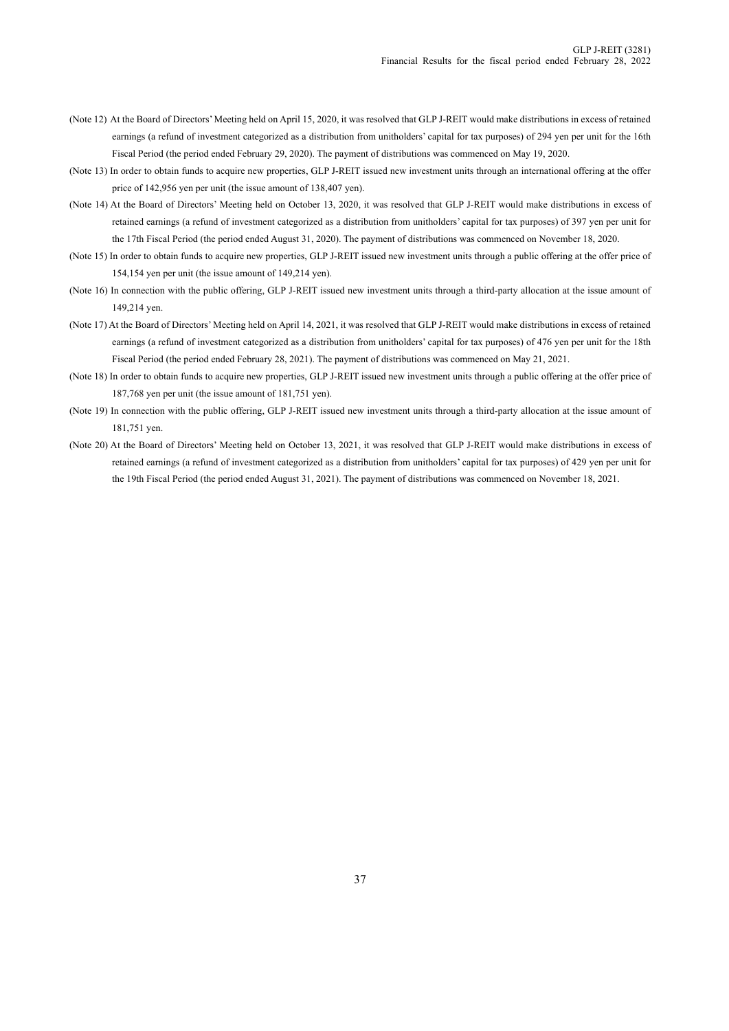- (Note 12) At the Board of Directors' Meeting held on April 15, 2020, it was resolved that GLP J-REIT would make distributions in excess of retained earnings (a refund of investment categorized as a distribution from unitholders' capital for tax purposes) of 294 yen per unit for the 16th Fiscal Period (the period ended February 29, 2020). The payment of distributions was commenced on May 19, 2020.
- (Note 13) In order to obtain funds to acquire new properties, GLP J-REIT issued new investment units through an international offering at the offer price of 142,956 yen per unit (the issue amount of 138,407 yen).
- (Note 14) At the Board of Directors' Meeting held on October 13, 2020, it was resolved that GLP J-REIT would make distributions in excess of retained earnings (a refund of investment categorized as a distribution from unitholders' capital for tax purposes) of 397 yen per unit for the 17th Fiscal Period (the period ended August 31, 2020). The payment of distributions was commenced on November 18, 2020.
- (Note 15) In order to obtain funds to acquire new properties, GLP J-REIT issued new investment units through a public offering at the offer price of 154,154 yen per unit (the issue amount of 149,214 yen).
- (Note 16) In connection with the public offering, GLP J-REIT issued new investment units through a third-party allocation at the issue amount of 149,214 yen.
- (Note 17) At the Board of Directors' Meeting held on April 14, 2021, it was resolved that GLP J-REIT would make distributions in excess of retained earnings (a refund of investment categorized as a distribution from unitholders' capital for tax purposes) of 476 yen per unit for the 18th Fiscal Period (the period ended February 28, 2021). The payment of distributions was commenced on May 21, 2021.
- (Note 18) In order to obtain funds to acquire new properties, GLP J-REIT issued new investment units through a public offering at the offer price of 187,768 yen per unit (the issue amount of 181,751 yen).
- (Note 19) In connection with the public offering, GLP J-REIT issued new investment units through a third-party allocation at the issue amount of 181,751 yen.
- (Note 20) At the Board of Directors' Meeting held on October 13, 2021, it was resolved that GLP J-REIT would make distributions in excess of retained earnings (a refund of investment categorized as a distribution from unitholders' capital for tax purposes) of 429 yen per unit for the 19th Fiscal Period (the period ended August 31, 2021). The payment of distributions was commenced on November 18, 2021.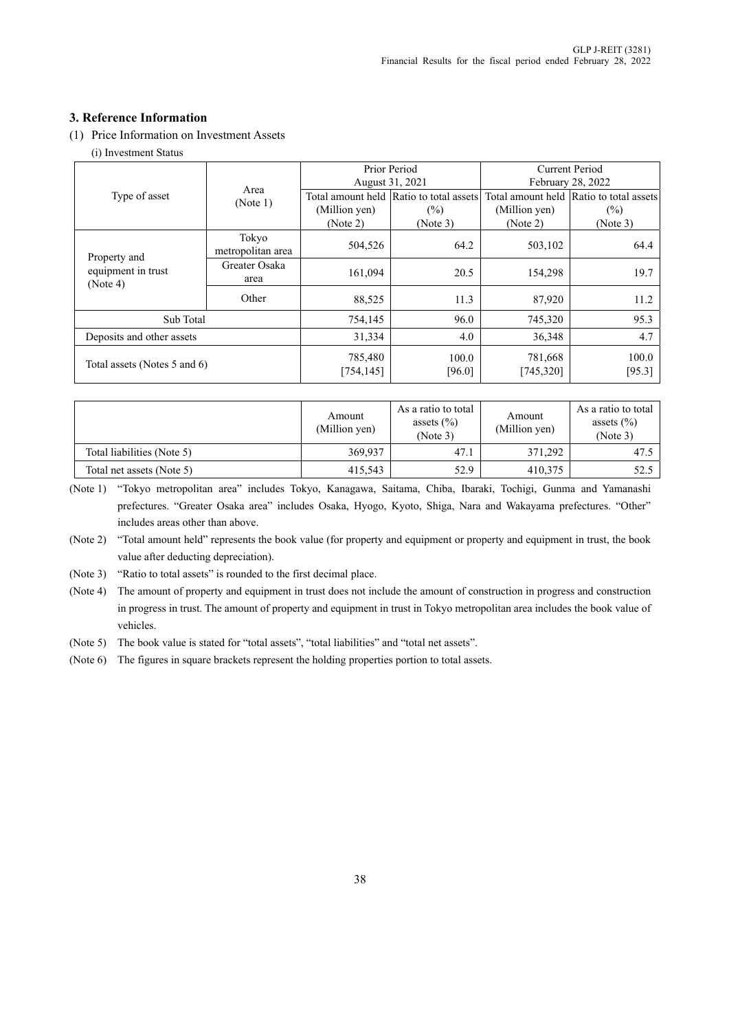# **3. Reference Information**

(1) Price Information on Investment Assets

(i) Investment Status

|                                                |                            |                       | Prior Period                            | <b>Current Period</b> |                                         |  |
|------------------------------------------------|----------------------------|-----------------------|-----------------------------------------|-----------------------|-----------------------------------------|--|
|                                                | Area                       |                       | August 31, 2021                         | February 28, 2022     |                                         |  |
| Type of asset                                  | (Note 1)                   |                       | Total amount held Ratio to total assets |                       | Total amount held Ratio to total assets |  |
|                                                |                            | (Million yen)         | (%)                                     | (Million yen)         | (%)                                     |  |
|                                                |                            | (Note 2)              | (Note 3)                                | (Note 2)              | (Note 3)                                |  |
|                                                | Tokyo<br>metropolitan area | 504,526               | 64.2                                    | 503,102               | 64.4                                    |  |
| Property and<br>equipment in trust<br>(Note 4) | Greater Osaka<br>area      | 161,094               | 20.5                                    | 154,298               | 19.7                                    |  |
|                                                | Other                      | 88,525                | 11.3                                    | 87,920                | 11.2                                    |  |
| Sub Total                                      |                            | 754,145               | 96.0                                    | 745,320               | 95.3                                    |  |
| Deposits and other assets                      |                            |                       | 4.0                                     | 36,348                | 4.7                                     |  |
| Total assets (Notes 5 and 6)                   |                            | 785,480<br>[754, 145] | 100.0<br>[96.0]                         | 781,668<br>[745, 320] | 100.0<br>[95.3]                         |  |

|                            | Amount<br>(Million yen) | As a ratio to total<br>assets $(\% )$<br>(Note 3) | Amount<br>(Million yen) | As a ratio to total<br>assets $(\% )$<br>(Note 3) |  |
|----------------------------|-------------------------|---------------------------------------------------|-------------------------|---------------------------------------------------|--|
| Total liabilities (Note 5) | 369,937                 | 47.1                                              | 371,292                 | 47.5                                              |  |
| Total net assets (Note 5)  | 415,543                 | 52.9                                              | 410.375                 | 52.5                                              |  |

(Note 1) "Tokyo metropolitan area" includes Tokyo, Kanagawa, Saitama, Chiba, Ibaraki, Tochigi, Gunma and Yamanashi prefectures. "Greater Osaka area" includes Osaka, Hyogo, Kyoto, Shiga, Nara and Wakayama prefectures. "Other" includes areas other than above.

- (Note 2) "Total amount held" represents the book value (for property and equipment or property and equipment in trust, the book value after deducting depreciation).
- (Note 3) "Ratio to total assets" is rounded to the first decimal place.

(Note 4) The amount of property and equipment in trust does not include the amount of construction in progress and construction in progress in trust. The amount of property and equipment in trust in Tokyo metropolitan area includes the book value of vehicles.

(Note 5) The book value is stated for "total assets", "total liabilities" and "total net assets".

(Note 6) The figures in square brackets represent the holding properties portion to total assets.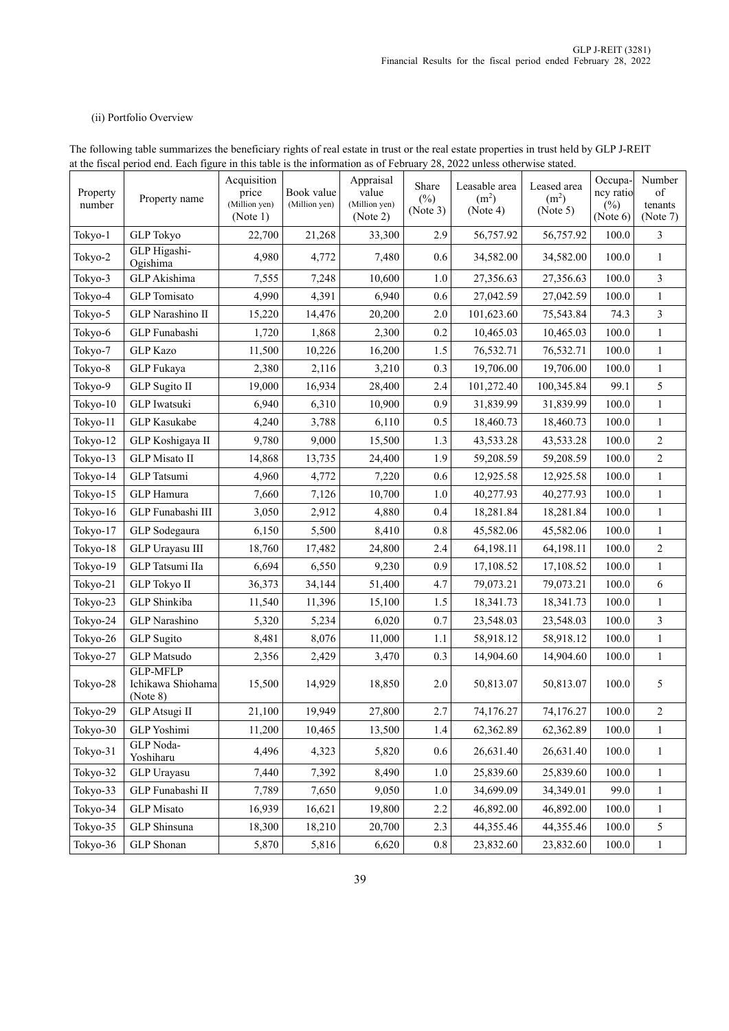### (ii) Portfolio Overview

|                    | at the fiscal period end. Each figure in this table is the information as 014 cordary 20, 2022 unless otherwise stated. |                                       |                             |                                     |                             |                                                |                                              |                             |                         |
|--------------------|-------------------------------------------------------------------------------------------------------------------------|---------------------------------------|-----------------------------|-------------------------------------|-----------------------------|------------------------------------------------|----------------------------------------------|-----------------------------|-------------------------|
| Property<br>number | Property name                                                                                                           | Acquisition<br>price<br>(Million yen) | Book value<br>(Million yen) | Appraisal<br>value<br>(Million yen) | Share<br>$(\%)$<br>(Note 3) | Leasable area<br>(m <sup>2</sup> )<br>(Note 4) | Leased area<br>(m <sup>2</sup> )<br>(Note 5) | Occupa-<br>ncy ratio<br>(%) | Number<br>of<br>tenants |
|                    |                                                                                                                         | (Note 1)                              |                             | (Note 2)                            |                             |                                                |                                              | (Note 6)                    | (Note 7)                |
| Tokyo-1            | <b>GLP</b> Tokyo                                                                                                        | 22,700                                | 21,268                      | 33,300                              | 2.9                         | 56,757.92                                      | 56,757.92                                    | 100.0                       | 3                       |
| Tokyo-2            | GLP Higashi-<br>Ogishima                                                                                                | 4,980                                 | 4,772                       | 7,480                               | 0.6                         | 34,582.00                                      | 34,582.00                                    | 100.0                       | $\mathbf{1}$            |
| Tokyo-3            | GLP Akishima                                                                                                            | 7,555                                 | 7,248                       | 10,600                              | 1.0                         | 27,356.63                                      | 27,356.63                                    | 100.0                       | 3                       |
| Tokyo-4            | <b>GLP</b> Tomisato                                                                                                     | 4,990                                 | 4,391                       | 6,940                               | 0.6                         | 27,042.59                                      | 27,042.59                                    | 100.0                       | $\mathbf{1}$            |
| Tokyo-5            | GLP Narashino II                                                                                                        | 15,220                                | 14,476                      | 20,200                              | 2.0                         | 101,623.60                                     | 75,543.84                                    | 74.3                        | $\mathfrak{Z}$          |
| Tokyo-6            | GLP Funabashi                                                                                                           | 1,720                                 | 1,868                       | 2,300                               | 0.2                         | 10,465.03                                      | 10,465.03                                    | 100.0                       | $\mathbf{1}$            |
| Tokyo-7            | <b>GLP</b> Kazo                                                                                                         | 11,500                                | 10,226                      | 16,200                              | 1.5                         | 76,532.71                                      | 76,532.71                                    | 100.0                       | $\mathbf{1}$            |
| Tokyo-8            | GLP Fukaya                                                                                                              | 2,380                                 | 2,116                       | 3,210                               | 0.3                         | 19,706.00                                      | 19,706.00                                    | 100.0                       | $\mathbf{1}$            |
| Tokyo-9            | <b>GLP</b> Sugito II                                                                                                    | 19,000                                | 16,934                      | 28,400                              | 2.4                         | 101,272.40                                     | 100,345.84                                   | 99.1                        | 5                       |
| Tokyo-10           | GLP Iwatsuki                                                                                                            | 6,940                                 | 6,310                       | 10,900                              | 0.9                         | 31,839.99                                      | 31,839.99                                    | 100.0                       | $\mathbf{1}$            |
| Tokyo-11           | <b>GLP</b> Kasukabe                                                                                                     | 4,240                                 | 3,788                       | 6,110                               | 0.5                         | 18,460.73                                      | 18,460.73                                    | 100.0                       | $\mathbf{1}$            |
| Tokyo-12           | GLP Koshigaya II                                                                                                        | 9,780                                 | 9,000                       | 15,500                              | 1.3                         | 43,533.28                                      | 43,533.28                                    | 100.0                       | 2                       |
| Tokyo-13           | <b>GLP</b> Misato II                                                                                                    | 14,868                                | 13,735                      | 24,400                              | 1.9                         | 59,208.59                                      | 59,208.59                                    | 100.0                       | $\overline{2}$          |
| Tokyo-14           | GLP Tatsumi                                                                                                             | 4,960                                 | 4,772                       | 7,220                               | 0.6                         | 12,925.58                                      | 12,925.58                                    | 100.0                       | $\mathbf{1}$            |
| Tokyo-15           | GLP Hamura                                                                                                              | 7,660                                 | 7,126                       | 10,700                              | 1.0                         | 40,277.93                                      | 40,277.93                                    | 100.0                       | $\mathbf{1}$            |
| Tokyo-16           | GLP Funabashi III                                                                                                       | 3,050                                 | 2,912                       | 4,880                               | 0.4                         | 18,281.84                                      | 18,281.84                                    | 100.0                       | $\mathbf{1}$            |
| Tokyo-17           | GLP Sodegaura                                                                                                           | 6,150                                 | 5,500                       | 8,410                               | 0.8                         | 45,582.06                                      | 45,582.06                                    | 100.0                       | 1                       |
| Tokyo-18           | GLP Urayasu III                                                                                                         | 18,760                                | 17,482                      | 24,800                              | 2.4                         | 64,198.11                                      | 64,198.11                                    | 100.0                       | $\sqrt{2}$              |
| Tokyo-19           | GLP Tatsumi IIa                                                                                                         | 6,694                                 | 6,550                       | 9,230                               | 0.9                         | 17,108.52                                      | 17,108.52                                    | 100.0                       | $\mathbf{1}$            |
| Tokyo-21           | <b>GLP</b> Tokyo II                                                                                                     | 36,373                                | 34,144                      | 51,400                              | 4.7                         | 79,073.21                                      | 79,073.21                                    | 100.0                       | 6                       |
| Tokyo-23           | GLP Shinkiba                                                                                                            | 11,540                                | 11,396                      | 15,100                              | 1.5                         | 18,341.73                                      | 18,341.73                                    | 100.0                       | $\mathbf{1}$            |
| Tokyo-24           | <b>GLP</b> Narashino                                                                                                    | 5,320                                 | 5,234                       | 6,020                               | 0.7                         | 23,548.03                                      | 23,548.03                                    | 100.0                       | 3                       |
| Tokyo-26           | <b>GLP</b> Sugito                                                                                                       | 8,481                                 | 8,076                       | 11,000                              | 1.1                         | 58,918.12                                      | 58,918.12                                    | 100.0                       | $\mathbf{1}$            |
| Tokyo-27           | GLP Matsudo                                                                                                             | 2,356                                 | 2,429                       | 3,470                               | 0.3                         | 14,904.60                                      | 14,904.60                                    | 100.0                       | $\mathbf{1}$            |
| Tokyo-28           | <b>GLP-MFLP</b><br>Ichikawa Shiohama<br>(Note 8)                                                                        | 15,500                                | 14,929                      | 18,850                              | 2.0                         | 50,813.07                                      | 50,813.07                                    | 100.0                       | 5                       |
| Tokyo-29           | GLP Atsugi II                                                                                                           | 21,100                                | 19,949                      | 27,800                              | 2.7                         | 74,176.27                                      | 74,176.27                                    | 100.0                       | $\overline{c}$          |
| Tokyo-30           | GLP Yoshimi                                                                                                             | 11,200                                | 10,465                      | 13,500                              | 1.4                         | 62,362.89                                      | 62,362.89                                    | 100.0                       | $\mathbf{1}$            |
| Tokyo-31           | GLP Noda-<br>Yoshiharu                                                                                                  | 4,496                                 | 4,323                       | 5,820                               | 0.6                         | 26,631.40                                      | 26,631.40                                    | 100.0                       | $\mathbf{1}$            |
| Tokyo-32           | <b>GLP</b> Urayasu                                                                                                      | 7,440                                 | 7,392                       | 8,490                               | 1.0                         | 25,839.60                                      | 25,839.60                                    | 100.0                       | $\mathbf{1}$            |
| Tokyo-33           | GLP Funabashi II                                                                                                        | 7,789                                 | 7,650                       | 9,050                               | 1.0                         | 34,699.09                                      | 34,349.01                                    | 99.0                        | $\mathbf{1}$            |
| Tokyo-34           | <b>GLP</b> Misato                                                                                                       | 16,939                                | 16,621                      | 19,800                              | 2.2                         | 46,892.00                                      | 46,892.00                                    | 100.0                       | $\mathbf{1}$            |
| Tokyo-35           | GLP Shinsuna                                                                                                            | 18,300                                | 18,210                      | 20,700                              | 2.3                         | 44,355.46                                      | 44,355.46                                    | 100.0                       | 5                       |
| Tokyo-36           | GLP Shonan                                                                                                              | 5,870                                 | 5,816                       | 6,620                               | $0.8\,$                     | 23,832.60                                      | 23,832.60                                    | 100.0                       | $\mathbf{1}$            |

The following table summarizes the beneficiary rights of real estate in trust or the real estate properties in trust held by GLP J-REIT at the fiscal period end. Each figure in this table is the information as of February 28, 2022 unless otherwise stated.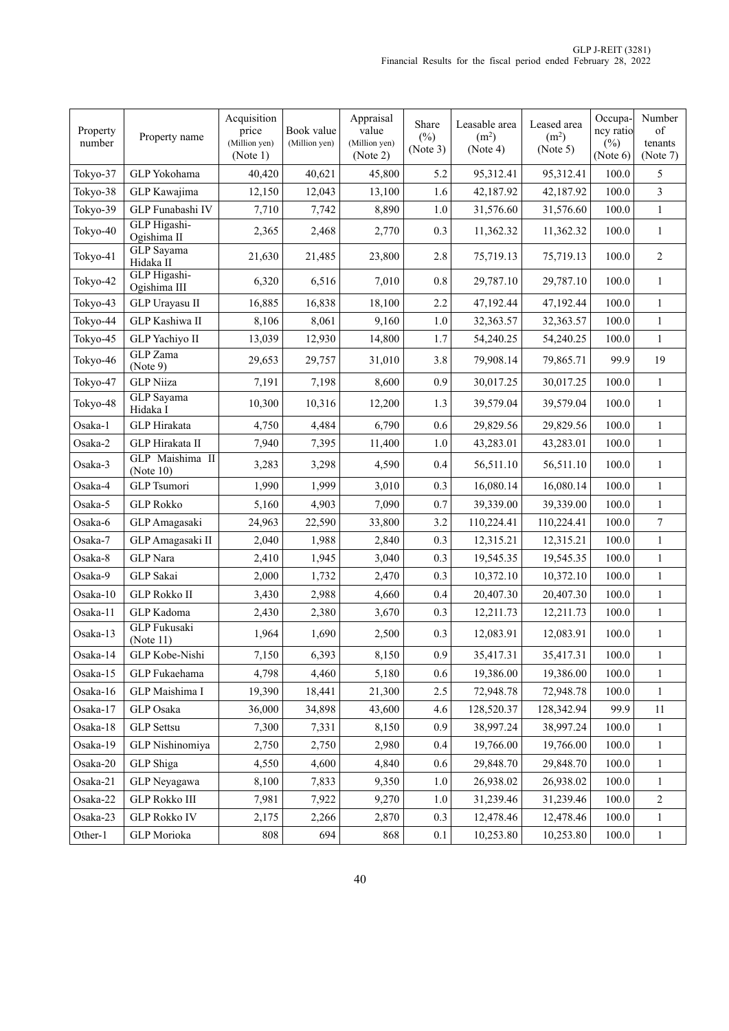| Property<br>number | Property name                    | Acquisition<br>price<br>(Million yen)<br>(Note 1) | Book value<br>(Million yen) | Appraisal<br>value<br>(Million yen)<br>(Note 2) | Share<br>$(\%)$<br>(Note 3) | Leasable area<br>(m <sup>2</sup> )<br>(Note 4) | Leased area<br>(m <sup>2</sup> )<br>(Note 5) | Occupa-<br>ncy ratio<br>(%)<br>(Note 6) | Number<br>of<br>tenants<br>(Note 7) |
|--------------------|----------------------------------|---------------------------------------------------|-----------------------------|-------------------------------------------------|-----------------------------|------------------------------------------------|----------------------------------------------|-----------------------------------------|-------------------------------------|
| Tokyo-37           | GLP Yokohama                     | 40,420                                            | 40,621                      | 45,800                                          | 5.2                         | 95,312.41                                      | 95,312.41                                    | 100.0                                   | 5                                   |
| Tokyo-38           | GLP Kawajima                     | 12,150                                            | 12,043                      | 13,100                                          | 1.6                         | 42,187.92                                      | 42,187.92                                    | 100.0                                   | 3                                   |
| Tokyo-39           | GLP Funabashi IV                 | 7,710                                             | 7,742                       | 8,890                                           | 1.0                         | 31,576.60                                      | 31,576.60                                    | 100.0                                   | $\mathbf{1}$                        |
| Tokyo-40           | GLP Higashi-<br>Ogishima II      | 2,365                                             | 2,468                       | 2,770                                           | 0.3                         | 11,362.32                                      | 11,362.32                                    | 100.0                                   | $\mathbf{1}$                        |
| Tokyo-41           | <b>GLP</b> Sayama<br>Hidaka II   | 21,630                                            | 21,485                      | 23,800                                          | 2.8                         | 75,719.13                                      | 75,719.13                                    | 100.0                                   | $\overline{c}$                      |
| Tokyo-42           | GLP Higashi-<br>Ogishima III     | 6,320                                             | 6,516                       | 7,010                                           | 0.8                         | 29,787.10                                      | 29,787.10                                    | 100.0                                   | $\mathbf{1}$                        |
| Tokyo-43           | GLP Urayasu II                   | 16,885                                            | 16,838                      | 18,100                                          | 2.2                         | 47,192.44                                      | 47,192.44                                    | 100.0                                   | $\mathbf{1}$                        |
| Tokyo-44           | GLP Kashiwa II                   | 8,106                                             | 8,061                       | 9,160                                           | 1.0                         | 32,363.57                                      | 32,363.57                                    | 100.0                                   | $\mathbf{1}$                        |
| Tokyo-45           | GLP Yachiyo II                   | 13,039                                            | 12,930                      | 14,800                                          | 1.7                         | 54,240.25                                      | 54,240.25                                    | 100.0                                   | $\mathbf{1}$                        |
| Tokyo-46           | <b>GLP</b> Zama<br>(Note 9)      | 29,653                                            | 29,757                      | 31,010                                          | 3.8                         | 79,908.14                                      | 79,865.71                                    | 99.9                                    | 19                                  |
| Tokyo-47           | <b>GLP</b> Niiza                 | 7,191                                             | 7,198                       | 8,600                                           | 0.9                         | 30,017.25                                      | 30,017.25                                    | 100.0                                   | $\mathbf{1}$                        |
| Tokyo-48           | <b>GLP</b> Sayama<br>Hidaka I    | 10,300                                            | 10,316                      | 12,200                                          | 1.3                         | 39,579.04                                      | 39,579.04                                    | 100.0                                   | $\mathbf{1}$                        |
| Osaka-1            | <b>GLP</b> Hirakata              | 4,750                                             | 4,484                       | 6,790                                           | 0.6                         | 29,829.56                                      | 29,829.56                                    | 100.0                                   | $\mathbf{1}$                        |
| Osaka-2            | GLP Hirakata II                  | 7,940                                             | 7,395                       | 11,400                                          | 1.0                         | 43,283.01                                      | 43,283.01                                    | 100.0                                   | $\mathbf{1}$                        |
| Osaka-3            | GLP Maishima II<br>(Note $10$ )  | 3,283                                             | 3,298                       | 4,590                                           | 0.4                         | 56,511.10                                      | 56,511.10                                    | 100.0                                   | $\mathbf{1}$                        |
| Osaka-4            | GLP Tsumori                      | 1,990                                             | 1,999                       | 3,010                                           | 0.3                         | 16,080.14                                      | 16,080.14                                    | 100.0                                   | $\mathbf{1}$                        |
| Osaka-5            | <b>GLP Rokko</b>                 | 5,160                                             | 4,903                       | 7,090                                           | 0.7                         | 39,339.00                                      | 39,339.00                                    | 100.0                                   | $\mathbf{1}$                        |
| Osaka-6            | GLP Amagasaki                    | 24,963                                            | 22,590                      | 33,800                                          | 3.2                         | 110,224.41                                     | 110,224.41                                   | 100.0                                   | 7                                   |
| Osaka-7            | GLP Amagasaki II                 | 2,040                                             | 1,988                       | 2,840                                           | 0.3                         | 12,315.21                                      | 12,315.21                                    | 100.0                                   | $\mathbf{1}$                        |
| Osaka-8            | <b>GLP</b> Nara                  | 2,410                                             | 1,945                       | 3,040                                           | 0.3                         | 19,545.35                                      | 19,545.35                                    | 100.0                                   | $\mathbf{1}$                        |
| Osaka-9            | <b>GLP</b> Sakai                 | 2,000                                             | 1,732                       | 2,470                                           | 0.3                         | 10,372.10                                      | 10,372.10                                    | 100.0                                   | $\mathbf{1}$                        |
| Osaka-10           | <b>GLP Rokko II</b>              | 3,430                                             | 2,988                       | 4,660                                           | 0.4                         | 20,407.30                                      | 20,407.30                                    | 100.0                                   | $\mathbf{1}$                        |
| Osaka-11           | GLP Kadoma                       | 2,430                                             | 2,380                       | 3,670                                           | 0.3                         | 12,211.73                                      | 12,211.73                                    | 100.0                                   | $\mathbf{1}$                        |
| Osaka-13           | <b>GLP</b> Fukusaki<br>(Note 11) | 1,964                                             | 1,690                       | 2,500                                           | 0.3                         | 12,083.91                                      | 12,083.91                                    | 100.0                                   | $\mathbf{1}$                        |
| Osaka-14           | GLP Kobe-Nishi                   | 7,150                                             | 6,393                       | 8,150                                           | $0.9\,$                     | 35,417.31                                      | 35,417.31                                    | 100.0                                   | $\,1$                               |
| Osaka-15           | GLP Fukaehama                    | 4,798                                             | 4.460                       | 5,180                                           | 0.6                         | 19,386.00                                      | 19,386.00                                    | 100.0                                   | 1                                   |
| Osaka-16           | GLP Maishima I                   | 19,390                                            | 18,441                      | 21,300                                          | 2.5                         | 72,948.78                                      | 72,948.78                                    | 100.0                                   | $\mathbf{1}$                        |
| Osaka-17           | <b>GLP</b> Osaka                 | 36,000                                            | 34,898                      | 43,600                                          | 4.6                         | 128,520.37                                     | 128,342.94                                   | 99.9                                    | 11                                  |
| Osaka-18           | <b>GLP</b> Settsu                | 7,300                                             | 7,331                       | 8,150                                           | 0.9                         | 38,997.24                                      | 38,997.24                                    | 100.0                                   | 1                                   |
| Osaka-19           | GLP Nishinomiya                  | 2,750                                             | 2,750                       | 2,980                                           | 0.4                         | 19,766.00                                      | 19,766.00                                    | 100.0                                   | $\mathbf{1}$                        |
| Osaka-20           | GLP Shiga                        | 4,550                                             | 4,600                       | 4,840                                           | 0.6                         | 29,848.70                                      | 29,848.70                                    | 100.0                                   | 1                                   |
| Osaka-21           | GLP Neyagawa                     | 8,100                                             | 7,833                       | 9,350                                           | 1.0                         | 26,938.02                                      | 26,938.02                                    | 100.0                                   | $\mathbf{1}$                        |
| Osaka-22           | <b>GLP Rokko III</b>             | 7,981                                             | 7,922                       | 9,270                                           | 1.0                         | 31,239.46                                      | 31,239.46                                    | 100.0                                   | 2                                   |
| Osaka-23           | <b>GLP Rokko IV</b>              | 2,175                                             | 2,266                       | 2,870                                           | 0.3                         | 12,478.46                                      | 12,478.46                                    | 100.0                                   | 1                                   |
| Other-1            | GLP Morioka                      | 808                                               | 694                         | 868                                             | 0.1                         | 10,253.80                                      | 10,253.80                                    | 100.0                                   | $\mathbf{1}$                        |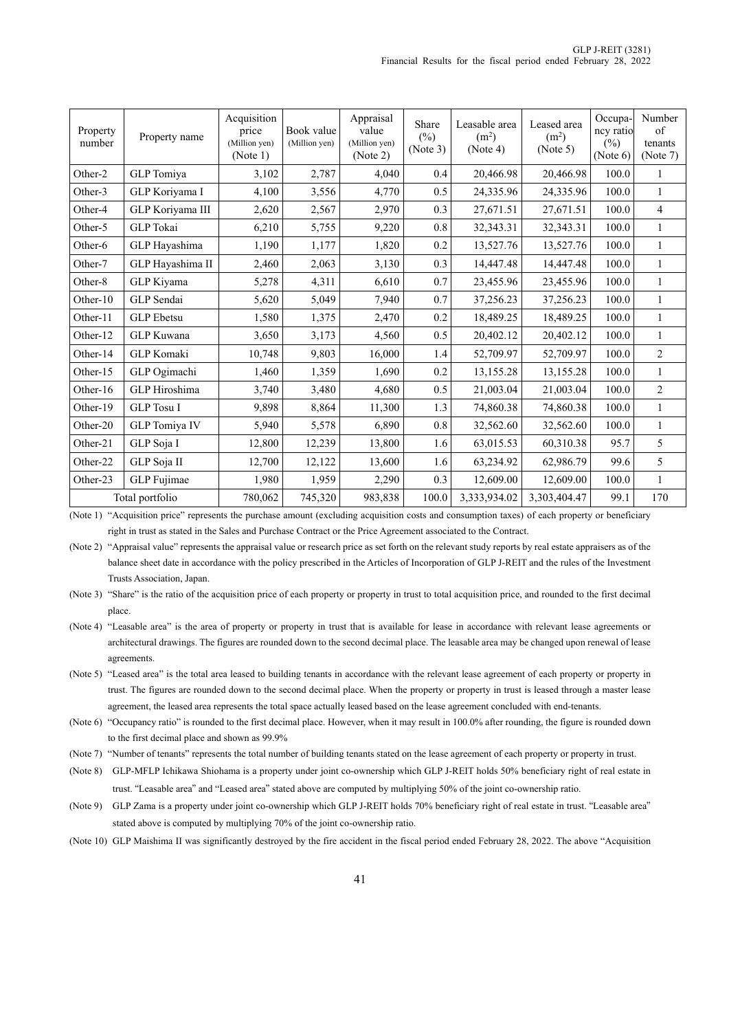| Property<br>number | Property name     | Acquisition<br>price<br>(Million yen)<br>(Note 1) | Book value<br>(Million yen) | Appraisal<br>value<br>(Million yen)<br>(Note 2) | Share<br>$(\%)$<br>(Note 3) | Leasable area<br>(m <sup>2</sup> )<br>(Note 4) | Leased area<br>(m <sup>2</sup> )<br>(Note 5) | Occupa-<br>ncy ratio<br>$(\%)$<br>(Note 6) | Number<br>of<br>tenants<br>(Note 7) |
|--------------------|-------------------|---------------------------------------------------|-----------------------------|-------------------------------------------------|-----------------------------|------------------------------------------------|----------------------------------------------|--------------------------------------------|-------------------------------------|
| Other-2            | GLP Tomiya        | 3,102                                             | 2,787                       | 4,040                                           | 0.4                         | 20,466.98                                      | 20,466.98                                    | 100.0                                      | 1                                   |
| Other-3            | GLP Koriyama I    | 4,100                                             | 3,556                       | 4,770                                           | 0.5                         | 24,335.96                                      | 24,335.96                                    | 100.0                                      | $\mathbf{1}$                        |
| Other-4            | GLP Koriyama III  | 2,620                                             | 2,567                       | 2,970                                           | 0.3                         | 27,671.51                                      | 27,671.51                                    | 100.0                                      | $\overline{4}$                      |
| Other-5            | <b>GLP</b> Tokai  | 6,210                                             | 5,755                       | 9,220                                           | 0.8                         | 32,343.31                                      | 32,343.31                                    | 100.0                                      | $\mathbf{1}$                        |
| Other-6            | GLP Hayashima     | 1,190                                             | 1,177                       | 1,820                                           | 0.2                         | 13,527.76                                      | 13,527.76                                    | 100.0                                      | $\mathbf{1}$                        |
| Other-7            | GLP Hayashima II  | 2,460                                             | 2,063                       | 3,130                                           | 0.3                         | 14,447.48                                      | 14,447.48                                    | 100.0                                      | $\mathbf{1}$                        |
| Other-8            | GLP Kiyama        | 5,278                                             | 4,311                       | 6,610                                           | 0.7                         | 23,455.96                                      | 23,455.96                                    | 100.0                                      | $\mathbf{1}$                        |
| Other-10           | GLP Sendai        | 5,620                                             | 5,049                       | 7,940                                           | 0.7                         | 37,256.23                                      | 37,256.23                                    | 100.0                                      | $\mathbf{1}$                        |
| Other-11           | <b>GLP</b> Ebetsu | 1,580                                             | 1,375                       | 2,470                                           | 0.2                         | 18,489.25                                      | 18,489.25                                    | 100.0                                      | $\mathbf{1}$                        |
| Other-12           | GLP Kuwana        | 3,650                                             | 3,173                       | 4,560                                           | 0.5                         | 20,402.12                                      | 20,402.12                                    | 100.0                                      | $\mathbf{1}$                        |
| Other-14           | <b>GLP</b> Komaki | 10,748                                            | 9,803                       | 16,000                                          | 1.4                         | 52,709.97                                      | 52,709.97                                    | 100.0                                      | $\overline{2}$                      |
| Other-15           | GLP Ogimachi      | 1,460                                             | 1,359                       | 1,690                                           | 0.2                         | 13,155.28                                      | 13,155.28                                    | 100.0                                      | $\mathbf{1}$                        |
| Other-16           | GLP Hiroshima     | 3,740                                             | 3,480                       | 4,680                                           | 0.5                         | 21,003.04                                      | 21,003.04                                    | 100.0                                      | $\overline{2}$                      |
| Other-19           | <b>GLP</b> Tosu I | 9,898                                             | 8,864                       | 11,300                                          | 1.3                         | 74,860.38                                      | 74,860.38                                    | 100.0                                      | $\mathbf{1}$                        |
| Other-20           | GLP Tomiya IV     | 5,940                                             | 5,578                       | 6,890                                           | 0.8                         | 32,562.60                                      | 32,562.60                                    | 100.0                                      | $\mathbf{1}$                        |
| Other-21           | GLP Soja I        | 12,800                                            | 12,239                      | 13,800                                          | 1.6                         | 63,015.53                                      | 60,310.38                                    | 95.7                                       | 5                                   |
| Other-22           | GLP Soja II       | 12,700                                            | 12,122                      | 13,600                                          | 1.6                         | 63,234.92                                      | 62,986.79                                    | 99.6                                       | 5                                   |
| Other-23           | GLP Fujimae       | 1,980                                             | 1,959                       | 2,290                                           | 0.3                         | 12,609.00                                      | 12,609.00                                    | 100.0                                      | $\mathbf{1}$                        |
|                    | Total portfolio   | 780,062                                           | 745,320                     | 983,838                                         | 100.0                       | 3,333,934.02                                   | 3,303,404.47                                 | 99.1                                       | 170                                 |

(Note 1) "Acquisition price" represents the purchase amount (excluding acquisition costs and consumption taxes) of each property or beneficiary right in trust as stated in the Sales and Purchase Contract or the Price Agreement associated to the Contract.

(Note 2) "Appraisal value" represents the appraisal value or research price as set forth on the relevant study reports by real estate appraisers as of the balance sheet date in accordance with the policy prescribed in the Articles of Incorporation of GLP J-REIT and the rules of the Investment Trusts Association, Japan.

(Note 3) "Share" is the ratio of the acquisition price of each property or property in trust to total acquisition price, and rounded to the first decimal place.

(Note 4) "Leasable area" is the area of property or property in trust that is available for lease in accordance with relevant lease agreements or architectural drawings. The figures are rounded down to the second decimal place. The leasable area may be changed upon renewal of lease agreements.

(Note 5) "Leased area" is the total area leased to building tenants in accordance with the relevant lease agreement of each property or property in trust. The figures are rounded down to the second decimal place. When the property or property in trust is leased through a master lease agreement, the leased area represents the total space actually leased based on the lease agreement concluded with end-tenants.

(Note 6) "Occupancy ratio" is rounded to the first decimal place. However, when it may result in 100.0% after rounding, the figure is rounded down to the first decimal place and shown as 99.9%

(Note 7) "Number of tenants" represents the total number of building tenants stated on the lease agreement of each property or property in trust.

(Note 8) GLP-MFLP Ichikawa Shiohama is a property under joint co-ownership which GLP J-REIT holds 50% beneficiary right of real estate in trust. "Leasable area" and "Leased area" stated above are computed by multiplying 50% of the joint co-ownership ratio.

(Note 9) GLP Zama is a property under joint co-ownership which GLP J-REIT holds 70% beneficiary right of real estate in trust. "Leasable area" stated above is computed by multiplying 70% of the joint co-ownership ratio.

(Note 10) GLP Maishima II was significantly destroyed by the fire accident in the fiscal period ended February 28, 2022. The above "Acquisition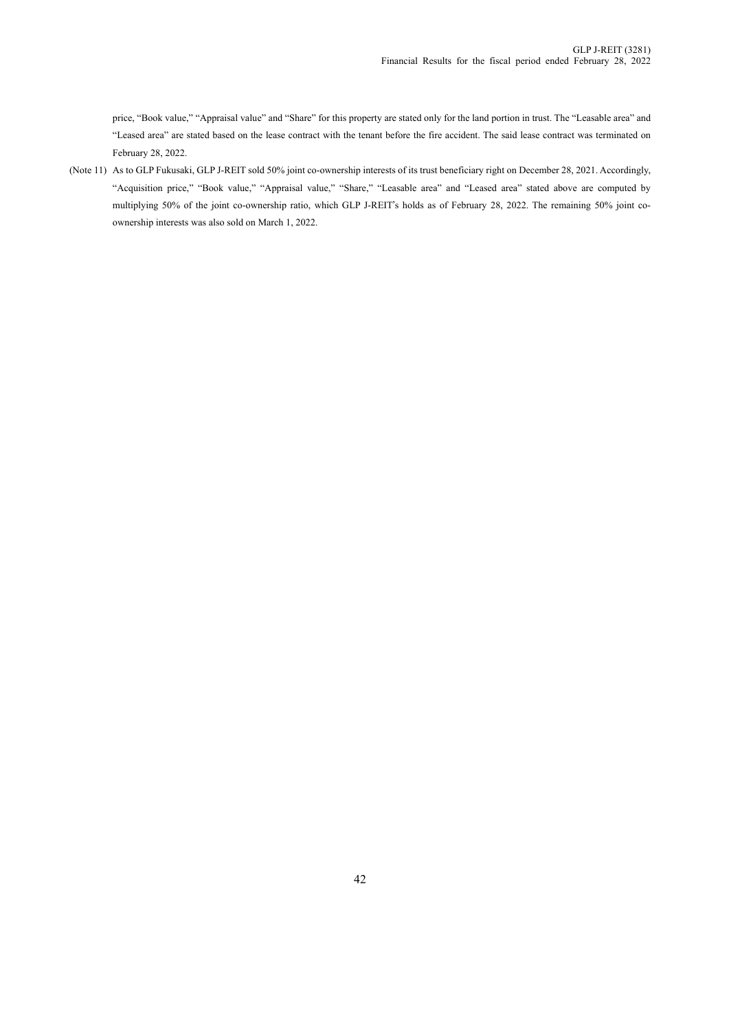price, "Book value," "Appraisal value" and "Share" for this property are stated only for the land portion in trust. The "Leasable area" and "Leased area" are stated based on the lease contract with the tenant before the fire accident. The said lease contract was terminated on February 28, 2022.

(Note 11) As to GLP Fukusaki, GLP J-REIT sold 50% joint co-ownership interests of its trust beneficiary right on December 28, 2021. Accordingly, "Acquisition price," "Book value," "Appraisal value," "Share," "Leasable area" and "Leased area" stated above are computed by multiplying 50% of the joint co-ownership ratio, which GLP J-REIT's holds as of February 28, 2022. The remaining 50% joint coownership interests was also sold on March 1, 2022.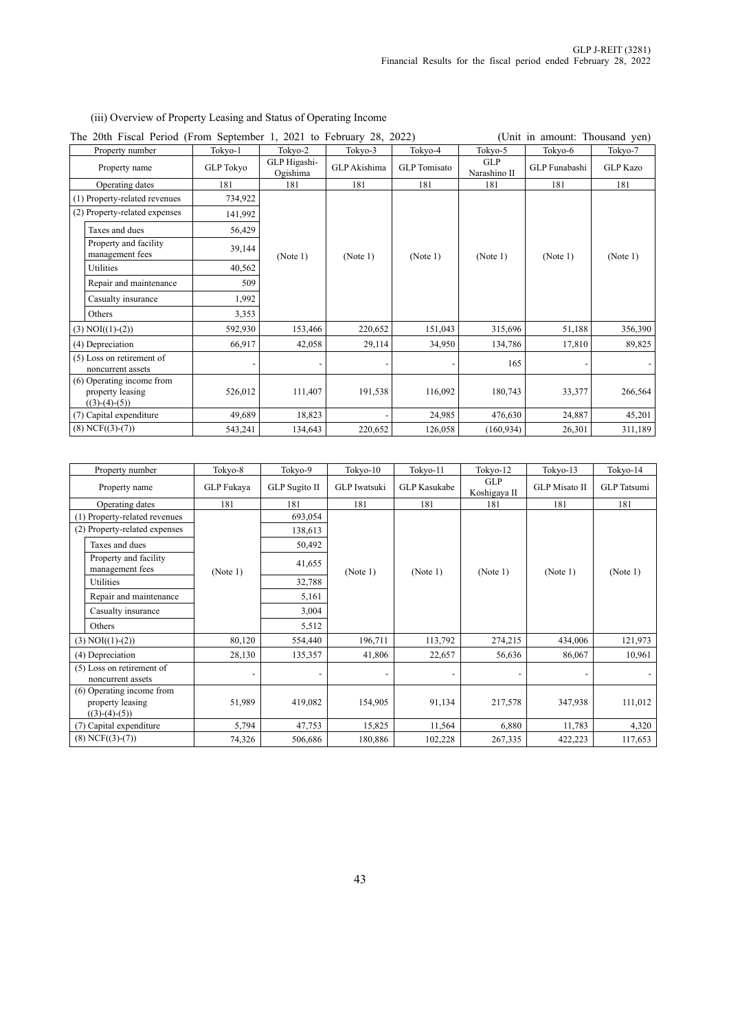# (iii) Overview of Property Leasing and Status of Operating Income

| The 20th Fiscal Period (From September 1, 2021 to February 28, 2022) |                  |                          |              |                     |                     | (Unit in amount: Thousand yen) |                 |
|----------------------------------------------------------------------|------------------|--------------------------|--------------|---------------------|---------------------|--------------------------------|-----------------|
| Property number                                                      | Tokyo-1          | Tokyo-2                  | Tokyo-3      | Tokyo-4             | Tokyo-5             | Tokyo-6                        | Tokyo-7         |
| Property name                                                        | <b>GLP</b> Tokyo | GLP Higashi-<br>Ogishima | GLP Akishima | <b>GLP</b> Tomisato | GLP<br>Narashino II | GLP Funabashi                  | <b>GLP</b> Kazo |
| Operating dates                                                      | 181              | 181                      | 181          | 181                 | 181                 | 181                            | 181             |
| (1) Property-related revenues                                        | 734,922          |                          |              |                     |                     |                                |                 |
| (2) Property-related expenses                                        | 141,992          |                          |              |                     |                     |                                |                 |
| Taxes and dues                                                       | 56,429           |                          |              |                     |                     |                                |                 |
| Property and facility<br>management fees                             | 39,144           | (Note 1)                 | (Note 1)     | (Note 1)            | (Note 1)            | (Note 1)                       | (Note 1)        |
| Utilities                                                            | 40,562           |                          |              |                     |                     |                                |                 |
| Repair and maintenance                                               | 509              |                          |              |                     |                     |                                |                 |
| Casualty insurance                                                   | 1,992            |                          |              |                     |                     |                                |                 |
| Others                                                               | 3,353            |                          |              |                     |                     |                                |                 |
| $(3) NOI((1)-(2))$                                                   | 592,930          | 153,466                  | 220,652      | 151,043             | 315,696             | 51,188                         | 356,390         |
| (4) Depreciation                                                     | 66,917           | 42,058                   | 29,114       | 34,950              | 134,786             | 17,810                         | 89,825          |
| (5) Loss on retirement of<br>noncurrent assets                       |                  |                          |              |                     | 165                 |                                |                 |
| (6) Operating income from<br>property leasing<br>$((3)-(4)-(5))$     | 526,012          | 111,407                  | 191,538      | 116,092             | 180,743             | 33,377                         | 266,564         |
| (7) Capital expenditure                                              | 49,689           | 18,823                   |              | 24,985              | 476,630             | 24,887                         | 45,201          |
| $(8)$ NCF $((3)-(7))$                                                | 543,241          | 134,643                  | 220,652      | 126,058             | (160, 934)          | 26,301                         | 311,189         |

| Property number                                                  | Tokyo-8    | Tokyo-9              | $Tokyo-10$          | Tokyo-11            | Tokyo-12                   | Tokyo-13             | Tokyo-14           |
|------------------------------------------------------------------|------------|----------------------|---------------------|---------------------|----------------------------|----------------------|--------------------|
| Property name                                                    | GLP Fukaya | <b>GLP</b> Sugito II | <b>GLP</b> Iwatsuki | <b>GLP Kasukabe</b> | <b>GLP</b><br>Koshigaya II | <b>GLP</b> Misato II | <b>GLP</b> Tatsumi |
| Operating dates                                                  | 181        | 181                  | 181                 | 181                 | 181                        | 181                  | 181                |
| (1) Property-related revenues                                    |            | 693,054              |                     |                     |                            |                      |                    |
| (2) Property-related expenses                                    |            | 138,613              |                     |                     |                            |                      |                    |
| Taxes and dues                                                   |            | 50,492               |                     |                     |                            |                      |                    |
| Property and facility<br>management fees                         | (Note 1)   | 41,655               | (Note 1)            | (Note 1)            | (Note 1)                   | (Note 1)             | (Note 1)           |
| Utilities                                                        |            | 32,788               |                     |                     |                            |                      |                    |
| Repair and maintenance                                           |            | 5,161                |                     |                     |                            |                      |                    |
| Casualty insurance                                               |            | 3,004                |                     |                     |                            |                      |                    |
| Others                                                           |            | 5,512                |                     |                     |                            |                      |                    |
| $(3) NOI((1)-(2))$                                               | 80,120     | 554,440              | 196,711             | 113,792             | 274,215                    | 434,006              | 121,973            |
| (4) Depreciation                                                 | 28,130     | 135,357              | 41,806              | 22,657              | 56,636                     | 86,067               | 10,961             |
| (5) Loss on retirement of<br>noncurrent assets                   |            |                      |                     |                     |                            |                      |                    |
| (6) Operating income from<br>property leasing<br>$((3)-(4)-(5))$ | 51,989     | 419,082              | 154,905             | 91,134              | 217,578                    | 347,938              | 111,012            |
| (7) Capital expenditure                                          | 5,794      | 47,753               | 15,825              | 11,564              | 6,880                      | 11,783               | 4,320              |
| $(8)$ NCF $((3)-(7))$                                            | 74,326     | 506,686              | 180,886             | 102,228             | 267,335                    | 422,223              | 117,653            |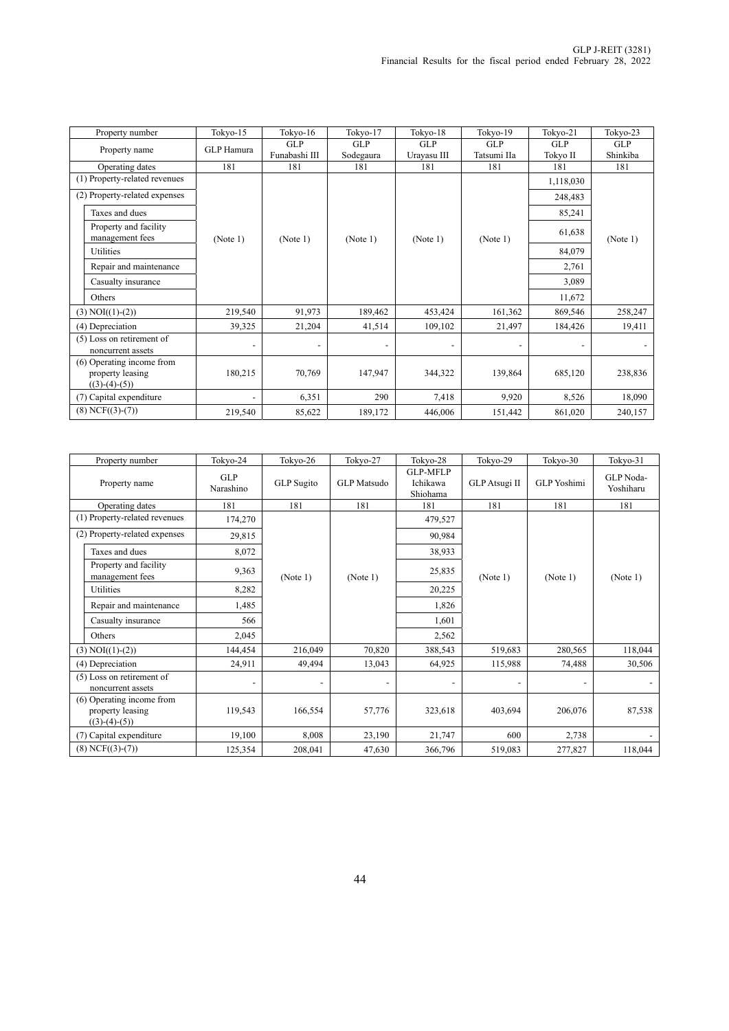| Property number                                                  | Tokyo-15          | Tokyo-16                 | Tokyo-17   | Tokyo-18                 | Tokyo-19    | Tokyo-21   | Tokyo-23   |
|------------------------------------------------------------------|-------------------|--------------------------|------------|--------------------------|-------------|------------|------------|
| Property name                                                    | <b>GLP</b> Hamura | <b>GLP</b>               | <b>GLP</b> | <b>GLP</b>               | <b>GLP</b>  | <b>GLP</b> | <b>GLP</b> |
|                                                                  |                   | Funabashi III            | Sodegaura  | Urayasu III              | Tatsumi IIa | Tokyo II   | Shinkiba   |
| Operating dates                                                  | 181               | 181                      | 181        | 181                      | 181         | 181        | 181        |
| (1) Property-related revenues                                    |                   |                          |            |                          |             | 1,118,030  |            |
| (2) Property-related expenses                                    |                   |                          |            |                          |             | 248,483    |            |
| Taxes and dues                                                   |                   |                          |            |                          |             | 85,241     |            |
| Property and facility<br>management fees                         | (Note 1)          | (Note 1)                 | (Note 1)   | (Note 1)                 | (Note 1)    | 61,638     | (Note 1)   |
| <b>Utilities</b>                                                 |                   |                          |            |                          |             | 84,079     |            |
| Repair and maintenance                                           |                   |                          |            |                          |             | 2,761      |            |
| Casualty insurance                                               |                   |                          |            |                          |             | 3,089      |            |
| Others                                                           |                   |                          |            |                          |             | 11,672     |            |
| $(3) NOI((1)-(2))$                                               | 219,540           | 91,973                   | 189,462    | 453,424                  | 161,362     | 869,546    | 258,247    |
| (4) Depreciation                                                 | 39,325            | 21,204                   | 41,514     | 109,102                  | 21,497      | 184,426    | 19,411     |
| (5) Loss on retirement of<br>noncurrent assets                   |                   | $\overline{\phantom{a}}$ |            | $\overline{\phantom{a}}$ |             |            |            |
| (6) Operating income from<br>property leasing<br>$((3)-(4)-(5))$ | 180,215           | 70,769                   | 147,947    | 344,322                  | 139,864     | 685,120    | 238,836    |
| (7) Capital expenditure                                          |                   | 6,351                    | 290        | 7,418                    | 9,920       | 8,526      | 18,090     |
| $(8)$ NCF $((3)-(7))$                                            | 219,540           | 85,622                   | 189,172    | 446,006                  | 151,442     | 861,020    | 240,157    |

| Property number                                                  | Tokyo-24                | Tokyo-26   | Tokyo-27                 | Tokyo-28                                | Tokyo-29      | Tokyo-30           | Tokyo-31               |
|------------------------------------------------------------------|-------------------------|------------|--------------------------|-----------------------------------------|---------------|--------------------|------------------------|
| Property name                                                    | <b>GLP</b><br>Narashino | GLP Sugito | <b>GLP</b> Matsudo       | <b>GLP-MFLP</b><br>Ichikawa<br>Shiohama | GLP Atsugi II | <b>GLP</b> Yoshimi | GLP Noda-<br>Yoshiharu |
| Operating dates                                                  | 181                     | 181        | 181                      | 181                                     | 181           | 181                | 181                    |
| (1) Property-related revenues                                    | 174,270                 |            |                          | 479,527                                 |               |                    |                        |
| (2) Property-related expenses                                    | 29,815                  |            |                          | 90,984                                  |               |                    |                        |
| Taxes and dues                                                   | 8,072                   |            |                          | 38,933                                  |               |                    |                        |
| Property and facility<br>management fees                         | 9,363                   | (Note 1)   | (Note 1)                 | 25,835                                  | (Note 1)      | (Note 1)           | (Note 1)               |
| Utilities                                                        | 8,282                   |            |                          | 20,225                                  |               |                    |                        |
| Repair and maintenance                                           | 1,485                   |            |                          | 1,826                                   |               |                    |                        |
| Casualty insurance                                               | 566                     |            |                          | 1,601                                   |               |                    |                        |
| Others                                                           | 2,045                   |            |                          | 2,562                                   |               |                    |                        |
| $(3) NOI((1)-(2))$                                               | 144,454                 | 216,049    | 70,820                   | 388,543                                 | 519,683       | 280,565            | 118,044                |
| (4) Depreciation                                                 | 24,911                  | 49,494     | 13,043                   | 64,925                                  | 115,988       | 74,488             | 30,506                 |
| (5) Loss on retirement of<br>noncurrent assets                   |                         |            | $\overline{\phantom{a}}$ |                                         |               |                    |                        |
| (6) Operating income from<br>property leasing<br>$((3)-(4)-(5))$ | 119,543                 | 166,554    | 57,776                   | 323,618                                 | 403,694       | 206,076            | 87,538                 |
| (7) Capital expenditure                                          | 19,100                  | 8,008      | 23,190                   | 21,747                                  | 600           | 2,738              |                        |
| $(8)$ NCF $((3)-(7))$                                            | 125,354                 | 208,041    | 47,630                   | 366,796                                 | 519,083       | 277,827            | 118,044                |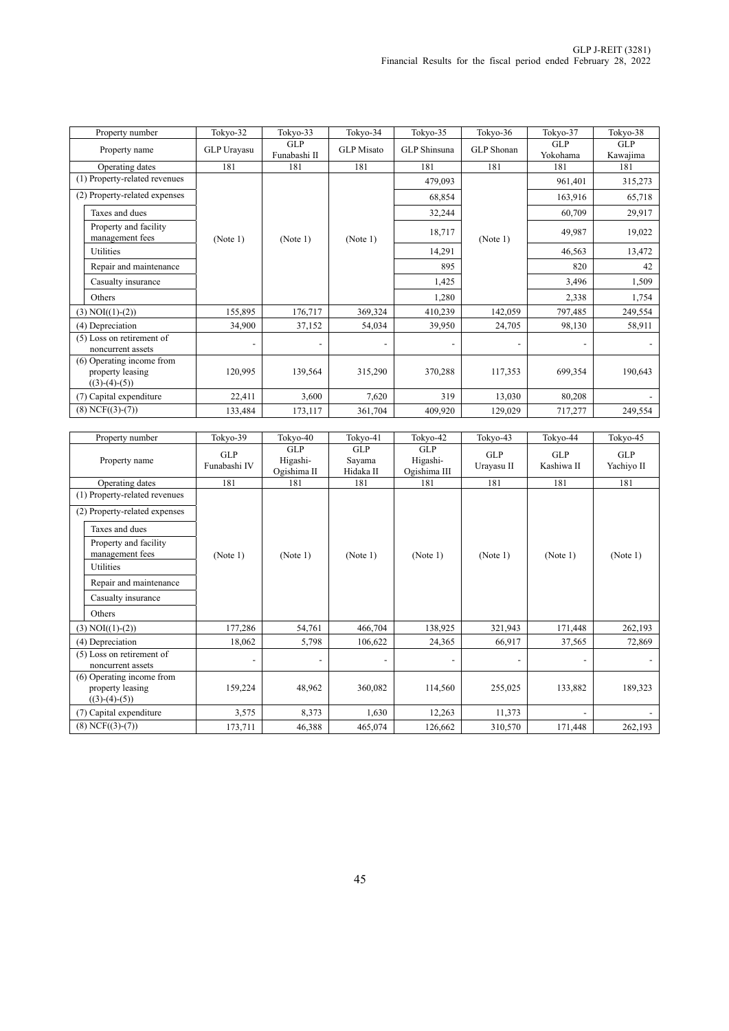| Property number                                                  | Tokyo-32    | Tokyo-33                   | Tokyo-34                 | Tokyo-35     | Tokyo-36   | Tokyo-37               | Tokyo-38               |
|------------------------------------------------------------------|-------------|----------------------------|--------------------------|--------------|------------|------------------------|------------------------|
| Property name                                                    | GLP Urayasu | <b>GLP</b><br>Funabashi II | <b>GLP</b> Misato        | GLP Shinsuna | GLP Shonan | <b>GLP</b><br>Yokohama | <b>GLP</b><br>Kawajima |
| Operating dates                                                  | 181         | 181                        | 181                      | 181          | 181        | 181                    | 181                    |
| (1) Property-related revenues                                    |             |                            |                          | 479,093      |            | 961,401                | 315,273                |
| (2) Property-related expenses                                    |             |                            |                          | 68,854       |            | 163,916                | 65,718                 |
| Taxes and dues                                                   |             |                            |                          | 32,244       |            | 60,709                 | 29,917                 |
| Property and facility<br>management fees                         | (Note 1)    | (Note 1)                   | (Note 1)                 | 18,717       | (Note 1)   | 49,987                 | 19,022                 |
| Utilities                                                        |             |                            |                          | 14,291       |            | 46,563                 | 13,472                 |
| Repair and maintenance                                           |             |                            |                          | 895          |            | 820                    | 42                     |
| Casualty insurance                                               |             |                            |                          | 1,425        |            | 3,496                  | 1,509                  |
| Others                                                           |             |                            |                          | 1,280        |            | 2,338                  | 1,754                  |
| $(3) NOI((1)-(2))$                                               | 155,895     | 176,717                    | 369,324                  | 410,239      | 142,059    | 797,485                | 249,554                |
| (4) Depreciation                                                 | 34,900      | 37,152                     | 54,034                   | 39,950       | 24,705     | 98,130                 | 58,911                 |
| (5) Loss on retirement of<br>noncurrent assets                   |             | $\overline{\phantom{a}}$   | $\overline{\phantom{a}}$ |              |            |                        |                        |
| (6) Operating income from<br>property leasing<br>$((3)-(4)-(5))$ | 120,995     | 139,564                    | 315,290                  | 370,288      | 117,353    | 699,354                | 190,643                |
| (7) Capital expenditure                                          | 22,411      | 3,600                      | 7,620                    | 319          | 13,030     | 80,208                 |                        |
| $(8)$ NCF $((3)-(7))$                                            | 133,484     | 173,117                    | 361,704                  | 409,920      | 129,029    | 717,277                | 249,554                |

| Property number                                | Tokyo-39                   | Tokyo-40                              | Tokyo-41                          | Tokyo-42                        | Tokyo-43          | Tokyo-44                 | Tokyo-45          |
|------------------------------------------------|----------------------------|---------------------------------------|-----------------------------------|---------------------------------|-------------------|--------------------------|-------------------|
| Property name                                  | <b>GLP</b><br>Funabashi IV | <b>GLP</b><br>Higashi-<br>Ogishima II | <b>GLP</b><br>Sayama<br>Hidaka II | GLP<br>Higashi-<br>Ogishima III | GLP<br>Urayasu II | <b>GLP</b><br>Kashiwa II | GLP<br>Yachiyo II |
| Operating dates                                | 181                        | 181                                   | 181                               | 181                             | 181               | 181                      | 181               |
| (1) Property-related revenues                  |                            |                                       |                                   |                                 |                   |                          |                   |
| (2) Property-related expenses                  |                            |                                       |                                   |                                 |                   |                          |                   |
| Taxes and dues                                 |                            |                                       |                                   |                                 |                   |                          |                   |
| Property and facility<br>management fees       | (Note 1)                   | (Note 1)                              | (Note 1)                          | (Note 1)                        | (Note 1)          | (Note 1)                 | (Note 1)          |
| Utilities                                      |                            |                                       |                                   |                                 |                   |                          |                   |
| Repair and maintenance                         |                            |                                       |                                   |                                 |                   |                          |                   |
| Casualty insurance                             |                            |                                       |                                   |                                 |                   |                          |                   |
| Others                                         |                            |                                       |                                   |                                 |                   |                          |                   |
| $(3) NOI((1)-(2))$                             | 177,286                    | 54,761                                | 466,704                           | 138,925                         | 321,943           | 171,448                  | 262,193           |
| (4) Depreciation                               | 18,062                     | 5,798                                 | 106,622                           | 24,365                          | 66,917            | 37,565                   | 72,869            |
| (5) Loss on retirement of                      |                            |                                       |                                   |                                 |                   |                          |                   |
| noncurrent assets<br>(6) Operating income from |                            |                                       |                                   |                                 |                   |                          |                   |
| property leasing<br>$((3)-(4)-(5))$            | 159,224                    | 48,962                                | 360,082                           | 114,560                         | 255,025           | 133,882                  | 189,323           |
| (7) Capital expenditure                        | 3,575                      | 8,373                                 | 1,630                             | 12,263                          | 11,373            |                          |                   |
| $(8)$ NCF $((3)-(7))$                          | 173,711                    | 46,388                                | 465,074                           | 126,662                         | 310,570           | 171,448                  | 262,193           |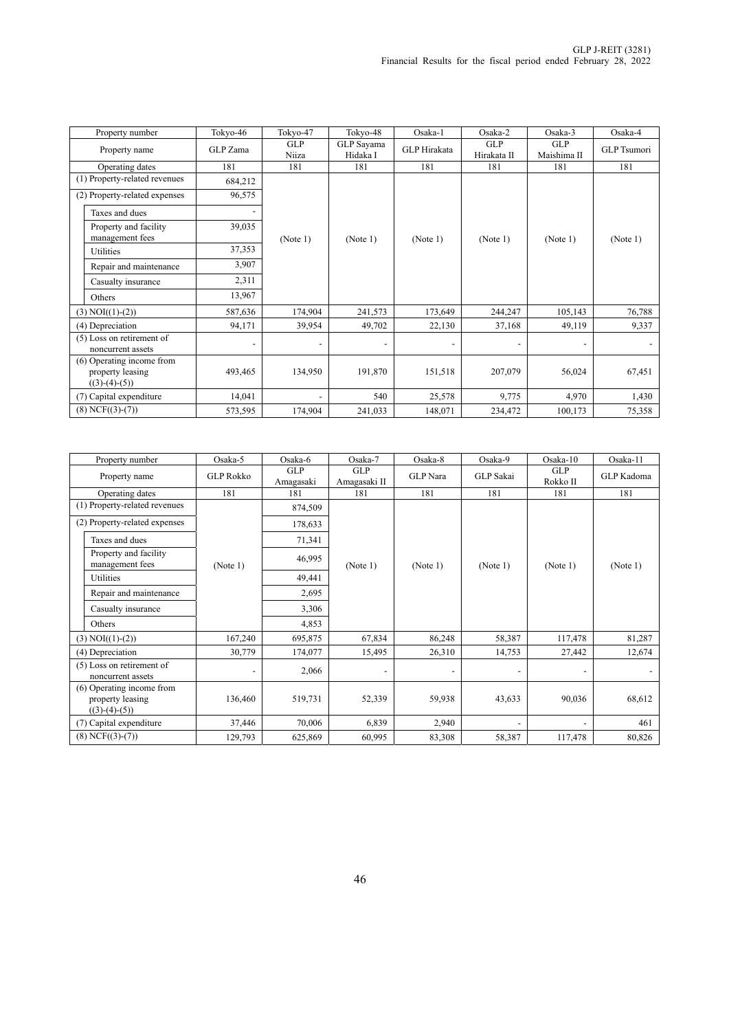| Property number                                                  | Tokyo-46 | Tokyo-47                 | Tokyo-48                 | Osaka-1             | Osaka-2                   | Osaka-3                   | Osaka-4            |
|------------------------------------------------------------------|----------|--------------------------|--------------------------|---------------------|---------------------------|---------------------------|--------------------|
| Property name                                                    | GLP Zama | <b>GLP</b><br>Niiza      | GLP Sayama<br>Hidaka I   | <b>GLP</b> Hirakata | <b>GLP</b><br>Hirakata II | <b>GLP</b><br>Maishima II | <b>GLP</b> Tsumori |
| Operating dates                                                  | 181      | 181                      | 181                      | 181                 | 181                       | 181                       | 181                |
| (1) Property-related revenues                                    | 684,212  |                          |                          |                     |                           |                           |                    |
| (2) Property-related expenses                                    | 96,575   |                          |                          |                     |                           |                           |                    |
| Taxes and dues                                                   |          |                          |                          |                     |                           |                           |                    |
| Property and facility<br>management fees                         | 39,035   | (Note 1)                 | (Note 1)                 | (Note 1)            | (Note 1)                  | (Note 1)                  | (Note 1)           |
| Utilities                                                        | 37,353   |                          |                          |                     |                           |                           |                    |
| Repair and maintenance                                           | 3,907    |                          |                          |                     |                           |                           |                    |
| Casualty insurance                                               | 2,311    |                          |                          |                     |                           |                           |                    |
| Others                                                           | 13,967   |                          |                          |                     |                           |                           |                    |
| $(3) NOI((1)-(2))$                                               | 587,636  | 174,904                  | 241,573                  | 173,649             | 244,247                   | 105,143                   | 76,788             |
| (4) Depreciation                                                 | 94,171   | 39,954                   | 49,702                   | 22,130              | 37,168                    | 49,119                    | 9,337              |
| (5) Loss on retirement of<br>noncurrent assets                   |          | $\overline{\phantom{a}}$ | $\overline{\phantom{a}}$ |                     |                           |                           |                    |
| (6) Operating income from<br>property leasing<br>$((3)-(4)-(5))$ | 493,465  | 134,950                  | 191,870                  | 151,518             | 207,079                   | 56,024                    | 67,451             |
| (7) Capital expenditure                                          | 14,041   | $\overline{\phantom{0}}$ | 540                      | 25,578              | 9,775                     | 4,970                     | 1,430              |
| $(8)$ NCF $((3)-(7))$                                            | 573,595  | 174,904                  | 241,033                  | 148,071             | 234,472                   | 100,173                   | 75,358             |

| Property number                                                  | Osaka-5          | Osaka-6          | Osaka-7             | Osaka-8         | Osaka-9                  | $Osaka-10$             | Osaka-11   |
|------------------------------------------------------------------|------------------|------------------|---------------------|-----------------|--------------------------|------------------------|------------|
| Property name                                                    | <b>GLP Rokko</b> | GLP<br>Amagasaki | GLP<br>Amagasaki II | <b>GLP</b> Nara | GLP Sakai                | <b>GLP</b><br>Rokko II | GLP Kadoma |
| Operating dates                                                  | 181              | 181              | 181                 | 181             | 181                      | 181                    | 181        |
| (1) Property-related revenues                                    |                  | 874,509          |                     |                 |                          |                        |            |
| (2) Property-related expenses                                    |                  | 178,633          |                     |                 |                          |                        |            |
| Taxes and dues                                                   |                  | 71,341           |                     |                 |                          |                        |            |
| Property and facility<br>management fees                         | (Note 1)         | 46,995           | (Note 1)            | (Note 1)        | (Note 1)                 | (Note 1)               | (Note 1)   |
| Utilities                                                        |                  | 49,441           |                     |                 |                          |                        |            |
| Repair and maintenance                                           |                  | 2,695            |                     |                 |                          |                        |            |
| Casualty insurance                                               |                  | 3,306            |                     |                 |                          |                        |            |
| Others                                                           |                  | 4,853            |                     |                 |                          |                        |            |
| $(3) NOI((1)-(2))$                                               | 167,240          | 695,875          | 67,834              | 86,248          | 58,387                   | 117,478                | 81,287     |
| (4) Depreciation                                                 | 30,779           | 174,077          | 15,495              | 26,310          | 14,753                   | 27,442                 | 12,674     |
| (5) Loss on retirement of<br>noncurrent assets                   |                  | 2,066            |                     |                 | $\overline{\phantom{a}}$ |                        |            |
| (6) Operating income from<br>property leasing<br>$((3)-(4)-(5))$ | 136,460          | 519,731          | 52,339              | 59,938          | 43,633                   | 90,036                 | 68,612     |
| (7) Capital expenditure                                          | 37,446           | 70,006           | 6,839               | 2,940           |                          |                        | 461        |
| $(8)$ NCF $((3)-(7))$                                            | 129,793          | 625,869          | 60,995              | 83,308          | 58,387                   | 117,478                | 80,826     |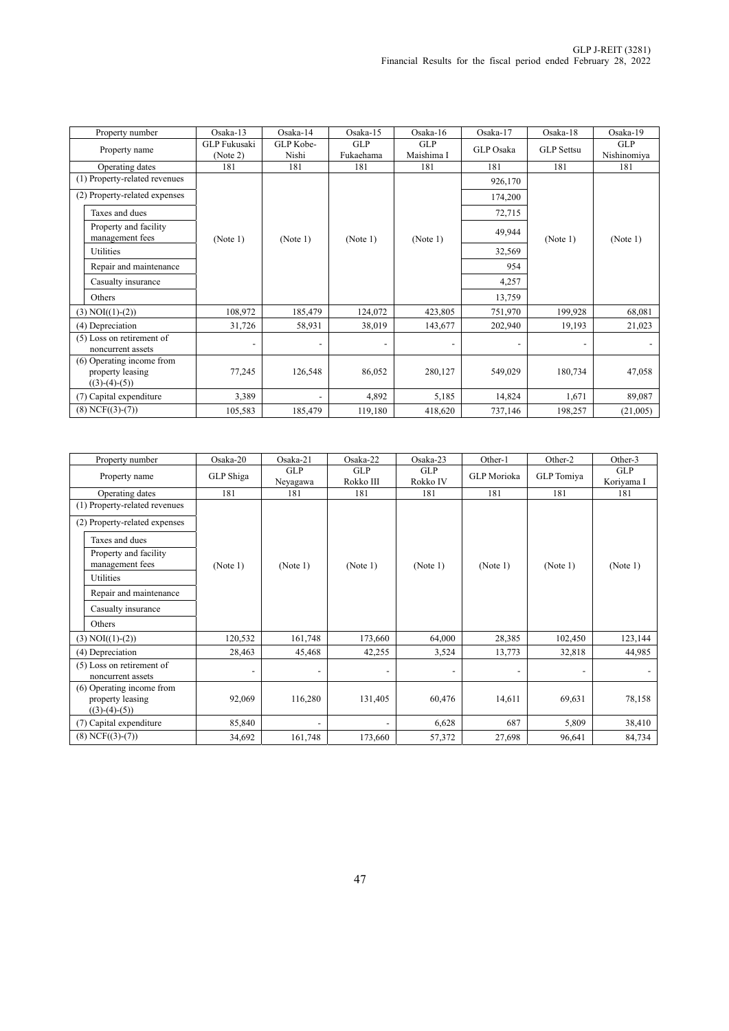| Property number                                                  | $Osaka-13$                      | Osaka-14                 | Osaka-15                 | Osaka-16          | Osaka-17         | Osaka-18          | Osaka-19           |
|------------------------------------------------------------------|---------------------------------|--------------------------|--------------------------|-------------------|------------------|-------------------|--------------------|
| Property name                                                    | <b>GLP</b> Fukusaki<br>(Note 2) | GLP Kobe-<br>Nishi       | GLP<br>Fukaehama         | GLP<br>Maishima I | <b>GLP</b> Osaka | <b>GLP</b> Settsu | GLP<br>Nishinomiya |
| Operating dates                                                  | 181                             | 181                      | 181                      | 181               | 181              | 181               | 181                |
| (1) Property-related revenues                                    |                                 |                          |                          |                   | 926,170          |                   |                    |
| (2) Property-related expenses                                    |                                 |                          |                          |                   | 174,200          |                   |                    |
| Taxes and dues                                                   |                                 |                          |                          |                   | 72,715           |                   |                    |
| Property and facility<br>management fees                         | (Note 1)                        | (Note 1)                 | (Note 1)                 | (Note 1)          | 49,944           | (Note 1)          | (Note 1)           |
| Utilities                                                        |                                 | 32,569                   |                          |                   |                  |                   |                    |
| Repair and maintenance                                           |                                 |                          |                          |                   | 954              |                   |                    |
| Casualty insurance                                               |                                 |                          |                          |                   | 4,257            |                   |                    |
| Others                                                           |                                 |                          |                          |                   | 13,759           |                   |                    |
| $(3) NOI((1)-(2))$                                               | 108,972                         | 185,479                  | 124,072                  | 423,805           | 751,970          | 199,928           | 68,081             |
| (4) Depreciation                                                 | 31,726                          | 58,931                   | 38,019                   | 143,677           | 202,940          | 19,193            | 21,023             |
| (5) Loss on retirement of<br>noncurrent assets                   |                                 | $\overline{\phantom{a}}$ | $\overline{\phantom{a}}$ |                   |                  |                   |                    |
| (6) Operating income from<br>property leasing<br>$((3)-(4)-(5))$ | 77,245                          | 126,548                  | 86,052                   | 280,127           | 549,029          | 180,734           | 47,058             |
| (7) Capital expenditure                                          | 3,389                           | $\overline{\phantom{a}}$ | 4,892                    | 5,185             | 14,824           | 1,671             | 89,087             |
| $(8)$ NCF $((3)-(7))$                                            | 105,583                         | 185,479                  | 119,180                  | 418,620           | 737,146          | 198,257           | (21,005)           |

| Property number                                                  | Osaka-20                     | Osaka-21        | $Osaka-22$               | Osaka-23        | Other-1            | Other-2    | Other-3           |
|------------------------------------------------------------------|------------------------------|-----------------|--------------------------|-----------------|--------------------|------------|-------------------|
| Property name                                                    | GLP Shiga                    | GLP<br>Neyagawa | <b>GLP</b><br>Rokko III  | GLP<br>Rokko IV | <b>GLP</b> Morioka | GLP Tomiya | GLP<br>Koriyama I |
| Operating dates                                                  | 181                          | 181             | 181                      | 181             | 181                | 181        | 181               |
| (1) Property-related revenues                                    |                              |                 |                          |                 |                    |            |                   |
| (2) Property-related expenses                                    |                              |                 |                          |                 |                    |            |                   |
| Taxes and dues                                                   |                              |                 |                          |                 |                    |            |                   |
| Property and facility<br>management fees                         | (Note 1)                     | (Note 1)        | (Note 1)                 | (Note 1)        | (Note 1)           | (Note 1)   | (Note 1)          |
| Utilities                                                        |                              |                 |                          |                 |                    |            |                   |
| Repair and maintenance                                           |                              |                 |                          |                 |                    |            |                   |
| Casualty insurance                                               |                              |                 |                          |                 |                    |            |                   |
| Others                                                           |                              |                 |                          |                 |                    |            |                   |
| $(3) NOI((1)-(2))$                                               | 120,532                      | 161,748         | 173,660                  | 64,000          | 28,385             | 102,450    | 123,144           |
| (4) Depreciation                                                 | 28,463                       | 45,468          | 42,255                   | 3,524           | 13,773             | 32,818     | 44,985            |
| (5) Loss on retirement of<br>noncurrent assets                   | $\qquad \qquad \blacksquare$ |                 | $\overline{\phantom{a}}$ |                 |                    |            |                   |
| (6) Operating income from<br>property leasing<br>$((3)-(4)-(5))$ | 92,069                       | 116,280         | 131,405                  | 60,476          | 14,611             | 69,631     | 78,158            |
| (7) Capital expenditure                                          | 85,840                       |                 |                          | 6,628           | 687                | 5,809      | 38,410            |
| $(8)$ NCF $((3)-(7))$                                            | 34,692                       | 161,748         | 173,660                  | 57,372          | 27,698             | 96,641     | 84,734            |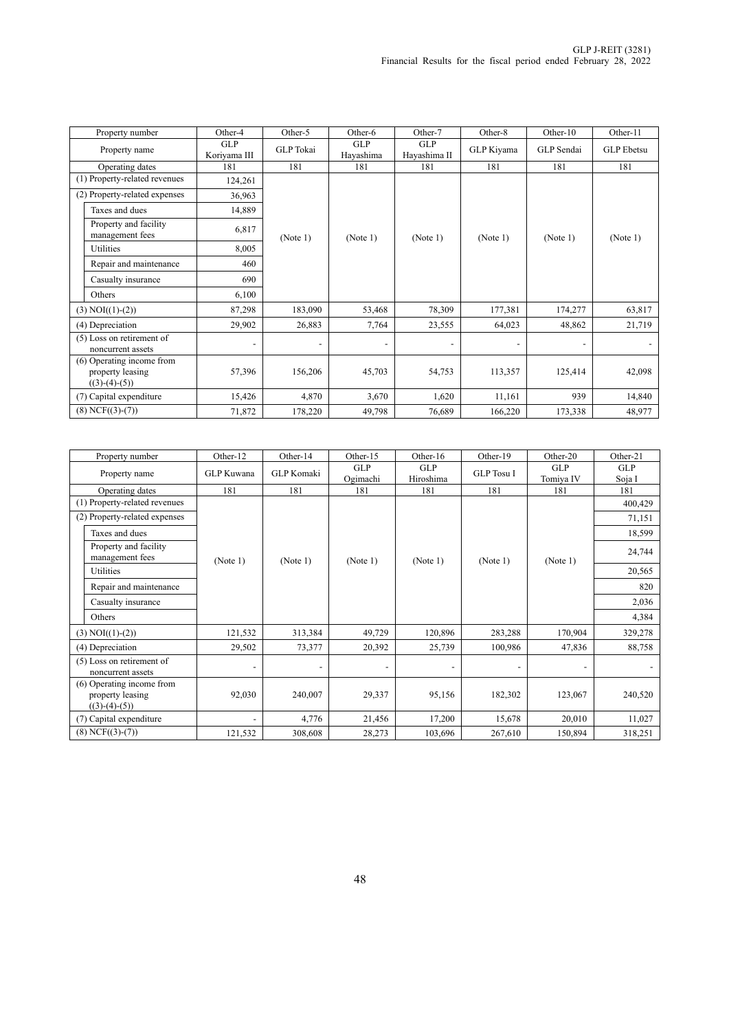| Property number                                                  | Other-4                    | Other-5          | Other-6                 | Other-7                    | Other-8    | Other-10   | Other-11          |
|------------------------------------------------------------------|----------------------------|------------------|-------------------------|----------------------------|------------|------------|-------------------|
| Property name                                                    | <b>GLP</b><br>Koriyama III | <b>GLP</b> Tokai | <b>GLP</b><br>Hayashima | <b>GLP</b><br>Hayashima II | GLP Kiyama | GLP Sendai | <b>GLP</b> Ebetsu |
| Operating dates                                                  | 181                        | 181              | 181                     | 181                        | 181        | 181        | 181               |
| (1) Property-related revenues                                    | 124,261                    |                  |                         |                            |            |            |                   |
| (2) Property-related expenses                                    | 36,963                     |                  |                         |                            |            |            |                   |
| Taxes and dues                                                   | 14,889                     |                  |                         |                            |            |            |                   |
| Property and facility<br>management fees                         | 6,817                      | (Note 1)         | (Note 1)                | (Note 1)                   | (Note 1)   | (Note 1)   | (Note 1)          |
| Utilities                                                        | 8,005                      |                  |                         |                            |            |            |                   |
| Repair and maintenance                                           | 460                        |                  |                         |                            |            |            |                   |
| Casualty insurance                                               | 690                        |                  |                         |                            |            |            |                   |
| Others                                                           | 6,100                      |                  |                         |                            |            |            |                   |
| $(3) NOI((1)-(2))$                                               | 87,298                     | 183,090          | 53,468                  | 78,309                     | 177,381    | 174,277    | 63,817            |
| (4) Depreciation                                                 | 29,902                     | 26,883           | 7,764                   | 23,555                     | 64,023     | 48,862     | 21,719            |
| (5) Loss on retirement of<br>noncurrent assets                   |                            |                  |                         |                            |            |            |                   |
| (6) Operating income from<br>property leasing<br>$((3)-(4)-(5))$ | 57,396                     | 156,206          | 45,703                  | 54,753                     | 113,357    | 125,414    | 42,098            |
| (7) Capital expenditure                                          | 15,426                     | 4,870            | 3,670                   | 1,620                      | 11,161     | 939        | 14,840            |
| $(8)$ NCF $((3)-(7))$                                            | 71,872                     | 178,220          | 49,798                  | 76,689                     | 166,220    | 173,338    | 48,977            |

| Property number                                                  | Other-12   | Other-14          | Other-15                 | Other-16         | Other-19          | Other-20                 | Other-21             |
|------------------------------------------------------------------|------------|-------------------|--------------------------|------------------|-------------------|--------------------------|----------------------|
| Property name                                                    | GLP Kuwana | <b>GLP</b> Komaki | GLP<br>Ogimachi          | GLP<br>Hiroshima | <b>GLP</b> Tosu I | <b>GLP</b><br>Tomiya IV  | <b>GLP</b><br>Soja I |
| Operating dates                                                  | 181        | 181               | 181                      | 181              | 181               | 181                      | 181                  |
| (1) Property-related revenues                                    |            |                   |                          |                  |                   |                          | 400,429              |
| (2) Property-related expenses                                    |            |                   |                          |                  |                   |                          | 71,151               |
| Taxes and dues                                                   |            |                   |                          |                  |                   |                          | 18,599               |
| Property and facility<br>management fees                         | (Note 1)   | (Note 1)          | (Note 1)                 | (Note 1)         | (Note 1)          | (Note 1)                 | 24,744               |
| Utilities                                                        |            |                   |                          |                  |                   |                          | 20,565               |
| Repair and maintenance                                           |            |                   |                          |                  |                   |                          | 820                  |
| Casualty insurance                                               |            |                   |                          |                  |                   |                          | 2,036                |
| Others                                                           |            |                   |                          |                  |                   |                          | 4,384                |
| $(3) NOI((1)-(2))$                                               | 121,532    | 313,384           | 49,729                   | 120,896          | 283,288           | 170,904                  | 329,278              |
| (4) Depreciation                                                 | 29,502     | 73,377            | 20,392                   | 25,739           | 100,986           | 47,836                   | 88,758               |
| (5) Loss on retirement of<br>noncurrent assets                   |            |                   | $\overline{\phantom{a}}$ |                  |                   | $\overline{\phantom{a}}$ |                      |
| (6) Operating income from<br>property leasing<br>$((3)-(4)-(5))$ | 92,030     | 240,007           | 29,337                   | 95,156           | 182,302           | 123,067                  | 240,520              |
| (7) Capital expenditure                                          |            | 4,776             | 21,456                   | 17,200           | 15,678            | 20,010                   | 11,027               |
| $(8)$ NCF $((3)-(7))$                                            | 121,532    | 308,608           | 28,273                   | 103,696          | 267,610           | 150,894                  | 318,251              |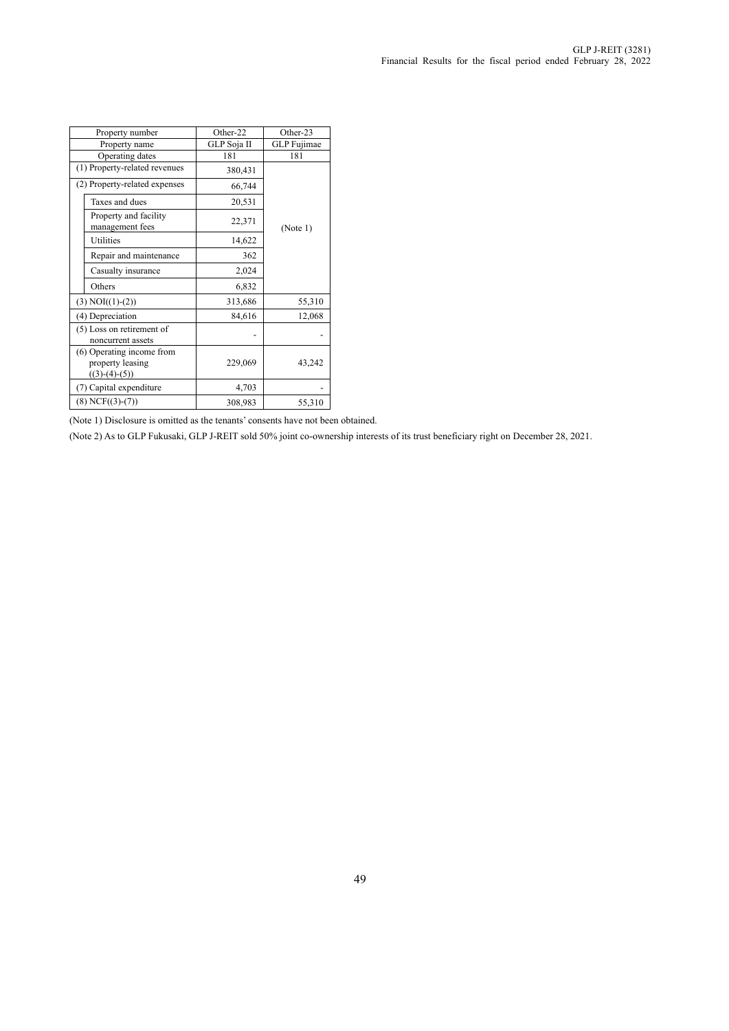| Property number                                                  | Other-22    | Other-23    |  |
|------------------------------------------------------------------|-------------|-------------|--|
| Property name                                                    | GLP Soja II | GLP Fujimae |  |
| Operating dates                                                  | 181         | 181         |  |
| (1) Property-related revenues                                    | 380,431     |             |  |
| (2) Property-related expenses                                    | 66,744      |             |  |
| Taxes and dues                                                   | 20,531      |             |  |
| Property and facility<br>management fees                         | 22,371      | (Note 1)    |  |
| Utilities                                                        | 14,622      |             |  |
| Repair and maintenance                                           | 362         |             |  |
| Casualty insurance                                               | 2,024       |             |  |
| Others                                                           | 6,832       |             |  |
| $(3) NOI((1)-(2))$                                               | 313,686     | 55,310      |  |
| (4) Depreciation                                                 | 84,616      | 12,068      |  |
| (5) Loss on retirement of<br>noncurrent assets                   |             |             |  |
| (6) Operating income from<br>property leasing<br>$((3)-(4)-(5))$ | 229,069     | 43,242      |  |
| (7) Capital expenditure                                          | 4,703       |             |  |
| $(8)$ NCF $((3)-(7))$                                            | 308,983     | 55,310      |  |

(Note 1) Disclosure is omitted as the tenants' consents have not been obtained.

(Note 2) As to GLP Fukusaki, GLP J-REIT sold 50% joint co-ownership interests of its trust beneficiary right on December 28, 2021.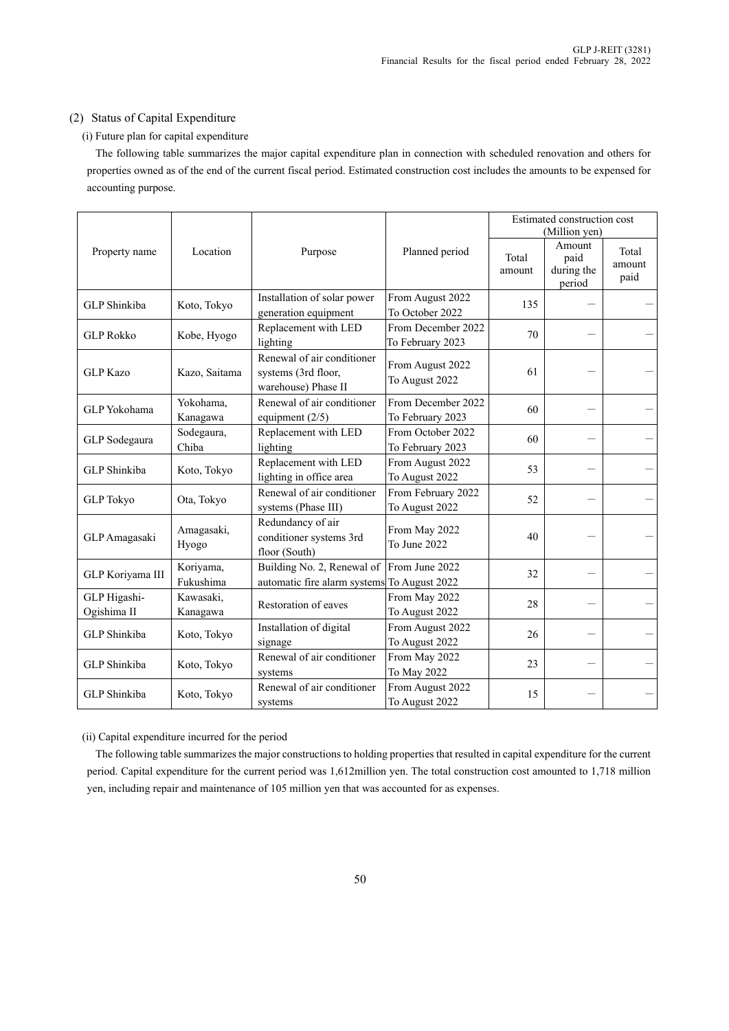### (2) Status of Capital Expenditure

### (i) Future plan for capital expenditure

The following table summarizes the major capital expenditure plan in connection with scheduled renovation and others for properties owned as of the end of the current fiscal period. Estimated construction cost includes the amounts to be expensed for accounting purpose.

|                             | Location               | Purpose                                                                   | Planned period                         | Estimated construction cost<br>(Million yen) |                                        |                         |
|-----------------------------|------------------------|---------------------------------------------------------------------------|----------------------------------------|----------------------------------------------|----------------------------------------|-------------------------|
| Property name               |                        |                                                                           |                                        | Total<br>amount                              | Amount<br>paid<br>during the<br>period | Total<br>amount<br>paid |
| GLP Shinkiba                | Koto, Tokyo            | Installation of solar power<br>generation equipment                       | From August 2022<br>To October 2022    | 135                                          |                                        |                         |
| <b>GLP Rokko</b>            | Kobe, Hyogo            | Replacement with LED<br>lighting                                          | From December 2022<br>To February 2023 | 70                                           |                                        |                         |
| <b>GLP</b> Kazo             | Kazo, Saitama          | Renewal of air conditioner<br>systems (3rd floor,<br>warehouse) Phase II  | From August 2022<br>To August 2022     | 61                                           |                                        |                         |
| GLP Yokohama                | Yokohama,<br>Kanagawa  | Renewal of air conditioner<br>equipment $(2/5)$                           | From December 2022<br>To February 2023 | 60                                           |                                        |                         |
| GLP Sodegaura               | Sodegaura,<br>Chiba    | Replacement with LED<br>lighting                                          | From October 2022<br>To February 2023  | 60                                           |                                        |                         |
| GLP Shinkiba                | Koto, Tokyo            | Replacement with LED<br>lighting in office area                           | From August 2022<br>To August 2022     | 53                                           |                                        |                         |
| <b>GLP</b> Tokyo            | Ota, Tokyo             | Renewal of air conditioner<br>systems (Phase III)                         | From February 2022<br>To August 2022   | 52                                           |                                        |                         |
| GLP Amagasaki               | Amagasaki,<br>Hyogo    | Redundancy of air<br>conditioner systems 3rd<br>floor (South)             | From May 2022<br>To June 2022          | 40                                           |                                        |                         |
| GLP Koriyama III            | Koriyama,<br>Fukushima | Building No. 2, Renewal of<br>automatic fire alarm systems To August 2022 | From June 2022                         | 32                                           |                                        |                         |
| GLP Higashi-<br>Ogishima II | Kawasaki,<br>Kanagawa  | Restoration of eaves                                                      | From May 2022<br>To August 2022        | 28                                           |                                        |                         |
| GLP Shinkiba                | Koto, Tokyo            | Installation of digital<br>signage                                        | From August 2022<br>To August 2022     | 26                                           |                                        |                         |
| GLP Shinkiba                | Koto, Tokyo            | Renewal of air conditioner<br>systems                                     | From May 2022<br>To May 2022           | 23                                           |                                        |                         |
| GLP Shinkiba                | Koto, Tokyo            | Renewal of air conditioner<br>systems                                     | From August 2022<br>To August 2022     | 15                                           |                                        |                         |

(ii) Capital expenditure incurred for the period

The following table summarizes the major constructions to holding properties that resulted in capital expenditure for the current period. Capital expenditure for the current period was 1,612million yen. The total construction cost amounted to 1,718 million yen, including repair and maintenance of 105 million yen that was accounted for as expenses.